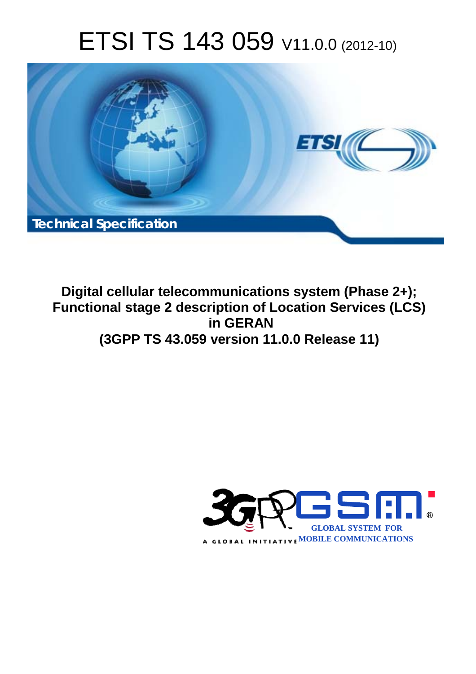# ETSI TS 143 059 V11.0.0 (2012-10)



**Digital cellular telecommunications system (Phase 2+); Functional stage 2 description of Location Services (LCS) in GERAN (3GPP TS 43.059 version 11.0.0 Release 11)** 

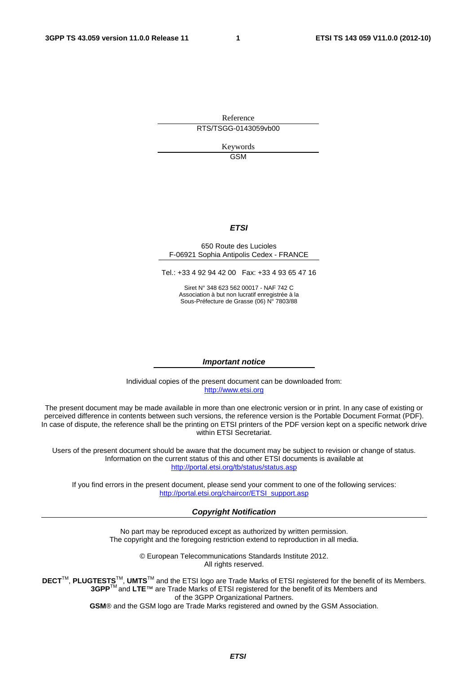Reference RTS/TSGG-0143059vb00

> Keywords GSM

#### *ETSI*

#### 650 Route des Lucioles F-06921 Sophia Antipolis Cedex - FRANCE

Tel.: +33 4 92 94 42 00 Fax: +33 4 93 65 47 16

Siret N° 348 623 562 00017 - NAF 742 C Association à but non lucratif enregistrée à la Sous-Préfecture de Grasse (06) N° 7803/88

#### *Important notice*

Individual copies of the present document can be downloaded from: [http://www.etsi.org](http://www.etsi.org/)

The present document may be made available in more than one electronic version or in print. In any case of existing or perceived difference in contents between such versions, the reference version is the Portable Document Format (PDF). In case of dispute, the reference shall be the printing on ETSI printers of the PDF version kept on a specific network drive within ETSI Secretariat.

Users of the present document should be aware that the document may be subject to revision or change of status. Information on the current status of this and other ETSI documents is available at <http://portal.etsi.org/tb/status/status.asp>

If you find errors in the present document, please send your comment to one of the following services: [http://portal.etsi.org/chaircor/ETSI\\_support.asp](http://portal.etsi.org/chaircor/ETSI_support.asp)

#### *Copyright Notification*

No part may be reproduced except as authorized by written permission. The copyright and the foregoing restriction extend to reproduction in all media.

> © European Telecommunications Standards Institute 2012. All rights reserved.

DECT<sup>™</sup>, PLUGTESTS<sup>™</sup>, UMTS<sup>™</sup> and the ETSI logo are Trade Marks of ETSI registered for the benefit of its Members. **3GPP**TM and **LTE**™ are Trade Marks of ETSI registered for the benefit of its Members and of the 3GPP Organizational Partners.

**GSM**® and the GSM logo are Trade Marks registered and owned by the GSM Association.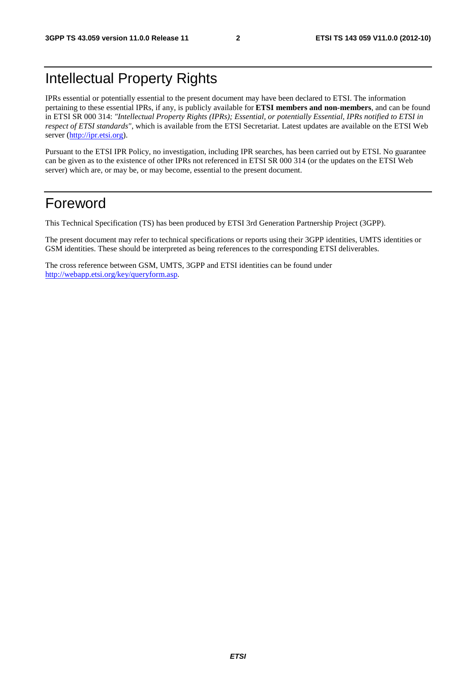## Intellectual Property Rights

IPRs essential or potentially essential to the present document may have been declared to ETSI. The information pertaining to these essential IPRs, if any, is publicly available for **ETSI members and non-members**, and can be found in ETSI SR 000 314: *"Intellectual Property Rights (IPRs); Essential, or potentially Essential, IPRs notified to ETSI in respect of ETSI standards"*, which is available from the ETSI Secretariat. Latest updates are available on the ETSI Web server [\(http://ipr.etsi.org](http://webapp.etsi.org/IPR/home.asp)).

Pursuant to the ETSI IPR Policy, no investigation, including IPR searches, has been carried out by ETSI. No guarantee can be given as to the existence of other IPRs not referenced in ETSI SR 000 314 (or the updates on the ETSI Web server) which are, or may be, or may become, essential to the present document.

## Foreword

This Technical Specification (TS) has been produced by ETSI 3rd Generation Partnership Project (3GPP).

The present document may refer to technical specifications or reports using their 3GPP identities, UMTS identities or GSM identities. These should be interpreted as being references to the corresponding ETSI deliverables.

The cross reference between GSM, UMTS, 3GPP and ETSI identities can be found under [http://webapp.etsi.org/key/queryform.asp.](http://webapp.etsi.org/key/queryform.asp)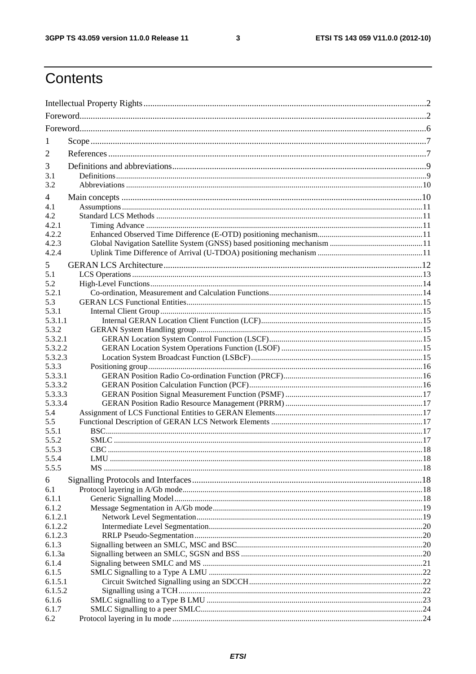$\mathbf{3}$ 

## Contents

| 1               |  |  |  |  |  |
|-----------------|--|--|--|--|--|
|                 |  |  |  |  |  |
| 2               |  |  |  |  |  |
| 3               |  |  |  |  |  |
| 3.1             |  |  |  |  |  |
| 3.2             |  |  |  |  |  |
| 4               |  |  |  |  |  |
| 4.1             |  |  |  |  |  |
| 4.2             |  |  |  |  |  |
| 4.2.1           |  |  |  |  |  |
| 4.2.2           |  |  |  |  |  |
| 4.2.3           |  |  |  |  |  |
| 4.2.4           |  |  |  |  |  |
| 5               |  |  |  |  |  |
| 5.1             |  |  |  |  |  |
| 5.2             |  |  |  |  |  |
| 5.2.1           |  |  |  |  |  |
| 5.3             |  |  |  |  |  |
| 5.3.1           |  |  |  |  |  |
| 5.3.1.1         |  |  |  |  |  |
| 5.3.2           |  |  |  |  |  |
| 5.3.2.1         |  |  |  |  |  |
| 5.3.2.2         |  |  |  |  |  |
| 5.3.2.3         |  |  |  |  |  |
| 5.3.3           |  |  |  |  |  |
| 5.3.3.1         |  |  |  |  |  |
| 5.3.3.2         |  |  |  |  |  |
| 5.3.3.3         |  |  |  |  |  |
| 5.3.3.4         |  |  |  |  |  |
| 5.4             |  |  |  |  |  |
| 5.5             |  |  |  |  |  |
| 5.5.1           |  |  |  |  |  |
| 5.5.2           |  |  |  |  |  |
| 5.5.3           |  |  |  |  |  |
| 5.5.4           |  |  |  |  |  |
| 5.5.5           |  |  |  |  |  |
| 6               |  |  |  |  |  |
| 6.1             |  |  |  |  |  |
| 6.1.1           |  |  |  |  |  |
| 6.1.2           |  |  |  |  |  |
| 6.1.2.1         |  |  |  |  |  |
| 6.1.2.2         |  |  |  |  |  |
| 6.1.2.3         |  |  |  |  |  |
| 6.1.3           |  |  |  |  |  |
| 6.1.3a<br>6.1.4 |  |  |  |  |  |
| 6.1.5           |  |  |  |  |  |
| 6.1.5.1         |  |  |  |  |  |
| 6.1.5.2         |  |  |  |  |  |
| 6.1.6           |  |  |  |  |  |
| 6.1.7           |  |  |  |  |  |
| 6.2             |  |  |  |  |  |
|                 |  |  |  |  |  |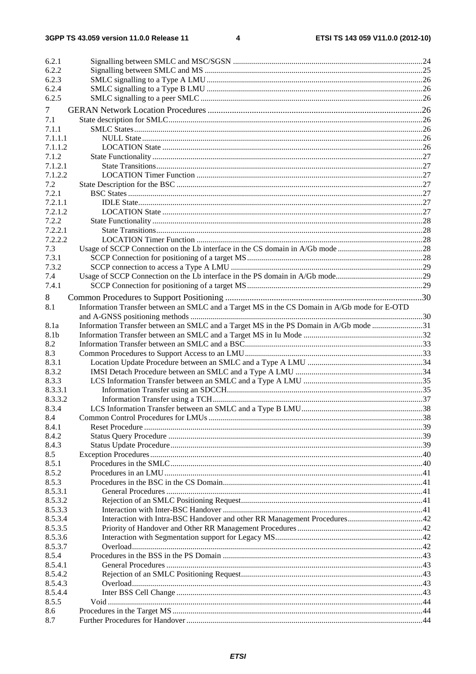| 6.2.1   |                                                                                              |  |
|---------|----------------------------------------------------------------------------------------------|--|
| 6.2.2   |                                                                                              |  |
| 6.2.3   |                                                                                              |  |
| 6.2.4   |                                                                                              |  |
| 6.2.5   |                                                                                              |  |
| 7       |                                                                                              |  |
| 7.1     |                                                                                              |  |
| 7.1.1   |                                                                                              |  |
| 7.1.1.1 |                                                                                              |  |
| 7.1.1.2 |                                                                                              |  |
| 7.1.2   |                                                                                              |  |
| 7.1.2.1 |                                                                                              |  |
| 7.1.2.2 |                                                                                              |  |
| 7.2     |                                                                                              |  |
| 7.2.1   |                                                                                              |  |
| 7.2.1.1 |                                                                                              |  |
| 7.2.1.2 |                                                                                              |  |
| 7.2.2   |                                                                                              |  |
| 7.2.2.1 |                                                                                              |  |
| 7.2.2.2 |                                                                                              |  |
| 7.3     |                                                                                              |  |
| 7.3.1   |                                                                                              |  |
| 7.3.2   |                                                                                              |  |
| 7.4     |                                                                                              |  |
| 7.4.1   |                                                                                              |  |
| 8       |                                                                                              |  |
| 8.1     | Information Transfer between an SMLC and a Target MS in the CS Domain in A/Gb mode for E-OTD |  |
|         |                                                                                              |  |
| 8.1a    | Information Transfer between an SMLC and a Target MS in the PS Domain in A/Gb mode 31        |  |
| 8.1b    |                                                                                              |  |
| 8.2     |                                                                                              |  |
| 8.3     |                                                                                              |  |
| 8.3.1   |                                                                                              |  |
| 8.3.2   |                                                                                              |  |
| 8.3.3   |                                                                                              |  |
| 8.3.3.1 |                                                                                              |  |
| 8.3.3.2 |                                                                                              |  |
| 8.3.4   |                                                                                              |  |
| 8.4     |                                                                                              |  |
| 8.4.1   |                                                                                              |  |
| 8.4.2   |                                                                                              |  |
| 8.4.3   |                                                                                              |  |
| 8.5     |                                                                                              |  |
| 8.5.1   |                                                                                              |  |
| 8.5.2   |                                                                                              |  |
| 8.5.3   |                                                                                              |  |
| 8.5.3.1 |                                                                                              |  |
| 8.5.3.2 |                                                                                              |  |
| 8.5.3.3 |                                                                                              |  |
| 8.5.3.4 |                                                                                              |  |
| 8.5.3.5 |                                                                                              |  |
| 8.5.3.6 |                                                                                              |  |
| 8.5.3.7 |                                                                                              |  |
| 8.5.4   |                                                                                              |  |
| 8.5.4.1 |                                                                                              |  |
| 8.5.4.2 |                                                                                              |  |
| 8.5.4.3 |                                                                                              |  |
| 8.5.4.4 |                                                                                              |  |
| 8.5.5   |                                                                                              |  |
| 8.6     |                                                                                              |  |
| 8.7     |                                                                                              |  |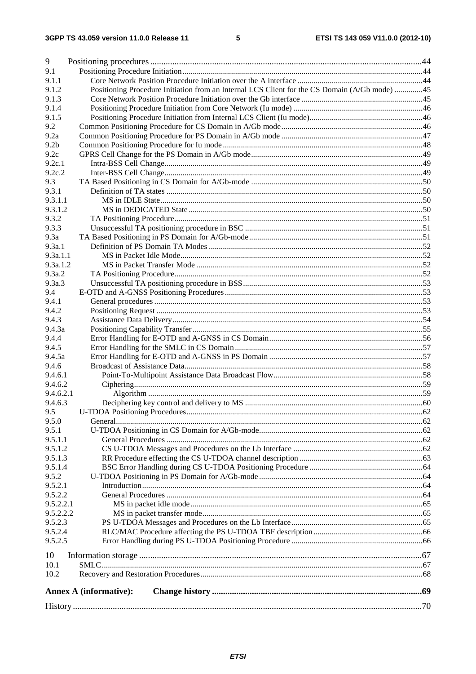| 9                        |                                                                                               |  |  |  |  |
|--------------------------|-----------------------------------------------------------------------------------------------|--|--|--|--|
| 9.1                      |                                                                                               |  |  |  |  |
| 9.1.1                    |                                                                                               |  |  |  |  |
| 9.1.2                    | Positioning Procedure Initiation from an Internal LCS Client for the CS Domain (A/Gb mode) 45 |  |  |  |  |
| 9.1.3                    |                                                                                               |  |  |  |  |
| 9.1.4                    |                                                                                               |  |  |  |  |
| 9.1.5                    |                                                                                               |  |  |  |  |
| 9.2                      |                                                                                               |  |  |  |  |
| 9.2a<br>9.2 <sub>b</sub> |                                                                                               |  |  |  |  |
| 9.2c                     |                                                                                               |  |  |  |  |
| 9.2c.1                   |                                                                                               |  |  |  |  |
| 9.2c.2                   |                                                                                               |  |  |  |  |
| 9.3                      |                                                                                               |  |  |  |  |
| 9.3.1                    |                                                                                               |  |  |  |  |
| 9.3.1.1                  |                                                                                               |  |  |  |  |
| 9.3.1.2                  |                                                                                               |  |  |  |  |
| 9.3.2                    |                                                                                               |  |  |  |  |
| 9.3.3                    |                                                                                               |  |  |  |  |
| 9.3a                     |                                                                                               |  |  |  |  |
| 9.3a.1                   |                                                                                               |  |  |  |  |
| 9.3a.1.1                 |                                                                                               |  |  |  |  |
| 9.3a.1.2                 |                                                                                               |  |  |  |  |
| 9.3a.2                   |                                                                                               |  |  |  |  |
| 9.3a.3                   |                                                                                               |  |  |  |  |
| 9.4                      |                                                                                               |  |  |  |  |
| 9.4.1                    |                                                                                               |  |  |  |  |
| 9.4.2                    |                                                                                               |  |  |  |  |
| 9.4.3                    |                                                                                               |  |  |  |  |
| 9.4.3a                   |                                                                                               |  |  |  |  |
| 9.4.4                    |                                                                                               |  |  |  |  |
| 9.4.5                    |                                                                                               |  |  |  |  |
| 9.4.5a                   |                                                                                               |  |  |  |  |
| 9.4.6<br>9.4.6.1         |                                                                                               |  |  |  |  |
| 9.4.6.2                  |                                                                                               |  |  |  |  |
| 9.4.6.2.1                |                                                                                               |  |  |  |  |
| 9.4.6.3                  |                                                                                               |  |  |  |  |
| 9.5                      | U-TDOA Positioning Procedures.                                                                |  |  |  |  |
| 9.5.0                    |                                                                                               |  |  |  |  |
| 9.5.1                    |                                                                                               |  |  |  |  |
| 9.5.1.1                  |                                                                                               |  |  |  |  |
| 9.5.1.2                  |                                                                                               |  |  |  |  |
| 9.5.1.3                  |                                                                                               |  |  |  |  |
| 9.5.1.4                  |                                                                                               |  |  |  |  |
| 9.5.2                    |                                                                                               |  |  |  |  |
| 9.5.2.1                  |                                                                                               |  |  |  |  |
| 9.5.2.2                  |                                                                                               |  |  |  |  |
| 9.5.2.2.1                |                                                                                               |  |  |  |  |
| 9.5.2.2.2                |                                                                                               |  |  |  |  |
| 9.5.2.3<br>9.5.2.4       |                                                                                               |  |  |  |  |
| 9.5.2.5                  |                                                                                               |  |  |  |  |
| 10                       |                                                                                               |  |  |  |  |
| 10.1                     |                                                                                               |  |  |  |  |
| 10.2                     |                                                                                               |  |  |  |  |
|                          | <b>Annex A (informative):</b>                                                                 |  |  |  |  |
|                          |                                                                                               |  |  |  |  |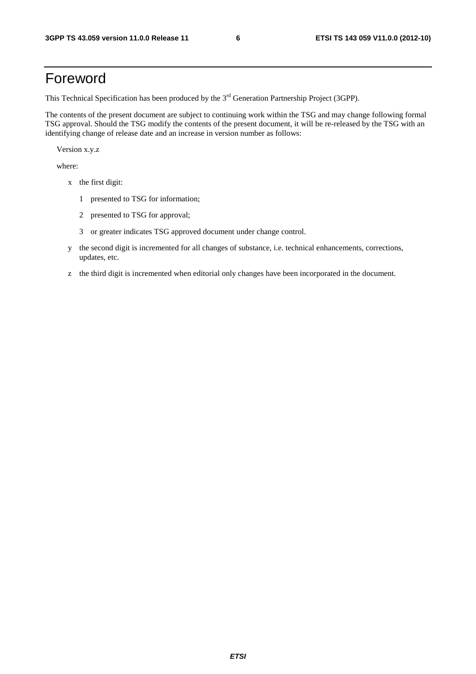## Foreword

This Technical Specification has been produced by the 3<sup>rd</sup> Generation Partnership Project (3GPP).

The contents of the present document are subject to continuing work within the TSG and may change following formal TSG approval. Should the TSG modify the contents of the present document, it will be re-released by the TSG with an identifying change of release date and an increase in version number as follows:

Version x.y.z

where:

- x the first digit:
	- 1 presented to TSG for information;
	- 2 presented to TSG for approval;
	- 3 or greater indicates TSG approved document under change control.
- y the second digit is incremented for all changes of substance, i.e. technical enhancements, corrections, updates, etc.
- z the third digit is incremented when editorial only changes have been incorporated in the document.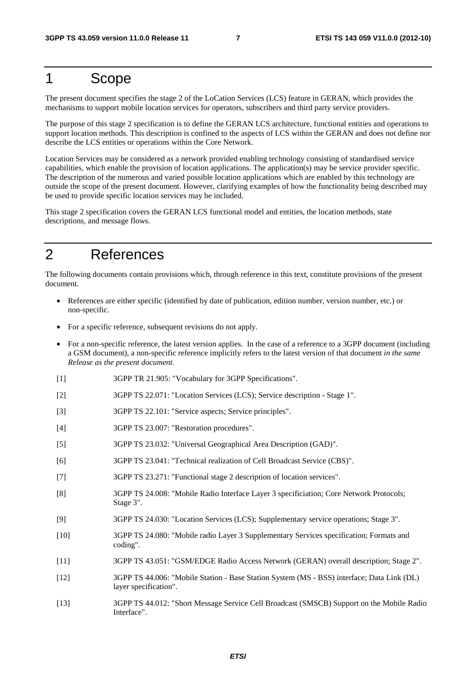## 1 Scope

The present document specifies the stage 2 of the LoCation Services (LCS) feature in GERAN, which provides the mechanisms to support mobile location services for operators, subscribers and third party service providers.

The purpose of this stage 2 specification is to define the GERAN LCS architecture, functional entities and operations to support location methods. This description is confined to the aspects of LCS within the GERAN and does not define nor describe the LCS entities or operations within the Core Network.

Location Services may be considered as a network provided enabling technology consisting of standardised service capabilities, which enable the provision of location applications. The application(s) may be service provider specific. The description of the numerous and varied possible location applications which are enabled by this technology are outside the scope of the present document. However, clarifying examples of how the functionality being described may be used to provide specific location services may be included.

This stage 2 specification covers the GERAN LCS functional model and entities, the location methods, state descriptions, and message flows.

## 2 References

The following documents contain provisions which, through reference in this text, constitute provisions of the present document.

- References are either specific (identified by date of publication, edition number, version number, etc.) or non-specific.
- For a specific reference, subsequent revisions do not apply.
- For a non-specific reference, the latest version applies. In the case of a reference to a 3GPP document (including a GSM document), a non-specific reference implicitly refers to the latest version of that document *in the same Release as the present document*.
- [1] 3GPP TR 21.905: "Vocabulary for 3GPP Specifications".
- [2] 3GPP TS 22.071: "Location Services (LCS); Service description Stage 1".
- [3] 3GPP TS 22.101: "Service aspects; Service principles".
- [4] 3GPP TS 23.007: "Restoration procedures".
- [5] 3GPP TS 23.032: "Universal Geographical Area Description (GAD)".
- [6] 3GPP TS 23.041: "Technical realization of Cell Broadcast Service (CBS)".
- [7] 3GPP TS 23.271: "Functional stage 2 description of location services".
- [8] 3GPP TS 24.008: "Mobile Radio Interface Layer 3 specificiation; Core Network Protocols; Stage 3".
- [9] 3GPP TS 24.030: "Location Services (LCS); Supplementary service operations; Stage 3".
- [10] 3GPP TS 24.080: "Mobile radio Layer 3 Supplementary Services specification; Formats and coding".
- [11] 3GPP TS 43.051: "GSM/EDGE Radio Access Network (GERAN) overall description; Stage 2".
- [12] 3GPP TS 44.006: "Mobile Station Base Station System (MS BSS) interface; Data Link (DL) layer specification".
- [13] 3GPP TS 44.012: "Short Message Service Cell Broadcast (SMSCB) Support on the Mobile Radio Interface".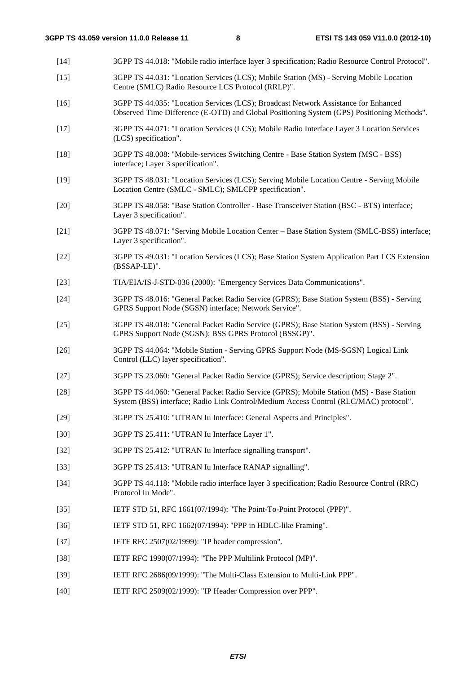[14] 3GPP TS 44.018: "Mobile radio interface layer 3 specification; Radio Resource Control Protocol". [15] 3GPP TS 44.031: "Location Services (LCS); Mobile Station (MS) - Serving Mobile Location Centre (SMLC) Radio Resource LCS Protocol (RRLP)". [16] 3GPP TS 44.035: "Location Services (LCS); Broadcast Network Assistance for Enhanced Observed Time Difference (E-OTD) and Global Positioning System (GPS) Positioning Methods". [17] 3GPP TS 44.071: "Location Services (LCS); Mobile Radio Interface Layer 3 Location Services (LCS) specification". [18] 3GPP TS 48.008: "Mobile-services Switching Centre - Base Station System (MSC - BSS) interface; Layer 3 specification". [19] 3GPP TS 48.031: "Location Services (LCS); Serving Mobile Location Centre - Serving Mobile Location Centre (SMLC - SMLC); SMLCPP specification". [20] 3GPP TS 48.058: "Base Station Controller - Base Transceiver Station (BSC - BTS) interface; Layer 3 specification". [21] 3GPP TS 48.071: "Serving Mobile Location Center – Base Station System (SMLC-BSS) interface; Layer 3 specification". [22] 3GPP TS 49.031: "Location Services (LCS); Base Station System Application Part LCS Extension (BSSAP-LE)". [23] TIA/EIA/IS-J-STD-036 (2000): "Emergency Services Data Communications". [24] 3GPP TS 48.016: "General Packet Radio Service (GPRS); Base Station System (BSS) - Serving GPRS Support Node (SGSN) interface; Network Service". [25] 3GPP TS 48.018: "General Packet Radio Service (GPRS); Base Station System (BSS) - Serving GPRS Support Node (SGSN); BSS GPRS Protocol (BSSGP)". [26] 3GPP TS 44.064: "Mobile Station - Serving GPRS Support Node (MS-SGSN) Logical Link Control (LLC) layer specification". [27] 3GPP TS 23.060: "General Packet Radio Service (GPRS); Service description; Stage 2". [28] 3GPP TS 44.060: "General Packet Radio Service (GPRS); Mobile Station (MS) - Base Station System (BSS) interface; Radio Link Control/Medium Access Control (RLC/MAC) protocol". [29] 3GPP TS 25.410: "UTRAN Iu Interface: General Aspects and Principles". [30] 3GPP TS 25.411: "UTRAN Iu Interface Layer 1". [32] 3GPP TS 25.412: "UTRAN Iu Interface signalling transport". [33] 3GPP TS 25.413: "UTRAN Iu Interface RANAP signalling". [34] 3GPP TS 44.118: "Mobile radio interface layer 3 specification; Radio Resource Control (RRC) Protocol Iu Mode". [35] IETF STD 51, RFC 1661(07/1994): "The Point-To-Point Protocol (PPP)". [36] IETF STD 51, RFC 1662(07/1994): "PPP in HDLC-like Framing". [37] IETF RFC 2507(02/1999): "IP header compression". [38] IETF RFC 1990(07/1994): "The PPP Multilink Protocol (MP)". [39] IETF RFC 2686(09/1999): "The Multi-Class Extension to Multi-Link PPP". [40] IETF RFC 2509(02/1999): "IP Header Compression over PPP".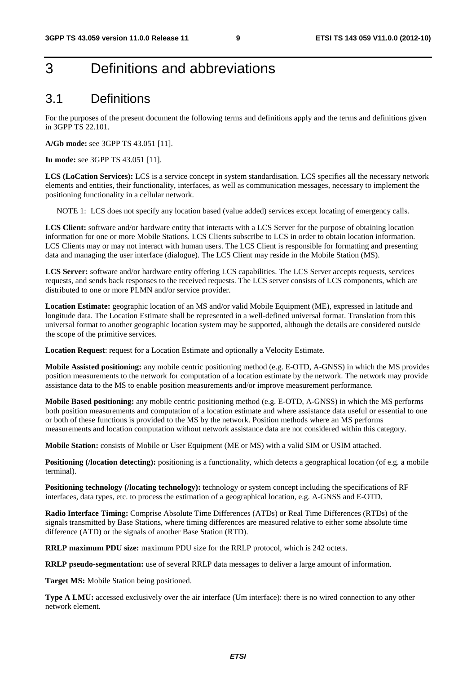## 3 Definitions and abbreviations

## 3.1 Definitions

For the purposes of the present document the following terms and definitions apply and the terms and definitions given in 3GPP TS 22.101.

**A/Gb mode:** see 3GPP TS 43.051 [11].

**Iu mode:** see 3GPP TS 43.051 [11].

**LCS (LoCation Services):** LCS is a service concept in system standardisation. LCS specifies all the necessary network elements and entities, their functionality, interfaces, as well as communication messages, necessary to implement the positioning functionality in a cellular network.

NOTE 1: LCS does not specify any location based (value added) services except locating of emergency calls.

**LCS Client:** software and/or hardware entity that interacts with a LCS Server for the purpose of obtaining location information for one or more Mobile Stations. LCS Clients subscribe to LCS in order to obtain location information. LCS Clients may or may not interact with human users. The LCS Client is responsible for formatting and presenting data and managing the user interface (dialogue). The LCS Client may reside in the Mobile Station (MS).

**LCS Server:** software and/or hardware entity offering LCS capabilities. The LCS Server accepts requests, services requests, and sends back responses to the received requests. The LCS server consists of LCS components, which are distributed to one or more PLMN and/or service provider.

**Location Estimate:** geographic location of an MS and/or valid Mobile Equipment (ME), expressed in latitude and longitude data. The Location Estimate shall be represented in a well-defined universal format. Translation from this universal format to another geographic location system may be supported, although the details are considered outside the scope of the primitive services.

**Location Request:** request for a Location Estimate and optionally a Velocity Estimate.

**Mobile Assisted positioning:** any mobile centric positioning method (e.g. E-OTD, A-GNSS) in which the MS provides position measurements to the network for computation of a location estimate by the network. The network may provide assistance data to the MS to enable position measurements and/or improve measurement performance.

**Mobile Based positioning:** any mobile centric positioning method (e.g. E-OTD, A-GNSS) in which the MS performs both position measurements and computation of a location estimate and where assistance data useful or essential to one or both of these functions is provided to the MS by the network. Position methods where an MS performs measurements and location computation without network assistance data are not considered within this category.

**Mobile Station:** consists of Mobile or User Equipment (ME or MS) with a valid SIM or USIM attached.

**Positioning (/location detecting):** positioning is a functionality, which detects a geographical location (of e.g. a mobile terminal).

**Positioning technology (/locating technology):** technology or system concept including the specifications of RF interfaces, data types, etc. to process the estimation of a geographical location, e.g. A-GNSS and E-OTD.

**Radio Interface Timing:** Comprise Absolute Time Differences (ATDs) or Real Time Differences (RTDs) of the signals transmitted by Base Stations, where timing differences are measured relative to either some absolute time difference (ATD) or the signals of another Base Station (RTD).

**RRLP maximum PDU size:** maximum PDU size for the RRLP protocol, which is 242 octets.

**RRLP pseudo-segmentation:** use of several RRLP data messages to deliver a large amount of information.

**Target MS:** Mobile Station being positioned.

**Type A LMU:** accessed exclusively over the air interface (Um interface): there is no wired connection to any other network element.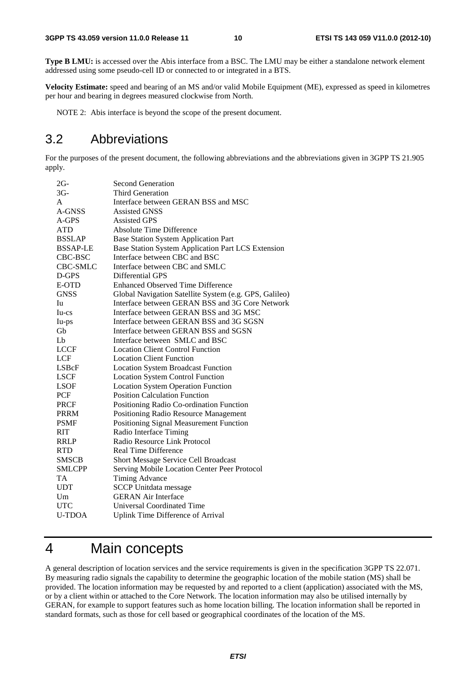**Type B LMU:** is accessed over the Abis interface from a BSC. The LMU may be either a standalone network element addressed using some pseudo-cell ID or connected to or integrated in a BTS.

**Velocity Estimate:** speed and bearing of an MS and/or valid Mobile Equipment (ME), expressed as speed in kilometres per hour and bearing in degrees measured clockwise from North.

NOTE 2: Abis interface is beyond the scope of the present document.

## 3.2 Abbreviations

For the purposes of the present document, the following abbreviations and the abbreviations given in 3GPP TS 21.905 apply.

| $2G-$           | <b>Second Generation</b>                               |
|-----------------|--------------------------------------------------------|
| $3G-$           | Third Generation                                       |
| A               | Interface between GERAN BSS and MSC                    |
| A-GNSS          | <b>Assisted GNSS</b>                                   |
| $A-GPS$         | <b>Assisted GPS</b>                                    |
| <b>ATD</b>      | <b>Absolute Time Difference</b>                        |
| <b>BSSLAP</b>   | <b>Base Station System Application Part</b>            |
| <b>BSSAP-LE</b> | Base Station System Application Part LCS Extension     |
| CBC-BSC         | Interface between CBC and BSC                          |
| CBC-SMLC        | Interface between CBC and SMLC                         |
| D-GPS           | Differential GPS                                       |
| E-OTD           | <b>Enhanced Observed Time Difference</b>               |
| <b>GNSS</b>     | Global Navigation Satellite System (e.g. GPS, Galileo) |
| Iu              | Interface between GERAN BSS and 3G Core Network        |
| $Iu-cs$         | Interface between GERAN BSS and 3G MSC                 |
| Iu-ps           | Interface between GERAN BSS and 3G SGSN                |
| Gb              | Interface between GERAN BSS and SGSN                   |
| Lb              | Interface between SMLC and BSC                         |
| <b>LCCF</b>     | <b>Location Client Control Function</b>                |
| LCF             | <b>Location Client Function</b>                        |
| LSBcF           | <b>Location System Broadcast Function</b>              |
| <b>LSCF</b>     | <b>Location System Control Function</b>                |
| <b>LSOF</b>     | <b>Location System Operation Function</b>              |
| PCF             | <b>Position Calculation Function</b>                   |
| <b>PRCF</b>     | Positioning Radio Co-ordination Function               |
| <b>PRRM</b>     | Positioning Radio Resource Management                  |
| <b>PSMF</b>     | Positioning Signal Measurement Function                |
| <b>RIT</b>      | Radio Interface Timing                                 |
| <b>RRLP</b>     | Radio Resource Link Protocol                           |
| <b>RTD</b>      | <b>Real Time Difference</b>                            |
| <b>SMSCB</b>    | <b>Short Message Service Cell Broadcast</b>            |
| <b>SMLCPP</b>   | Serving Mobile Location Center Peer Protocol           |
| <b>TA</b>       | Timing Advance                                         |
| <b>UDT</b>      | <b>SCCP</b> Unitdata message                           |
| Um              | <b>GERAN Air Interface</b>                             |
| <b>UTC</b>      | Universal Coordinated Time                             |
| <b>U-TDOA</b>   | <b>Uplink Time Difference of Arrival</b>               |

## 4 Main concepts

A general description of location services and the service requirements is given in the specification 3GPP TS 22.071. By measuring radio signals the capability to determine the geographic location of the mobile station (MS) shall be provided. The location information may be requested by and reported to a client (application) associated with the MS, or by a client within or attached to the Core Network. The location information may also be utilised internally by GERAN, for example to support features such as home location billing. The location information shall be reported in standard formats, such as those for cell based or geographical coordinates of the location of the MS.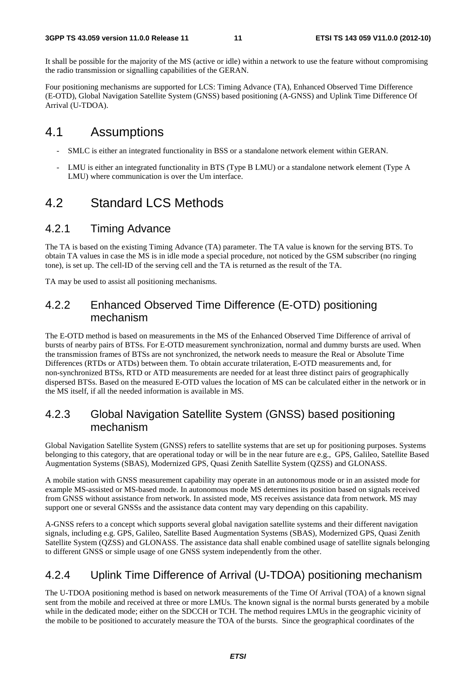It shall be possible for the majority of the MS (active or idle) within a network to use the feature without compromising the radio transmission or signalling capabilities of the GERAN.

Four positioning mechanisms are supported for LCS: Timing Advance (TA), Enhanced Observed Time Difference (E-OTD), Global Navigation Satellite System (GNSS) based positioning (A-GNSS) and Uplink Time Difference Of Arrival (U-TDOA).

## 4.1 Assumptions

- SMLC is either an integrated functionality in BSS or a standalone network element within GERAN.
- LMU is either an integrated functionality in BTS (Type B LMU) or a standalone network element (Type A LMU) where communication is over the Um interface.

## 4.2 Standard LCS Methods

### 4.2.1 Timing Advance

The TA is based on the existing Timing Advance (TA) parameter. The TA value is known for the serving BTS. To obtain TA values in case the MS is in idle mode a special procedure, not noticed by the GSM subscriber (no ringing tone), is set up. The cell-ID of the serving cell and the TA is returned as the result of the TA.

TA may be used to assist all positioning mechanisms.

### 4.2.2 Enhanced Observed Time Difference (E-OTD) positioning mechanism

The E-OTD method is based on measurements in the MS of the Enhanced Observed Time Difference of arrival of bursts of nearby pairs of BTSs. For E-OTD measurement synchronization, normal and dummy bursts are used. When the transmission frames of BTSs are not synchronized, the network needs to measure the Real or Absolute Time Differences (RTDs or ATDs) between them. To obtain accurate trilateration, E-OTD measurements and, for non-synchronized BTSs, RTD or ATD measurements are needed for at least three distinct pairs of geographically dispersed BTSs. Based on the measured E-OTD values the location of MS can be calculated either in the network or in the MS itself, if all the needed information is available in MS.

### 4.2.3 Global Navigation Satellite System (GNSS) based positioning mechanism

Global Navigation Satellite System (GNSS) refers to satellite systems that are set up for positioning purposes. Systems belonging to this category, that are operational today or will be in the near future are e.g., GPS, Galileo, Satellite Based Augmentation Systems (SBAS), Modernized GPS, Quasi Zenith Satellite System (QZSS) and GLONASS.

A mobile station with GNSS measurement capability may operate in an autonomous mode or in an assisted mode for example MS-assisted or MS-based mode. In autonomous mode MS determines its position based on signals received from GNSS without assistance from network. In assisted mode, MS receives assistance data from network. MS may support one or several GNSSs and the assistance data content may vary depending on this capability.

A-GNSS refers to a concept which supports several global navigation satellite systems and their different navigation signals, including e.g. GPS, Galileo, Satellite Based Augmentation Systems (SBAS), Modernized GPS, Quasi Zenith Satellite System (QZSS) and GLONASS. The assistance data shall enable combined usage of satellite signals belonging to different GNSS or simple usage of one GNSS system independently from the other.

### 4.2.4 Uplink Time Difference of Arrival (U-TDOA) positioning mechanism

The U-TDOA positioning method is based on network measurements of the Time Of Arrival (TOA) of a known signal sent from the mobile and received at three or more LMUs. The known signal is the normal bursts generated by a mobile while in the dedicated mode; either on the SDCCH or TCH. The method requires LMUs in the geographic vicinity of the mobile to be positioned to accurately measure the TOA of the bursts. Since the geographical coordinates of the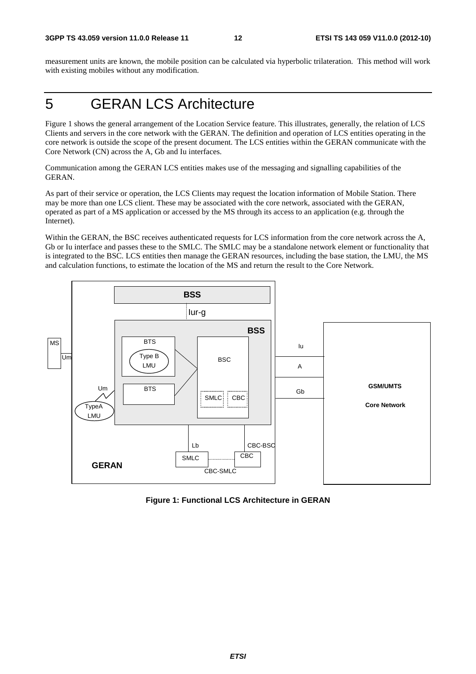measurement units are known, the mobile position can be calculated via hyperbolic trilateration. This method will work with existing mobiles without any modification.

## 5 GERAN LCS Architecture

Figure 1 shows the general arrangement of the Location Service feature. This illustrates, generally, the relation of LCS Clients and servers in the core network with the GERAN. The definition and operation of LCS entities operating in the core network is outside the scope of the present document. The LCS entities within the GERAN communicate with the Core Network (CN) across the A, Gb and Iu interfaces.

Communication among the GERAN LCS entities makes use of the messaging and signalling capabilities of the GERAN.

As part of their service or operation, the LCS Clients may request the location information of Mobile Station. There may be more than one LCS client. These may be associated with the core network, associated with the GERAN, operated as part of a MS application or accessed by the MS through its access to an application (e.g. through the Internet).

Within the GERAN, the BSC receives authenticated requests for LCS information from the core network across the A, Gb or Iu interface and passes these to the SMLC. The SMLC may be a standalone network element or functionality that is integrated to the BSC. LCS entities then manage the GERAN resources, including the base station, the LMU, the MS and calculation functions, to estimate the location of the MS and return the result to the Core Network.



**Figure 1: Functional LCS Architecture in GERAN**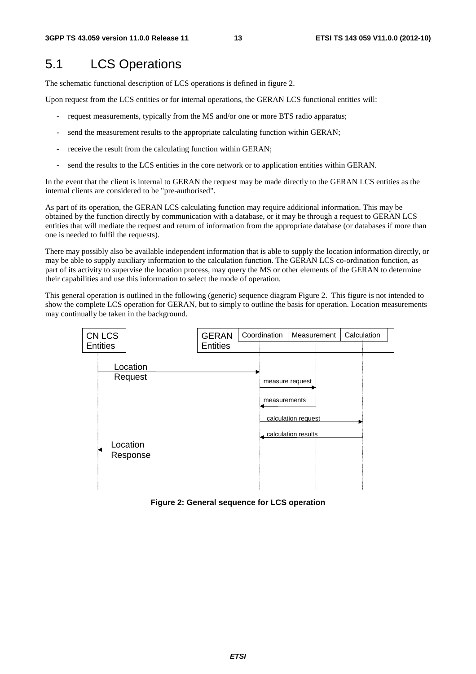## 5.1 LCS Operations

The schematic functional description of LCS operations is defined in figure 2.

Upon request from the LCS entities or for internal operations, the GERAN LCS functional entities will:

- request measurements, typically from the MS and/or one or more BTS radio apparatus;
- send the measurement results to the appropriate calculating function within GERAN;
- receive the result from the calculating function within GERAN;
- send the results to the LCS entities in the core network or to application entities within GERAN.

In the event that the client is internal to GERAN the request may be made directly to the GERAN LCS entities as the internal clients are considered to be "pre-authorised".

As part of its operation, the GERAN LCS calculating function may require additional information. This may be obtained by the function directly by communication with a database, or it may be through a request to GERAN LCS entities that will mediate the request and return of information from the appropriate database (or databases if more than one is needed to fulfil the requests).

There may possibly also be available independent information that is able to supply the location information directly, or may be able to supply auxiliary information to the calculation function. The GERAN LCS co-ordination function, as part of its activity to supervise the location process, may query the MS or other elements of the GERAN to determine their capabilities and use this information to select the mode of operation.

This general operation is outlined in the following (generic) sequence diagram Figure 2. This figure is not intended to show the complete LCS operation for GERAN, but to simply to outline the basis for operation. Location measurements may continually be taken in the background.



**Figure 2: General sequence for LCS operation**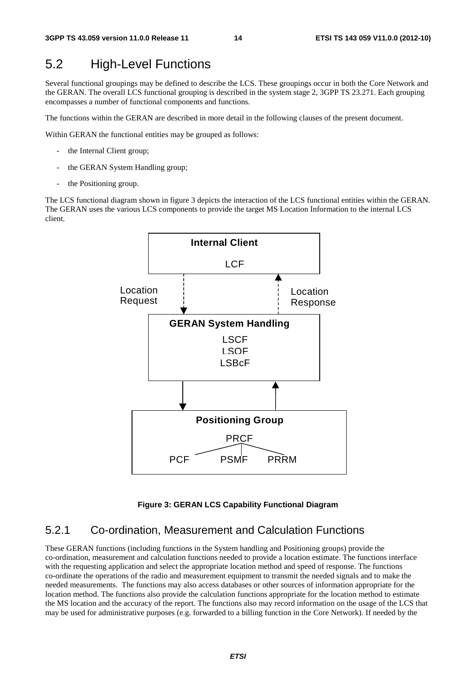## 5.2 High-Level Functions

Several functional groupings may be defined to describe the LCS. These groupings occur in both the Core Network and the GERAN. The overall LCS functional grouping is described in the system stage 2, 3GPP TS 23.271. Each grouping encompasses a number of functional components and functions.

The functions within the GERAN are described in more detail in the following clauses of the present document.

Within GERAN the functional entities may be grouped as follows:

- the Internal Client group;
- the GERAN System Handling group;
- the Positioning group.

The LCS functional diagram shown in figure 3 depicts the interaction of the LCS functional entities within the GERAN. The GERAN uses the various LCS components to provide the target MS Location Information to the internal LCS client.



#### **Figure 3: GERAN LCS Capability Functional Diagram**

### 5.2.1 Co-ordination, Measurement and Calculation Functions

These GERAN functions (including functions in the System handling and Positioning groups) provide the co-ordination, measurement and calculation functions needed to provide a location estimate. The functions interface with the requesting application and select the appropriate location method and speed of response. The functions co-ordinate the operations of the radio and measurement equipment to transmit the needed signals and to make the needed measurements. The functions may also access databases or other sources of information appropriate for the location method. The functions also provide the calculation functions appropriate for the location method to estimate the MS location and the accuracy of the report. The functions also may record information on the usage of the LCS that may be used for administrative purposes (e.g. forwarded to a billing function in the Core Network). If needed by the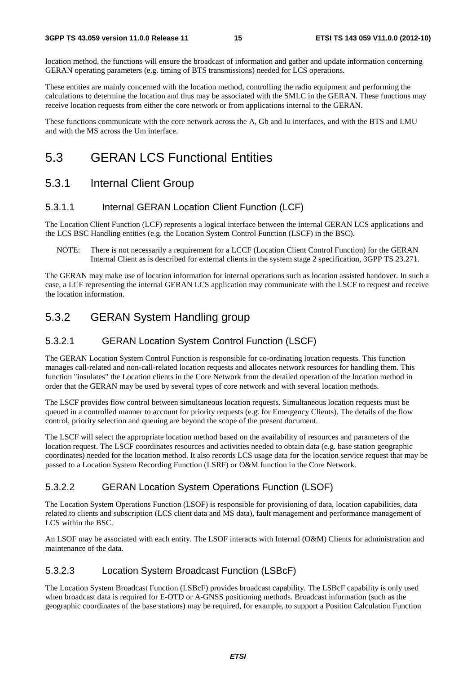location method, the functions will ensure the broadcast of information and gather and update information concerning GERAN operating parameters (e.g. timing of BTS transmissions) needed for LCS operations.

These entities are mainly concerned with the location method, controlling the radio equipment and performing the calculations to determine the location and thus may be associated with the SMLC in the GERAN. These functions may receive location requests from either the core network or from applications internal to the GERAN.

These functions communicate with the core network across the A, Gb and Iu interfaces, and with the BTS and LMU and with the MS across the Um interface.

## 5.3 GERAN LCS Functional Entities

### 5.3.1 Internal Client Group

#### 5.3.1.1 Internal GERAN Location Client Function (LCF)

The Location Client Function (LCF) represents a logical interface between the internal GERAN LCS applications and the LCS BSC Handling entities (e.g. the Location System Control Function (LSCF) in the BSC).

NOTE: There is not necessarily a requirement for a LCCF (Location Client Control Function) for the GERAN Internal Client as is described for external clients in the system stage 2 specification, 3GPP TS 23.271.

The GERAN may make use of location information for internal operations such as location assisted handover. In such a case, a LCF representing the internal GERAN LCS application may communicate with the LSCF to request and receive the location information.

### 5.3.2 GERAN System Handling group

#### 5.3.2.1 GERAN Location System Control Function (LSCF)

The GERAN Location System Control Function is responsible for co-ordinating location requests. This function manages call-related and non-call-related location requests and allocates network resources for handling them. This function "insulates" the Location clients in the Core Network from the detailed operation of the location method in order that the GERAN may be used by several types of core network and with several location methods.

The LSCF provides flow control between simultaneous location requests. Simultaneous location requests must be queued in a controlled manner to account for priority requests (e.g. for Emergency Clients). The details of the flow control, priority selection and queuing are beyond the scope of the present document.

The LSCF will select the appropriate location method based on the availability of resources and parameters of the location request. The LSCF coordinates resources and activities needed to obtain data (e.g. base station geographic coordinates) needed for the location method. It also records LCS usage data for the location service request that may be passed to a Location System Recording Function (LSRF) or O&M function in the Core Network.

#### 5.3.2.2 GERAN Location System Operations Function (LSOF)

The Location System Operations Function (LSOF) is responsible for provisioning of data, location capabilities, data related to clients and subscription (LCS client data and MS data), fault management and performance management of LCS within the BSC.

An LSOF may be associated with each entity. The LSOF interacts with Internal (O&M) Clients for administration and maintenance of the data.

#### 5.3.2.3 Location System Broadcast Function (LSBcF)

The Location System Broadcast Function (LSBcF) provides broadcast capability. The LSBcF capability is only used when broadcast data is required for E-OTD or A-GNSS positioning methods. Broadcast information (such as the geographic coordinates of the base stations) may be required, for example, to support a Position Calculation Function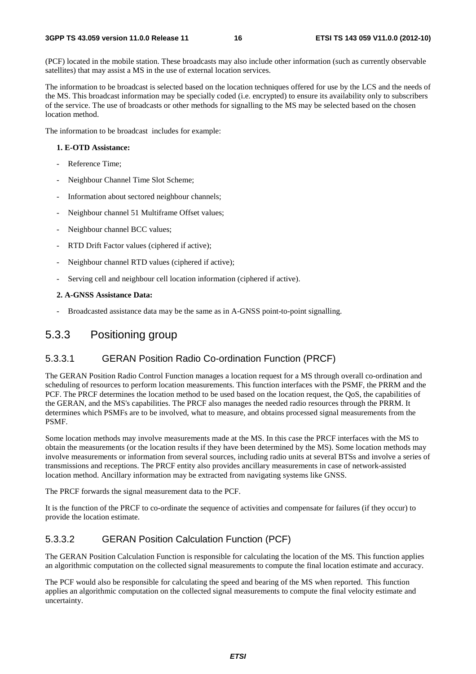(PCF) located in the mobile station. These broadcasts may also include other information (such as currently observable satellites) that may assist a MS in the use of external location services.

The information to be broadcast is selected based on the location techniques offered for use by the LCS and the needs of the MS. This broadcast information may be specially coded (i.e. encrypted) to ensure its availability only to subscribers of the service. The use of broadcasts or other methods for signalling to the MS may be selected based on the chosen location method.

The information to be broadcast includes for example:

#### **1. E-OTD Assistance:**

- Reference Time:
- Neighbour Channel Time Slot Scheme;
- Information about sectored neighbour channels;
- Neighbour channel 51 Multiframe Offset values;
- Neighbour channel BCC values;
- RTD Drift Factor values (ciphered if active);
- Neighbour channel RTD values (ciphered if active);
- Serving cell and neighbour cell location information (ciphered if active).

#### **2. A-GNSS Assistance Data:**

Broadcasted assistance data may be the same as in A-GNSS point-to-point signalling.

#### 5.3.3 Positioning group

#### 5.3.3.1 GERAN Position Radio Co-ordination Function (PRCF)

The GERAN Position Radio Control Function manages a location request for a MS through overall co-ordination and scheduling of resources to perform location measurements. This function interfaces with the PSMF, the PRRM and the PCF. The PRCF determines the location method to be used based on the location request, the QoS, the capabilities of the GERAN, and the MS's capabilities. The PRCF also manages the needed radio resources through the PRRM. It determines which PSMFs are to be involved, what to measure, and obtains processed signal measurements from the PSMF.

Some location methods may involve measurements made at the MS. In this case the PRCF interfaces with the MS to obtain the measurements (or the location results if they have been determined by the MS). Some location methods may involve measurements or information from several sources, including radio units at several BTSs and involve a series of transmissions and receptions. The PRCF entity also provides ancillary measurements in case of network-assisted location method. Ancillary information may be extracted from navigating systems like GNSS.

The PRCF forwards the signal measurement data to the PCF.

It is the function of the PRCF to co-ordinate the sequence of activities and compensate for failures (if they occur) to provide the location estimate.

#### 5.3.3.2 GERAN Position Calculation Function (PCF)

The GERAN Position Calculation Function is responsible for calculating the location of the MS. This function applies an algorithmic computation on the collected signal measurements to compute the final location estimate and accuracy.

The PCF would also be responsible for calculating the speed and bearing of the MS when reported. This function applies an algorithmic computation on the collected signal measurements to compute the final velocity estimate and uncertainty.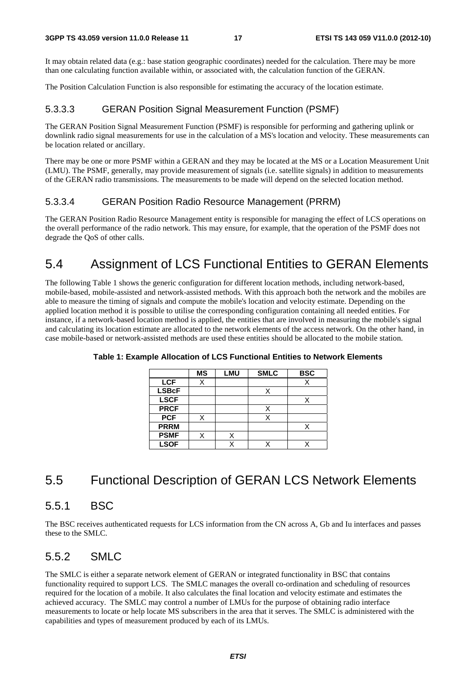It may obtain related data (e.g.: base station geographic coordinates) needed for the calculation. There may be more than one calculating function available within, or associated with, the calculation function of the GERAN.

The Position Calculation Function is also responsible for estimating the accuracy of the location estimate.

### 5.3.3.3 GERAN Position Signal Measurement Function (PSMF)

The GERAN Position Signal Measurement Function (PSMF) is responsible for performing and gathering uplink or downlink radio signal measurements for use in the calculation of a MS's location and velocity. These measurements can be location related or ancillary.

There may be one or more PSMF within a GERAN and they may be located at the MS or a Location Measurement Unit (LMU). The PSMF, generally, may provide measurement of signals (i.e. satellite signals) in addition to measurements of the GERAN radio transmissions. The measurements to be made will depend on the selected location method.

### 5.3.3.4 GERAN Position Radio Resource Management (PRRM)

The GERAN Position Radio Resource Management entity is responsible for managing the effect of LCS operations on the overall performance of the radio network. This may ensure, for example, that the operation of the PSMF does not degrade the QoS of other calls.

## 5.4 Assignment of LCS Functional Entities to GERAN Elements

The following Table 1 shows the generic configuration for different location methods, including network-based, mobile-based, mobile-assisted and network-assisted methods. With this approach both the network and the mobiles are able to measure the timing of signals and compute the mobile's location and velocity estimate. Depending on the applied location method it is possible to utilise the corresponding configuration containing all needed entities. For instance, if a network-based location method is applied, the entities that are involved in measuring the mobile's signal and calculating its location estimate are allocated to the network elements of the access network. On the other hand, in case mobile-based or network-assisted methods are used these entities should be allocated to the mobile station.

|              | <b>MS</b> | <b>LMU</b> | <b>SMLC</b> | <b>BSC</b> |
|--------------|-----------|------------|-------------|------------|
| <b>LCF</b>   | Χ         |            |             |            |
| <b>LSBcF</b> |           |            |             |            |
| <b>LSCF</b>  |           |            |             |            |
| <b>PRCF</b>  |           |            | X           |            |
| <b>PCF</b>   |           |            |             |            |
| <b>PRRM</b>  |           |            |             |            |
| <b>PSMF</b>  |           |            |             |            |
| <b>LSOF</b>  |           |            |             |            |

**Table 1: Example Allocation of LCS Functional Entities to Network Elements** 

## 5.5 Functional Description of GERAN LCS Network Elements

## 5.5.1 BSC

The BSC receives authenticated requests for LCS information from the CN across A, Gb and Iu interfaces and passes these to the SMLC.

## 5.5.2 SMLC

The SMLC is either a separate network element of GERAN or integrated functionality in BSC that contains functionality required to support LCS. The SMLC manages the overall co-ordination and scheduling of resources required for the location of a mobile. It also calculates the final location and velocity estimate and estimates the achieved accuracy. The SMLC may control a number of LMUs for the purpose of obtaining radio interface measurements to locate or help locate MS subscribers in the area that it serves. The SMLC is administered with the capabilities and types of measurement produced by each of its LMUs.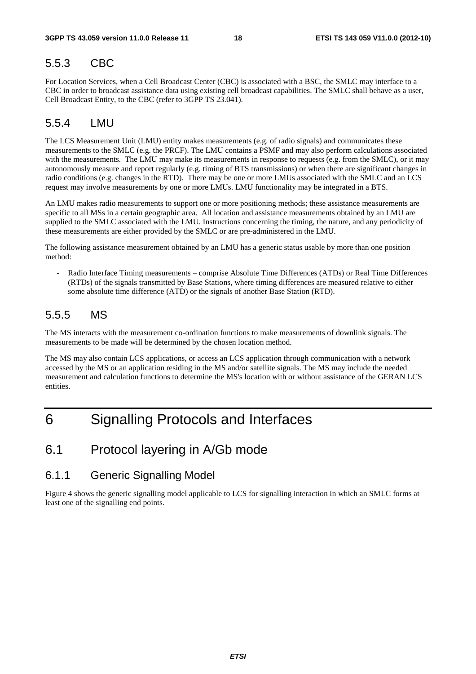## 5.5.3 CBC

For Location Services, when a Cell Broadcast Center (CBC) is associated with a BSC, the SMLC may interface to a CBC in order to broadcast assistance data using existing cell broadcast capabilities. The SMLC shall behave as a user, Cell Broadcast Entity, to the CBC (refer to 3GPP TS 23.041).

## 5.5.4 LMU

The LCS Measurement Unit (LMU) entity makes measurements (e.g. of radio signals) and communicates these measurements to the SMLC (e.g. the PRCF). The LMU contains a PSMF and may also perform calculations associated with the measurements. The LMU may make its measurements in response to requests (e.g. from the SMLC), or it may autonomously measure and report regularly (e.g. timing of BTS transmissions) or when there are significant changes in radio conditions (e.g. changes in the RTD). There may be one or more LMUs associated with the SMLC and an LCS request may involve measurements by one or more LMUs. LMU functionality may be integrated in a BTS.

An LMU makes radio measurements to support one or more positioning methods; these assistance measurements are specific to all MSs in a certain geographic area. All location and assistance measurements obtained by an LMU are supplied to the SMLC associated with the LMU. Instructions concerning the timing, the nature, and any periodicity of these measurements are either provided by the SMLC or are pre-administered in the LMU.

The following assistance measurement obtained by an LMU has a generic status usable by more than one position method:

- Radio Interface Timing measurements – comprise Absolute Time Differences (ATDs) or Real Time Differences (RTDs) of the signals transmitted by Base Stations, where timing differences are measured relative to either some absolute time difference (ATD) or the signals of another Base Station (RTD).

## 5.5.5 MS

The MS interacts with the measurement co-ordination functions to make measurements of downlink signals. The measurements to be made will be determined by the chosen location method.

The MS may also contain LCS applications, or access an LCS application through communication with a network accessed by the MS or an application residing in the MS and/or satellite signals. The MS may include the needed measurement and calculation functions to determine the MS's location with or without assistance of the GERAN LCS entities.

## 6 Signalling Protocols and Interfaces

## 6.1 Protocol layering in A/Gb mode

### 6.1.1 Generic Signalling Model

Figure 4 shows the generic signalling model applicable to LCS for signalling interaction in which an SMLC forms at least one of the signalling end points.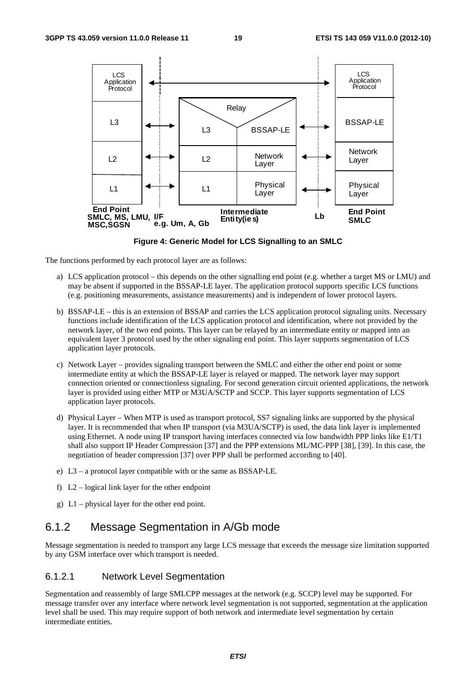

**Figure 4: Generic Model for LCS Signalling to an SMLC** 

The functions performed by each protocol layer are as follows:

- a) LCS application protocol this depends on the other signalling end point (e.g. whether a target MS or LMU) and may be absent if supported in the BSSAP-LE layer. The application protocol supports specific LCS functions (e.g. positioning measurements, assistance measurements) and is independent of lower protocol layers.
- b) BSSAP-LE this is an extension of BSSAP and carries the LCS application protocol signaling units. Necessary functions include identification of the LCS application protocol and identification, where not provided by the network layer, of the two end points. This layer can be relayed by an intermediate entity or mapped into an equivalent layer 3 protocol used by the other signaling end point. This layer supports segmentation of LCS application layer protocols.
- c) Network Layer provides signaling transport between the SMLC and either the other end point or some intermediate entity at which the BSSAP-LE layer is relayed or mapped. The network layer may support connection oriented or connectionless signaling. For second generation circuit oriented applications, the network layer is provided using either MTP or M3UA/SCTP and SCCP. This layer supports segmentation of LCS application layer protocols.
- d) Physical Layer When MTP is used as transport protocol, SS7 signaling links are supported by the physical layer. It is recommended that when IP transport (via M3UA/SCTP) is used, the data link layer is implemented using Ethernet. A node using IP transport having interfaces connected via low bandwidth PPP links like E1/T1 shall also support IP Header Compression [37] and the PPP extensions ML/MC-PPP [38], [39]. In this case, the negotiation of header compression [37] over PPP shall be performed according to [40].
- e) L3 a protocol layer compatible with or the same as BSSAP-LE.
- f)  $L2$  logical link layer for the other endpoint
- g) L1 physical layer for the other end point.

### 6.1.2 Message Segmentation in A/Gb mode

Message segmentation is needed to transport any large LCS message that exceeds the message size limitation supported by any GSM interface over which transport is needed.

#### 6.1.2.1 Network Level Segmentation

Segmentation and reassembly of large SMLCPP messages at the network (e.g. SCCP) level may be supported. For message transfer over any interface where network level segmentation is not supported, segmentation at the application level shall be used. This may require support of both network and intermediate level segmentation by certain intermediate entities.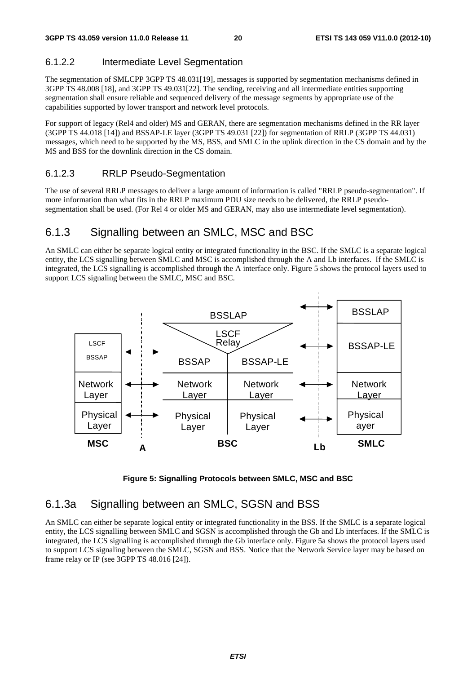### 6.1.2.2 Intermediate Level Segmentation

The segmentation of SMLCPP 3GPP TS 48.031[19], messages is supported by segmentation mechanisms defined in 3GPP TS 48.008 [18], and 3GPP TS 49.031[22]. The sending, receiving and all intermediate entities supporting segmentation shall ensure reliable and sequenced delivery of the message segments by appropriate use of the capabilities supported by lower transport and network level protocols.

For support of legacy (Rel4 and older) MS and GERAN, there are segmentation mechanisms defined in the RR layer (3GPP TS 44.018 [14]) and BSSAP-LE layer (3GPP TS 49.031 [22]) for segmentation of RRLP (3GPP TS 44.031) messages, which need to be supported by the MS, BSS, and SMLC in the uplink direction in the CS domain and by the MS and BSS for the downlink direction in the CS domain.

#### 6.1.2.3 RRLP Pseudo-Segmentation

The use of several RRLP messages to deliver a large amount of information is called "RRLP pseudo-segmentation". If more information than what fits in the RRLP maximum PDU size needs to be delivered, the RRLP pseudosegmentation shall be used. (For Rel 4 or older MS and GERAN, may also use intermediate level segmentation).

## 6.1.3 Signalling between an SMLC, MSC and BSC

An SMLC can either be separate logical entity or integrated functionality in the BSC. If the SMLC is a separate logical entity, the LCS signalling between SMLC and MSC is accomplished through the A and Lb interfaces. If the SMLC is integrated, the LCS signalling is accomplished through the A interface only. Figure 5 shows the protocol layers used to support LCS signaling between the SMLC, MSC and BSC.





## 6.1.3a Signalling between an SMLC, SGSN and BSS

An SMLC can either be separate logical entity or integrated functionality in the BSS. If the SMLC is a separate logical entity, the LCS signalling between SMLC and SGSN is accomplished through the Gb and Lb interfaces. If the SMLC is integrated, the LCS signalling is accomplished through the Gb interface only. Figure 5a shows the protocol layers used to support LCS signaling between the SMLC, SGSN and BSS. Notice that the Network Service layer may be based on frame relay or IP (see 3GPP TS 48.016 [24]).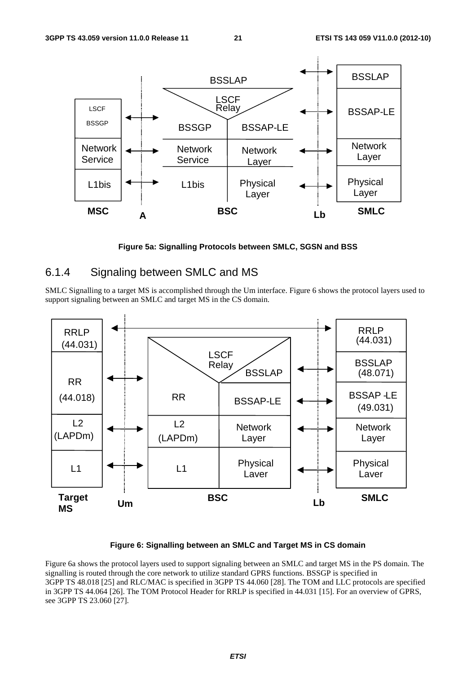

**Figure 5a: Signalling Protocols between SMLC, SGSN and BSS** 

## 6.1.4 Signaling between SMLC and MS

SMLC Signalling to a target MS is accomplished through the Um interface. Figure 6 shows the protocol layers used to support signaling between an SMLC and target MS in the CS domain.



#### **Figure 6: Signalling between an SMLC and Target MS in CS domain**

Figure 6a shows the protocol layers used to support signaling between an SMLC and target MS in the PS domain. The signalling is routed through the core network to utilize standard GPRS functions. BSSGP is specified in 3GPP TS 48.018 [25] and RLC/MAC is specified in 3GPP TS 44.060 [28]. The TOM and LLC protocols are specified in 3GPP TS 44.064 [26]. The TOM Protocol Header for RRLP is specified in 44.031 [15]. For an overview of GPRS, see 3GPP TS 23.060 [27].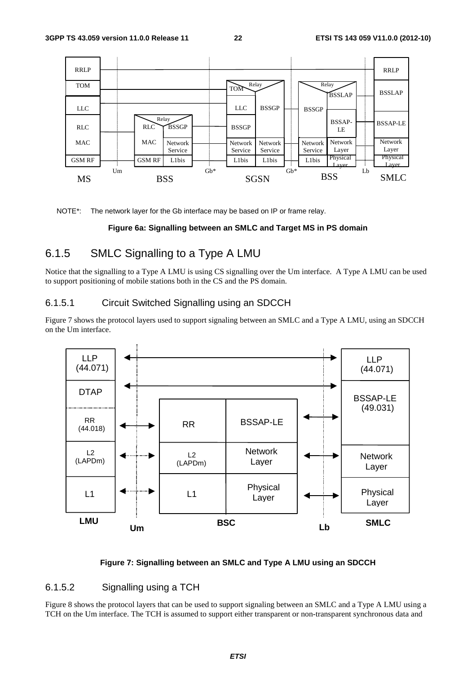

NOTE\*: The network layer for the Gb interface may be based on IP or frame relay.

#### **Figure 6a: Signalling between an SMLC and Target MS in PS domain**

### 6.1.5 SMLC Signalling to a Type A LMU

Notice that the signalling to a Type A LMU is using CS signalling over the Um interface. A Type A LMU can be used to support positioning of mobile stations both in the CS and the PS domain.

#### 6.1.5.1 Circuit Switched Signalling using an SDCCH

Figure 7 shows the protocol layers used to support signaling between an SMLC and a Type A LMU, using an SDCCH on the Um interface.



#### **Figure 7: Signalling between an SMLC and Type A LMU using an SDCCH**

#### 6.1.5.2 Signalling using a TCH

Figure 8 shows the protocol layers that can be used to support signaling between an SMLC and a Type A LMU using a TCH on the Um interface. The TCH is assumed to support either transparent or non-transparent synchronous data and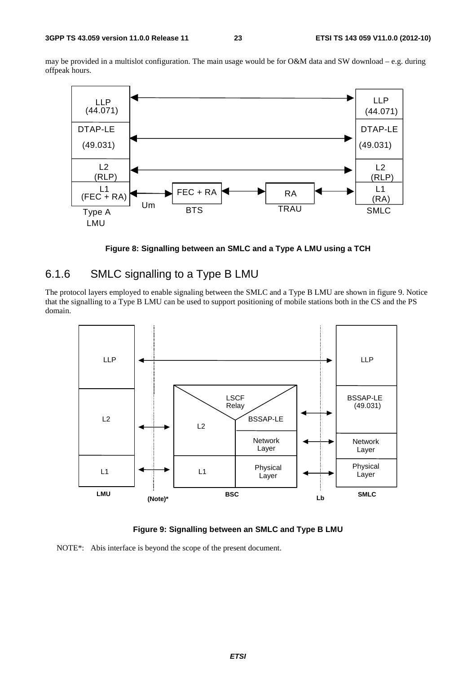may be provided in a multislot configuration. The main usage would be for O&M data and SW download – e.g. during offpeak hours.





### 6.1.6 SMLC signalling to a Type B LMU

The protocol layers employed to enable signaling between the SMLC and a Type B LMU are shown in figure 9. Notice that the signalling to a Type B LMU can be used to support positioning of mobile stations both in the CS and the PS domain.



**Figure 9: Signalling between an SMLC and Type B LMU** 

NOTE\*: Abis interface is beyond the scope of the present document.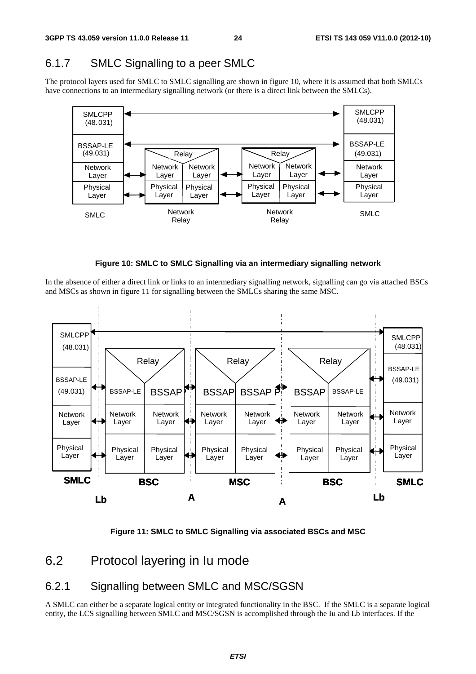## 6.1.7 SMLC Signalling to a peer SMLC

The protocol layers used for SMLC to SMLC signalling are shown in figure 10, where it is assumed that both SMLCs have connections to an intermediary signalling network (or there is a direct link between the SMLCs).





In the absence of either a direct link or links to an intermediary signalling network, signalling can go via attached BSCs and MSCs as shown in figure 11 for signalling between the SMLCs sharing the same MSC.



**Figure 11: SMLC to SMLC Signalling via associated BSCs and MSC** 

## 6.2 Protocol layering in Iu mode

## 6.2.1 Signalling between SMLC and MSC/SGSN

A SMLC can either be a separate logical entity or integrated functionality in the BSC. If the SMLC is a separate logical entity, the LCS signalling between SMLC and MSC/SGSN is accomplished through the Iu and Lb interfaces. If the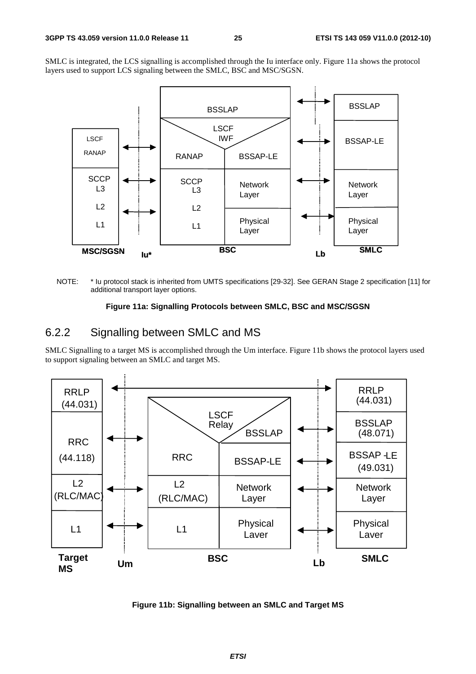SMLC is integrated, the LCS signalling is accomplished through the Iu interface only. Figure 11a shows the protocol layers used to support LCS signaling between the SMLC, BSC and MSC/SGSN.



NOTE: \* Iu protocol stack is inherited from UMTS specifications [29-32]. See GERAN Stage 2 specification [11] for additional transport layer options.

#### **Figure 11a: Signalling Protocols between SMLC, BSC and MSC/SGSN**

### 6.2.2 Signalling between SMLC and MS

SMLC Signalling to a target MS is accomplished through the Um interface. Figure 11b shows the protocol layers used to support signaling between an SMLC and target MS.



**Figure 11b: Signalling between an SMLC and Target MS**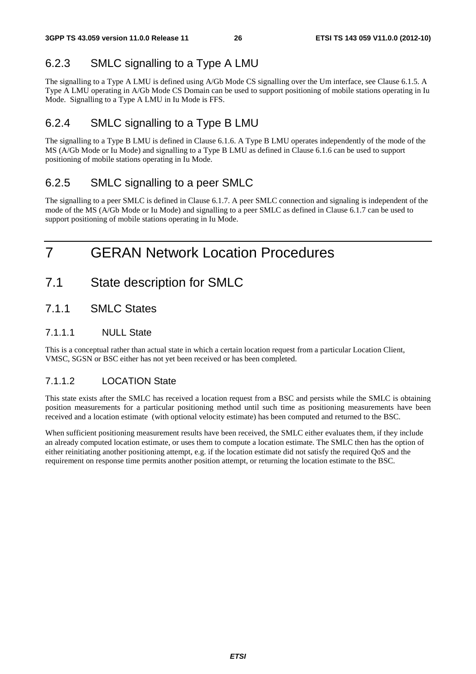## 6.2.3 SMLC signalling to a Type A LMU

The signalling to a Type A LMU is defined using A/Gb Mode CS signalling over the Um interface, see Clause 6.1.5. A Type A LMU operating in A/Gb Mode CS Domain can be used to support positioning of mobile stations operating in Iu Mode. Signalling to a Type A LMU in Iu Mode is FFS.

## 6.2.4 SMLC signalling to a Type B LMU

The signalling to a Type B LMU is defined in Clause 6.1.6. A Type B LMU operates independently of the mode of the MS (A/Gb Mode or Iu Mode) and signalling to a Type B LMU as defined in Clause 6.1.6 can be used to support positioning of mobile stations operating in Iu Mode.

## 6.2.5 SMLC signalling to a peer SMLC

The signalling to a peer SMLC is defined in Clause 6.1.7. A peer SMLC connection and signaling is independent of the mode of the MS (A/Gb Mode or Iu Mode) and signalling to a peer SMLC as defined in Clause 6.1.7 can be used to support positioning of mobile stations operating in Iu Mode.

## 7 GERAN Network Location Procedures

- 7.1 State description for SMLC
- 7.1.1 SMLC States

#### 7.1.1.1 NULL State

This is a conceptual rather than actual state in which a certain location request from a particular Location Client, VMSC, SGSN or BSC either has not yet been received or has been completed.

### 7.1.1.2 LOCATION State

This state exists after the SMLC has received a location request from a BSC and persists while the SMLC is obtaining position measurements for a particular positioning method until such time as positioning measurements have been received and a location estimate (with optional velocity estimate) has been computed and returned to the BSC.

When sufficient positioning measurement results have been received, the SMLC either evaluates them, if they include an already computed location estimate, or uses them to compute a location estimate. The SMLC then has the option of either reinitiating another positioning attempt, e.g. if the location estimate did not satisfy the required QoS and the requirement on response time permits another position attempt, or returning the location estimate to the BSC.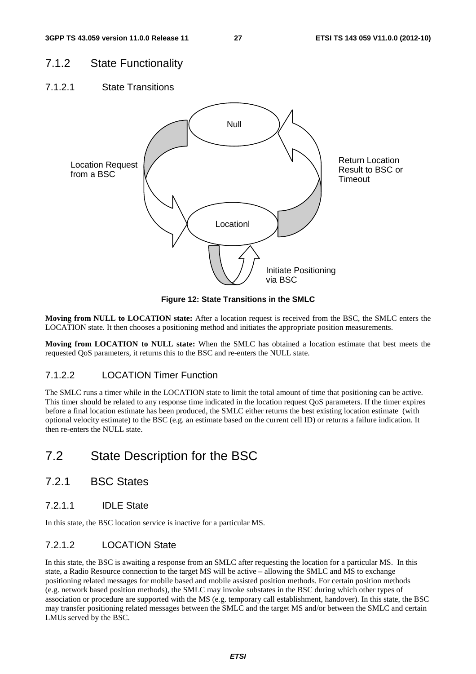## 7.1.2 State Functionality

7.1.2.1 State Transitions



**Figure 12: State Transitions in the SMLC** 

**Moving from NULL to LOCATION state:** After a location request is received from the BSC, the SMLC enters the LOCATION state. It then chooses a positioning method and initiates the appropriate position measurements.

**Moving from LOCATION to NULL state:** When the SMLC has obtained a location estimate that best meets the requested QoS parameters, it returns this to the BSC and re-enters the NULL state.

### 7.1.2.2 LOCATION Timer Function

The SMLC runs a timer while in the LOCATION state to limit the total amount of time that positioning can be active. This timer should be related to any response time indicated in the location request QoS parameters. If the timer expires before a final location estimate has been produced, the SMLC either returns the best existing location estimate (with optional velocity estimate) to the BSC (e.g. an estimate based on the current cell ID) or returns a failure indication. It then re-enters the NULL state.

## 7.2 State Description for the BSC

- 7.2.1 BSC States
- 7.2.1.1 IDLE State

In this state, the BSC location service is inactive for a particular MS.

### 7.2.1.2 LOCATION State

In this state, the BSC is awaiting a response from an SMLC after requesting the location for a particular MS. In this state, a Radio Resource connection to the target MS will be active – allowing the SMLC and MS to exchange positioning related messages for mobile based and mobile assisted position methods. For certain position methods (e.g. network based position methods), the SMLC may invoke substates in the BSC during which other types of association or procedure are supported with the MS (e.g. temporary call establishment, handover). In this state, the BSC may transfer positioning related messages between the SMLC and the target MS and/or between the SMLC and certain LMUs served by the BSC.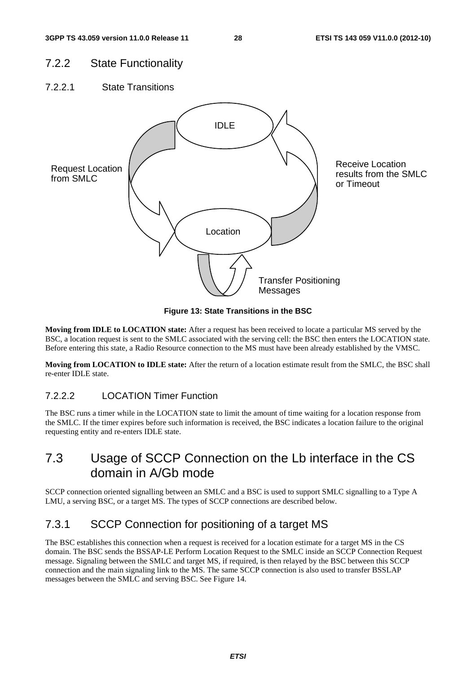## 7.2.2 State Functionality

7.2.2.1 State Transitions



**Figure 13: State Transitions in the BSC** 

**Moving from IDLE to LOCATION state:** After a request has been received to locate a particular MS served by the BSC, a location request is sent to the SMLC associated with the serving cell: the BSC then enters the LOCATION state. Before entering this state, a Radio Resource connection to the MS must have been already established by the VMSC.

**Moving from LOCATION to IDLE state:** After the return of a location estimate result from the SMLC, the BSC shall re-enter IDLE state.

### 7.2.2.2 LOCATION Timer Function

The BSC runs a timer while in the LOCATION state to limit the amount of time waiting for a location response from the SMLC. If the timer expires before such information is received, the BSC indicates a location failure to the original requesting entity and re-enters IDLE state.

## 7.3 Usage of SCCP Connection on the Lb interface in the CS domain in A/Gb mode

SCCP connection oriented signalling between an SMLC and a BSC is used to support SMLC signalling to a Type A LMU, a serving BSC, or a target MS. The types of SCCP connections are described below.

## 7.3.1 SCCP Connection for positioning of a target MS

The BSC establishes this connection when a request is received for a location estimate for a target MS in the CS domain. The BSC sends the BSSAP-LE Perform Location Request to the SMLC inside an SCCP Connection Request message. Signaling between the SMLC and target MS, if required, is then relayed by the BSC between this SCCP connection and the main signaling link to the MS. The same SCCP connection is also used to transfer BSSLAP messages between the SMLC and serving BSC. See Figure 14.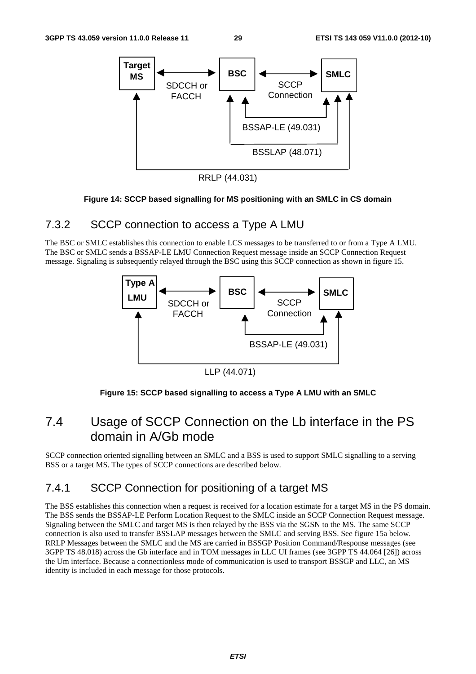

RRLP (44.031)

#### **Figure 14: SCCP based signalling for MS positioning with an SMLC in CS domain**

## 7.3.2 SCCP connection to access a Type A LMU

The BSC or SMLC establishes this connection to enable LCS messages to be transferred to or from a Type A LMU. The BSC or SMLC sends a BSSAP-LE LMU Connection Request message inside an SCCP Connection Request message. Signaling is subsequently relayed through the BSC using this SCCP connection as shown in figure 15.



LLP (44.071)

#### **Figure 15: SCCP based signalling to access a Type A LMU with an SMLC**

## 7.4 Usage of SCCP Connection on the Lb interface in the PS domain in A/Gb mode

SCCP connection oriented signalling between an SMLC and a BSS is used to support SMLC signalling to a serving BSS or a target MS. The types of SCCP connections are described below.

## 7.4.1 SCCP Connection for positioning of a target MS

The BSS establishes this connection when a request is received for a location estimate for a target MS in the PS domain. The BSS sends the BSSAP-LE Perform Location Request to the SMLC inside an SCCP Connection Request message. Signaling between the SMLC and target MS is then relayed by the BSS via the SGSN to the MS. The same SCCP connection is also used to transfer BSSLAP messages between the SMLC and serving BSS. See figure 15a below. RRLP Messages between the SMLC and the MS are carried in BSSGP Position Command/Response messages (see 3GPP TS 48.018) across the Gb interface and in TOM messages in LLC UI frames (see 3GPP TS 44.064 [26]) across the Um interface. Because a connectionless mode of communication is used to transport BSSGP and LLC, an MS identity is included in each message for those protocols.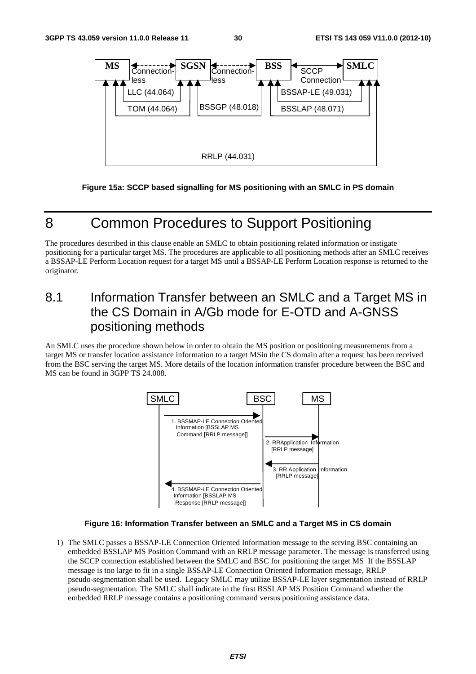

**Figure 15a: SCCP based signalling for MS positioning with an SMLC in PS domain** 

## 8 Common Procedures to Support Positioning

The procedures described in this clause enable an SMLC to obtain positioning related information or instigate positioning for a particular target MS. The procedures are applicable to all positioning methods after an SMLC receives a BSSAP-LE Perform Location request for a target MS until a BSSAP-LE Perform Location response is returned to the originator.

## 8.1 Information Transfer between an SMLC and a Target MS in the CS Domain in A/Gb mode for E-OTD and A-GNSS positioning methods

An SMLC uses the procedure shown below in order to obtain the MS position or positioning measurements from a target MS or transfer location assistance information to a target MSin the CS domain after a request has been received from the BSC serving the target MS. More details of the location information transfer procedure between the BSC and MS can be found in 3GPP TS 24.008.



#### **Figure 16: Information Transfer between an SMLC and a Target MS in CS domain**

1) The SMLC passes a BSSAP-LE Connection Oriented Information message to the serving BSC containing an embedded BSSLAP MS Position Command with an RRLP message parameter. The message is transferred using the SCCP connection established between the SMLC and BSC for positioning the target MS If the BSSLAP message is too large to fit in a single BSSAP-LE Connection Oriented Information message, RRLP pseudo-segmentation shall be used. Legacy SMLC may utilize BSSAP-LE layer segmentation instead of RRLP pseudo-segmentation. The SMLC shall indicate in the first BSSLAP MS Position Command whether the embedded RRLP message contains a positioning command versus positioning assistance data.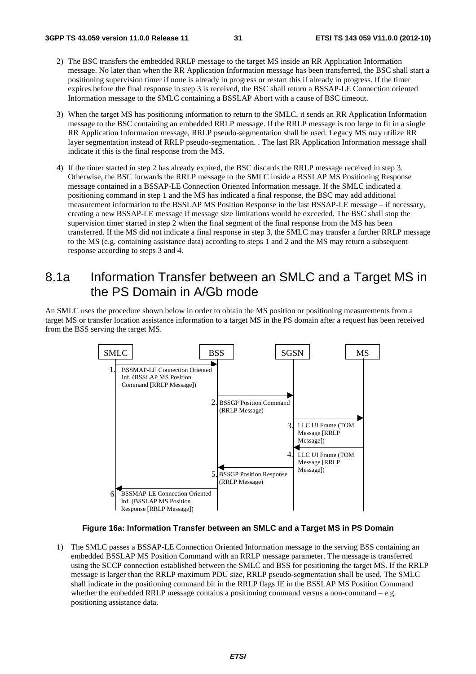- 2) The BSC transfers the embedded RRLP message to the target MS inside an RR Application Information message. No later than when the RR Application Information message has been transferred, the BSC shall start a positioning supervision timer if none is already in progress or restart this if already in progress. If the timer expires before the final response in step 3 is received, the BSC shall return a BSSAP-LE Connection oriented Information message to the SMLC containing a BSSLAP Abort with a cause of BSC timeout.
- 3) When the target MS has positioning information to return to the SMLC, it sends an RR Application Information message to the BSC containing an embedded RRLP message. If the RRLP message is too large to fit in a single RR Application Information message, RRLP pseudo-segmentation shall be used. Legacy MS may utilize RR layer segmentation instead of RRLP pseudo-segmentation. . The last RR Application Information message shall indicate if this is the final response from the MS.
- 4) If the timer started in step 2 has already expired, the BSC discards the RRLP message received in step 3. Otherwise, the BSC forwards the RRLP message to the SMLC inside a BSSLAP MS Positioning Response message contained in a BSSAP-LE Connection Oriented Information message. If the SMLC indicated a positioning command in step 1 and the MS has indicated a final response, the BSC may add additional measurement information to the BSSLAP MS Position Response in the last BSSAP-LE message – if necessary, creating a new BSSAP-LE message if message size limitations would be exceeded. The BSC shall stop the supervision timer started in step 2 when the final segment of the final response from the MS has been transferred. If the MS did not indicate a final response in step 3, the SMLC may transfer a further RRLP message to the MS (e.g. containing assistance data) according to steps 1 and 2 and the MS may return a subsequent response according to steps 3 and 4.

## 8.1a Information Transfer between an SMLC and a Target MS in the PS Domain in A/Gb mode

An SMLC uses the procedure shown below in order to obtain the MS position or positioning measurements from a target MS or transfer location assistance information to a target MS in the PS domain after a request has been received from the BSS serving the target MS.



#### **Figure 16a: Information Transfer between an SMLC and a Target MS in PS Domain**

1) The SMLC passes a BSSAP-LE Connection Oriented Information message to the serving BSS containing an embedded BSSLAP MS Position Command with an RRLP message parameter. The message is transferred using the SCCP connection established between the SMLC and BSS for positioning the target MS. If the RRLP message is larger than the RRLP maximum PDU size, RRLP pseudo-segmentation shall be used. The SMLC shall indicate in the positioning command bit in the RRLP flags IE in the BSSLAP MS Position Command whether the embedded RRLP message contains a positioning command versus a non-command  $-e.g.$ positioning assistance data.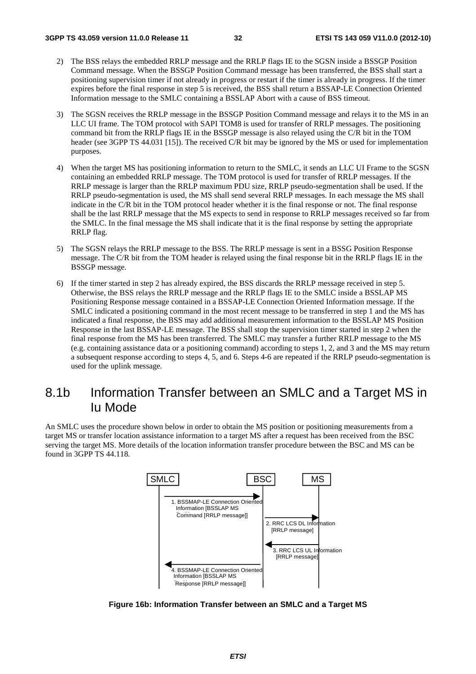- 2) The BSS relays the embedded RRLP message and the RRLP flags IE to the SGSN inside a BSSGP Position Command message. When the BSSGP Position Command message has been transferred, the BSS shall start a positioning supervision timer if not already in progress or restart if the timer is already in progress. If the timer expires before the final response in step 5 is received, the BSS shall return a BSSAP-LE Connection Oriented Information message to the SMLC containing a BSSLAP Abort with a cause of BSS timeout.
- 3) The SGSN receives the RRLP message in the BSSGP Position Command message and relays it to the MS in an LLC UI frame. The TOM protocol with SAPI TOM8 is used for transfer of RRLP messages. The positioning command bit from the RRLP flags IE in the BSSGP message is also relayed using the C/R bit in the TOM header (see 3GPP TS 44.031 [15]). The received C/R bit may be ignored by the MS or used for implementation purposes.
- 4) When the target MS has positioning information to return to the SMLC, it sends an LLC UI Frame to the SGSN containing an embedded RRLP message. The TOM protocol is used for transfer of RRLP messages. If the RRLP message is larger than the RRLP maximum PDU size, RRLP pseudo-segmentation shall be used. If the RRLP pseudo-segmentation is used, the MS shall send several RRLP messages. In each message the MS shall indicate in the C/R bit in the TOM protocol header whether it is the final response or not. The final response shall be the last RRLP message that the MS expects to send in response to RRLP messages received so far from the SMLC. In the final message the MS shall indicate that it is the final response by setting the appropriate RRLP flag.
- 5) The SGSN relays the RRLP message to the BSS. The RRLP message is sent in a BSSG Position Response message. The C/R bit from the TOM header is relayed using the final response bit in the RRLP flags IE in the BSSGP message.
- 6) If the timer started in step 2 has already expired, the BSS discards the RRLP message received in step 5. Otherwise, the BSS relays the RRLP message and the RRLP flags IE to the SMLC inside a BSSLAP MS Positioning Response message contained in a BSSAP-LE Connection Oriented Information message. If the SMLC indicated a positioning command in the most recent message to be transferred in step 1 and the MS has indicated a final response, the BSS may add additional measurement information to the BSSLAP MS Position Response in the last BSSAP-LE message. The BSS shall stop the supervision timer started in step 2 when the final response from the MS has been transferred. The SMLC may transfer a further RRLP message to the MS (e.g. containing assistance data or a positioning command) according to steps 1, 2, and 3 and the MS may return a subsequent response according to steps 4, 5, and 6. Steps 4-6 are repeated if the RRLP pseudo-segmentation is used for the uplink message.

## 8.1b Information Transfer between an SMLC and a Target MS in Iu Mode

An SMLC uses the procedure shown below in order to obtain the MS position or positioning measurements from a target MS or transfer location assistance information to a target MS after a request has been received from the BSC serving the target MS. More details of the location information transfer procedure between the BSC and MS can be found in 3GPP TS 44.118.



**Figure 16b: Information Transfer between an SMLC and a Target MS**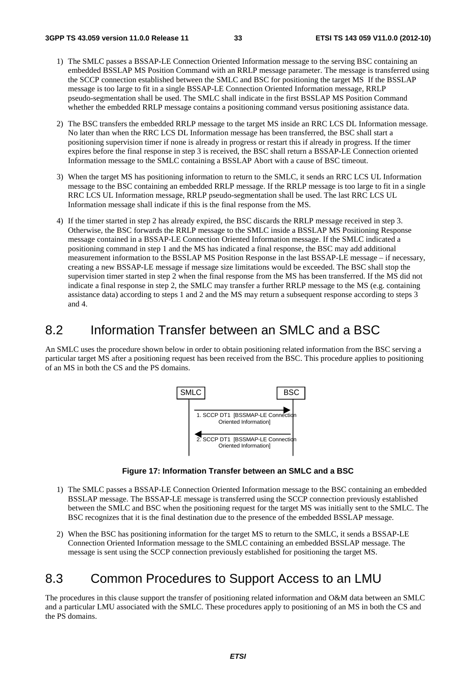- 1) The SMLC passes a BSSAP-LE Connection Oriented Information message to the serving BSC containing an embedded BSSLAP MS Position Command with an RRLP message parameter. The message is transferred using the SCCP connection established between the SMLC and BSC for positioning the target MS If the BSSLAP message is too large to fit in a single BSSAP-LE Connection Oriented Information message, RRLP pseudo-segmentation shall be used. The SMLC shall indicate in the first BSSLAP MS Position Command whether the embedded RRLP message contains a positioning command versus positioning assistance data.
- 2) The BSC transfers the embedded RRLP message to the target MS inside an RRC LCS DL Information message. No later than when the RRC LCS DL Information message has been transferred, the BSC shall start a positioning supervision timer if none is already in progress or restart this if already in progress. If the timer expires before the final response in step 3 is received, the BSC shall return a BSSAP-LE Connection oriented Information message to the SMLC containing a BSSLAP Abort with a cause of BSC timeout.
- 3) When the target MS has positioning information to return to the SMLC, it sends an RRC LCS UL Information message to the BSC containing an embedded RRLP message. If the RRLP message is too large to fit in a single RRC LCS UL Information message, RRLP pseudo-segmentation shall be used. The last RRC LCS UL Information message shall indicate if this is the final response from the MS.
- 4) If the timer started in step 2 has already expired, the BSC discards the RRLP message received in step 3. Otherwise, the BSC forwards the RRLP message to the SMLC inside a BSSLAP MS Positioning Response message contained in a BSSAP-LE Connection Oriented Information message. If the SMLC indicated a positioning command in step 1 and the MS has indicated a final response, the BSC may add additional measurement information to the BSSLAP MS Position Response in the last BSSAP-LE message – if necessary, creating a new BSSAP-LE message if message size limitations would be exceeded. The BSC shall stop the supervision timer started in step 2 when the final response from the MS has been transferred. If the MS did not indicate a final response in step 2, the SMLC may transfer a further RRLP message to the MS (e.g. containing assistance data) according to steps 1 and 2 and the MS may return a subsequent response according to steps 3 and 4.

## 8.2 Information Transfer between an SMLC and a BSC

An SMLC uses the procedure shown below in order to obtain positioning related information from the BSC serving a particular target MS after a positioning request has been received from the BSC. This procedure applies to positioning of an MS in both the CS and the PS domains.



**Figure 17: Information Transfer between an SMLC and a BSC** 

- 1) The SMLC passes a BSSAP-LE Connection Oriented Information message to the BSC containing an embedded BSSLAP message. The BSSAP-LE message is transferred using the SCCP connection previously established between the SMLC and BSC when the positioning request for the target MS was initially sent to the SMLC. The BSC recognizes that it is the final destination due to the presence of the embedded BSSLAP message.
- 2) When the BSC has positioning information for the target MS to return to the SMLC, it sends a BSSAP-LE Connection Oriented Information message to the SMLC containing an embedded BSSLAP message. The message is sent using the SCCP connection previously established for positioning the target MS.

## 8.3 Common Procedures to Support Access to an LMU

The procedures in this clause support the transfer of positioning related information and O&M data between an SMLC and a particular LMU associated with the SMLC. These procedures apply to positioning of an MS in both the CS and the PS domains.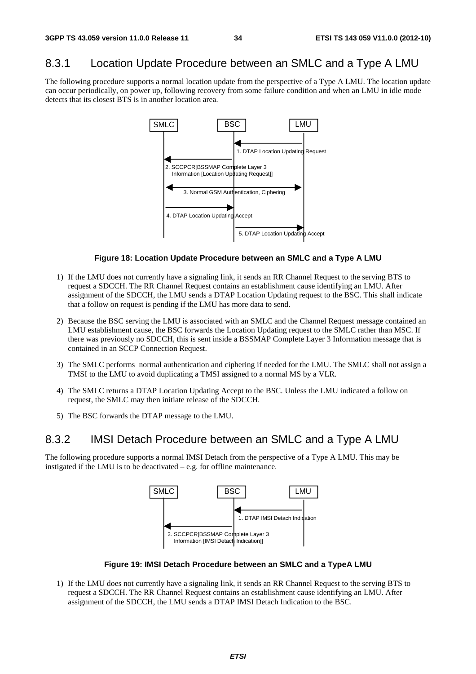## 8.3.1 Location Update Procedure between an SMLC and a Type A LMU

The following procedure supports a normal location update from the perspective of a Type A LMU. The location update can occur periodically, on power up, following recovery from some failure condition and when an LMU in idle mode detects that its closest BTS is in another location area.



#### **Figure 18: Location Update Procedure between an SMLC and a Type A LMU**

- 1) If the LMU does not currently have a signaling link, it sends an RR Channel Request to the serving BTS to request a SDCCH. The RR Channel Request contains an establishment cause identifying an LMU. After assignment of the SDCCH, the LMU sends a DTAP Location Updating request to the BSC. This shall indicate that a follow on request is pending if the LMU has more data to send.
- 2) Because the BSC serving the LMU is associated with an SMLC and the Channel Request message contained an LMU establishment cause, the BSC forwards the Location Updating request to the SMLC rather than MSC. If there was previously no SDCCH, this is sent inside a BSSMAP Complete Layer 3 Information message that is contained in an SCCP Connection Request.
- 3) The SMLC performs normal authentication and ciphering if needed for the LMU. The SMLC shall not assign a TMSI to the LMU to avoid duplicating a TMSI assigned to a normal MS by a VLR.
- 4) The SMLC returns a DTAP Location Updating Accept to the BSC. Unless the LMU indicated a follow on request, the SMLC may then initiate release of the SDCCH.
- 5) The BSC forwards the DTAP message to the LMU.

### 8.3.2 IMSI Detach Procedure between an SMLC and a Type A LMU

The following procedure supports a normal IMSI Detach from the perspective of a Type A LMU. This may be instigated if the LMU is to be deactivated – e.g. for offline maintenance.



**Figure 19: IMSI Detach Procedure between an SMLC and a TypeA LMU** 

1) If the LMU does not currently have a signaling link, it sends an RR Channel Request to the serving BTS to request a SDCCH. The RR Channel Request contains an establishment cause identifying an LMU. After assignment of the SDCCH, the LMU sends a DTAP IMSI Detach Indication to the BSC.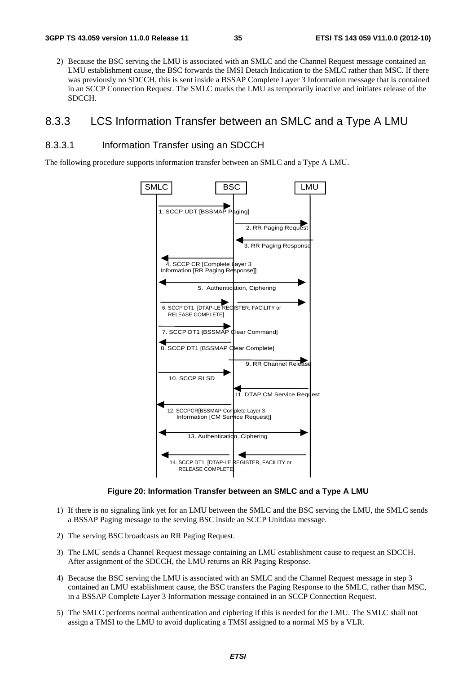2) Because the BSC serving the LMU is associated with an SMLC and the Channel Request message contained an LMU establishment cause, the BSC forwards the IMSI Detach Indication to the SMLC rather than MSC. If there was previously no SDCCH, this is sent inside a BSSAP Complete Layer 3 Information message that is contained in an SCCP Connection Request. The SMLC marks the LMU as temporarily inactive and initiates release of the SDCCH.

### 8.3.3 LCS Information Transfer between an SMLC and a Type A LMU

#### 8.3.3.1 Information Transfer using an SDCCH

The following procedure supports information transfer between an SMLC and a Type A LMU.



**Figure 20: Information Transfer between an SMLC and a Type A LMU** 

- 1) If there is no signaling link yet for an LMU between the SMLC and the BSC serving the LMU, the SMLC sends a BSSAP Paging message to the serving BSC inside an SCCP Unitdata message.
- 2) The serving BSC broadcasts an RR Paging Request.
- 3) The LMU sends a Channel Request message containing an LMU establishment cause to request an SDCCH. After assignment of the SDCCH, the LMU returns an RR Paging Response.
- 4) Because the BSC serving the LMU is associated with an SMLC and the Channel Request message in step 3 contained an LMU establishment cause, the BSC transfers the Paging Response to the SMLC, rather than MSC, in a BSSAP Complete Layer 3 Information message contained in an SCCP Connection Request.
- 5) The SMLC performs normal authentication and ciphering if this is needed for the LMU. The SMLC shall not assign a TMSI to the LMU to avoid duplicating a TMSI assigned to a normal MS by a VLR.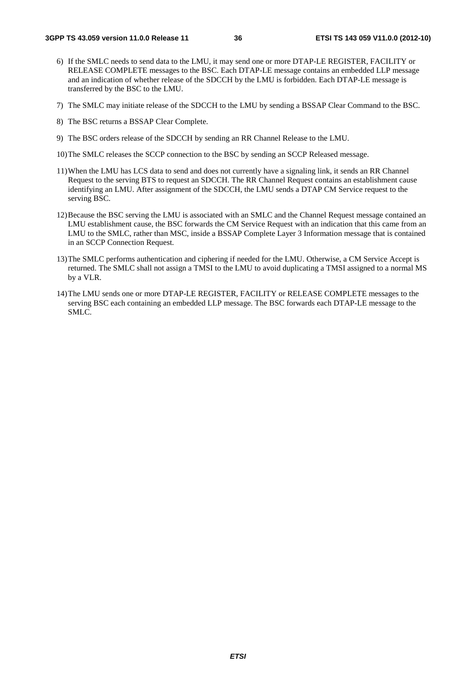- 6) If the SMLC needs to send data to the LMU, it may send one or more DTAP-LE REGISTER, FACILITY or RELEASE COMPLETE messages to the BSC. Each DTAP-LE message contains an embedded LLP message and an indication of whether release of the SDCCH by the LMU is forbidden. Each DTAP-LE message is transferred by the BSC to the LMU.
- 7) The SMLC may initiate release of the SDCCH to the LMU by sending a BSSAP Clear Command to the BSC.
- 8) The BSC returns a BSSAP Clear Complete.
- 9) The BSC orders release of the SDCCH by sending an RR Channel Release to the LMU.
- 10) The SMLC releases the SCCP connection to the BSC by sending an SCCP Released message.
- 11) When the LMU has LCS data to send and does not currently have a signaling link, it sends an RR Channel Request to the serving BTS to request an SDCCH. The RR Channel Request contains an establishment cause identifying an LMU. After assignment of the SDCCH, the LMU sends a DTAP CM Service request to the serving BSC.
- 12) Because the BSC serving the LMU is associated with an SMLC and the Channel Request message contained an LMU establishment cause, the BSC forwards the CM Service Request with an indication that this came from an LMU to the SMLC, rather than MSC, inside a BSSAP Complete Layer 3 Information message that is contained in an SCCP Connection Request.
- 13) The SMLC performs authentication and ciphering if needed for the LMU. Otherwise, a CM Service Accept is returned. The SMLC shall not assign a TMSI to the LMU to avoid duplicating a TMSI assigned to a normal MS by a VLR.
- 14) The LMU sends one or more DTAP-LE REGISTER, FACILITY or RELEASE COMPLETE messages to the serving BSC each containing an embedded LLP message. The BSC forwards each DTAP-LE message to the SMLC.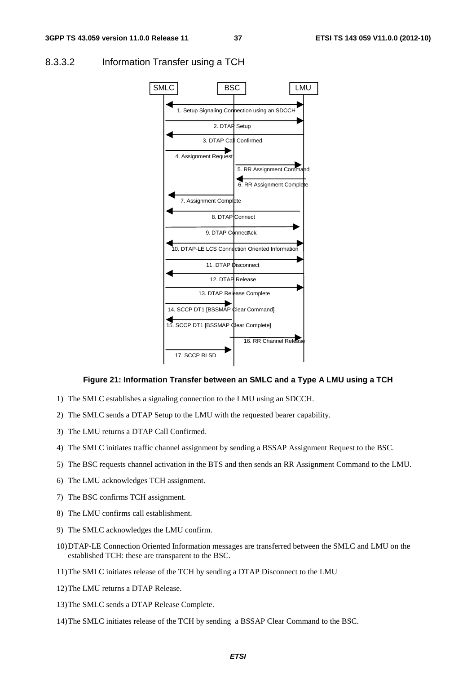

#### 8.3.3.2 Information Transfer using a TCH

#### **Figure 21: Information Transfer between an SMLC and a Type A LMU using a TCH**

- 1) The SMLC establishes a signaling connection to the LMU using an SDCCH.
- 2) The SMLC sends a DTAP Setup to the LMU with the requested bearer capability.
- 3) The LMU returns a DTAP Call Confirmed.
- 4) The SMLC initiates traffic channel assignment by sending a BSSAP Assignment Request to the BSC.
- 5) The BSC requests channel activation in the BTS and then sends an RR Assignment Command to the LMU.
- 6) The LMU acknowledges TCH assignment.
- 7) The BSC confirms TCH assignment.
- 8) The LMU confirms call establishment.
- 9) The SMLC acknowledges the LMU confirm.
- 10) DTAP-LE Connection Oriented Information messages are transferred between the SMLC and LMU on the established TCH: these are transparent to the BSC.
- 11) The SMLC initiates release of the TCH by sending a DTAP Disconnect to the LMU
- 12) The LMU returns a DTAP Release.
- 13) The SMLC sends a DTAP Release Complete.
- 14) The SMLC initiates release of the TCH by sending a BSSAP Clear Command to the BSC.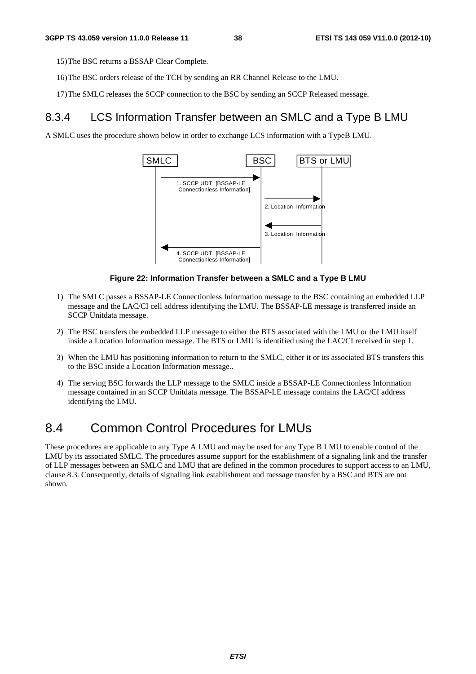15) The BSC returns a BSSAP Clear Complete.

- 16) The BSC orders release of the TCH by sending an RR Channel Release to the LMU.
- 17) The SMLC releases the SCCP connection to the BSC by sending an SCCP Released message.

### 8.3.4 LCS Information Transfer between an SMLC and a Type B LMU

A SMLC uses the procedure shown below in order to exchange LCS information with a TypeB LMU.



#### **Figure 22: Information Transfer between a SMLC and a Type B LMU**

- 1) The SMLC passes a BSSAP-LE Connectionless Information message to the BSC containing an embedded LLP message and the LAC/CI cell address identifying the LMU. The BSSAP-LE message is transferred inside an SCCP Unitdata message.
- 2) The BSC transfers the embedded LLP message to either the BTS associated with the LMU or the LMU itself inside a Location Information message. The BTS or LMU is identified using the LAC/CI received in step 1.
- 3) When the LMU has positioning information to return to the SMLC, either it or its associated BTS transfers this to the BSC inside a Location Information message..
- 4) The serving BSC forwards the LLP message to the SMLC inside a BSSAP-LE Connectionless Information message contained in an SCCP Unitdata message. The BSSAP-LE message contains the LAC/CI address identifying the LMU.

## 8.4 Common Control Procedures for LMUs

These procedures are applicable to any Type A LMU and may be used for any Type B LMU to enable control of the LMU by its associated SMLC. The procedures assume support for the establishment of a signaling link and the transfer of LLP messages between an SMLC and LMU that are defined in the common procedures to support access to an LMU, clause 8.3. Consequently, details of signaling link establishment and message transfer by a BSC and BTS are not shown.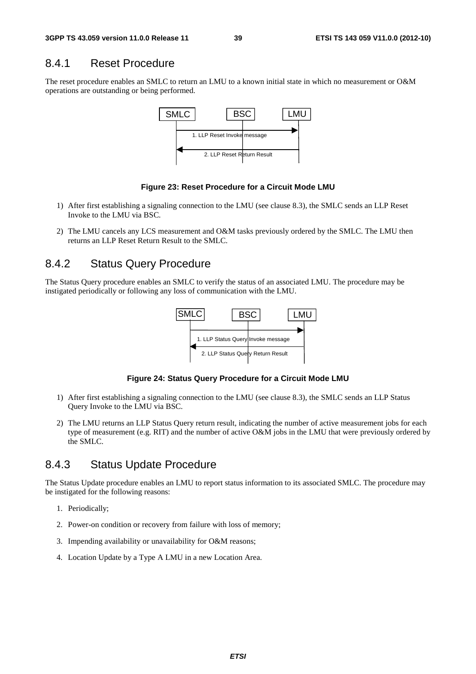### 8.4.1 Reset Procedure

The reset procedure enables an SMLC to return an LMU to a known initial state in which no measurement or O&M operations are outstanding or being performed.



#### **Figure 23: Reset Procedure for a Circuit Mode LMU**

- 1) After first establishing a signaling connection to the LMU (see clause 8.3), the SMLC sends an LLP Reset Invoke to the LMU via BSC.
- 2) The LMU cancels any LCS measurement and O&M tasks previously ordered by the SMLC. The LMU then returns an LLP Reset Return Result to the SMLC.

### 8.4.2 Status Query Procedure

The Status Query procedure enables an SMLC to verify the status of an associated LMU. The procedure may be instigated periodically or following any loss of communication with the LMU.



**Figure 24: Status Query Procedure for a Circuit Mode LMU** 

- 1) After first establishing a signaling connection to the LMU (see clause 8.3), the SMLC sends an LLP Status Query Invoke to the LMU via BSC.
- 2) The LMU returns an LLP Status Query return result, indicating the number of active measurement jobs for each type of measurement (e.g. RIT) and the number of active O&M jobs in the LMU that were previously ordered by the SMLC.

### 8.4.3 Status Update Procedure

The Status Update procedure enables an LMU to report status information to its associated SMLC. The procedure may be instigated for the following reasons:

- 1. Periodically;
- 2. Power-on condition or recovery from failure with loss of memory;
- 3. Impending availability or unavailability for O&M reasons;
- 4. Location Update by a Type A LMU in a new Location Area.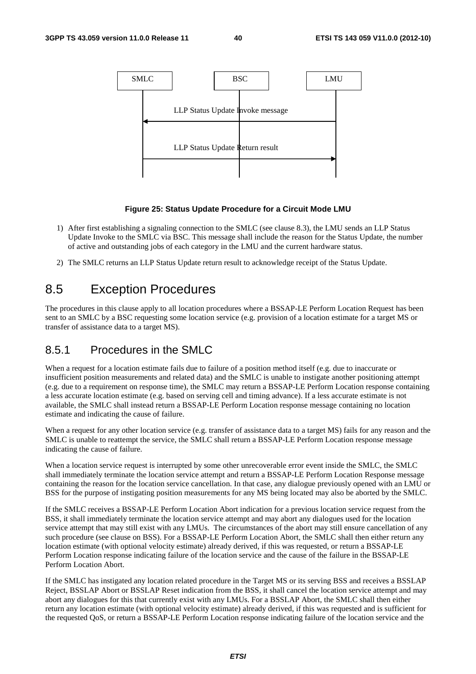

#### **Figure 25: Status Update Procedure for a Circuit Mode LMU**

- 1) After first establishing a signaling connection to the SMLC (see clause 8.3), the LMU sends an LLP Status Update Invoke to the SMLC via BSC. This message shall include the reason for the Status Update, the number of active and outstanding jobs of each category in the LMU and the current hardware status.
- 2) The SMLC returns an LLP Status Update return result to acknowledge receipt of the Status Update.

## 8.5 Exception Procedures

The procedures in this clause apply to all location procedures where a BSSAP-LE Perform Location Request has been sent to an SMLC by a BSC requesting some location service (e.g. provision of a location estimate for a target MS or transfer of assistance data to a target MS).

### 8.5.1 Procedures in the SMLC

When a request for a location estimate fails due to failure of a position method itself (e.g. due to inaccurate or insufficient position measurements and related data) and the SMLC is unable to instigate another positioning attempt (e.g. due to a requirement on response time), the SMLC may return a BSSAP-LE Perform Location response containing a less accurate location estimate (e.g. based on serving cell and timing advance). If a less accurate estimate is not available, the SMLC shall instead return a BSSAP-LE Perform Location response message containing no location estimate and indicating the cause of failure.

When a request for any other location service (e.g. transfer of assistance data to a target MS) fails for any reason and the SMLC is unable to reattempt the service, the SMLC shall return a BSSAP-LE Perform Location response message indicating the cause of failure.

When a location service request is interrupted by some other unrecoverable error event inside the SMLC, the SMLC shall immediately terminate the location service attempt and return a BSSAP-LE Perform Location Response message containing the reason for the location service cancellation. In that case, any dialogue previously opened with an LMU or BSS for the purpose of instigating position measurements for any MS being located may also be aborted by the SMLC.

If the SMLC receives a BSSAP-LE Perform Location Abort indication for a previous location service request from the BSS, it shall immediately terminate the location service attempt and may abort any dialogues used for the location service attempt that may still exist with any LMUs. The circumstances of the abort may still ensure cancellation of any such procedure (see clause on BSS). For a BSSAP-LE Perform Location Abort, the SMLC shall then either return any location estimate (with optional velocity estimate) already derived, if this was requested, or return a BSSAP-LE Perform Location response indicating failure of the location service and the cause of the failure in the BSSAP-LE Perform Location Abort.

If the SMLC has instigated any location related procedure in the Target MS or its serving BSS and receives a BSSLAP Reject, BSSLAP Abort or BSSLAP Reset indication from the BSS, it shall cancel the location service attempt and may abort any dialogues for this that currently exist with any LMUs. For a BSSLAP Abort, the SMLC shall then either return any location estimate (with optional velocity estimate) already derived, if this was requested and is sufficient for the requested QoS, or return a BSSAP-LE Perform Location response indicating failure of the location service and the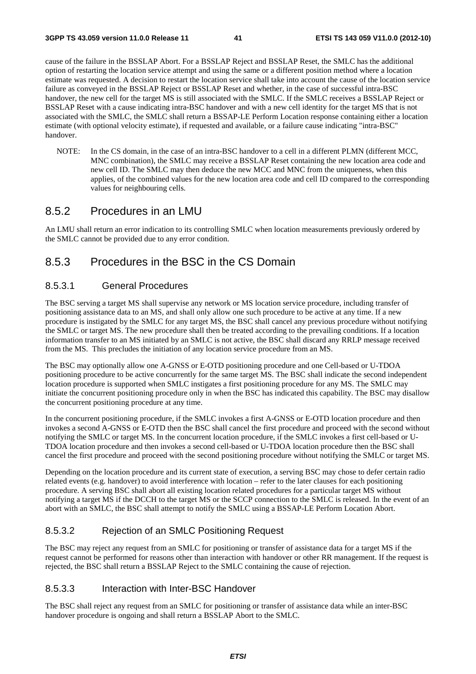cause of the failure in the BSSLAP Abort. For a BSSLAP Reject and BSSLAP Reset, the SMLC has the additional option of restarting the location service attempt and using the same or a different position method where a location estimate was requested. A decision to restart the location service shall take into account the cause of the location service failure as conveyed in the BSSLAP Reject or BSSLAP Reset and whether, in the case of successful intra-BSC handover, the new cell for the target MS is still associated with the SMLC. If the SMLC receives a BSSLAP Reject or BSSLAP Reset with a cause indicating intra-BSC handover and with a new cell identity for the target MS that is not associated with the SMLC, the SMLC shall return a BSSAP-LE Perform Location response containing either a location estimate (with optional velocity estimate), if requested and available, or a failure cause indicating "intra-BSC" handover.

NOTE: In the CS domain, in the case of an intra-BSC handover to a cell in a different PLMN (different MCC, MNC combination), the SMLC may receive a BSSLAP Reset containing the new location area code and new cell ID. The SMLC may then deduce the new MCC and MNC from the uniqueness, when this applies, of the combined values for the new location area code and cell ID compared to the corresponding values for neighbouring cells.

### 8.5.2 Procedures in an LMU

An LMU shall return an error indication to its controlling SMLC when location measurements previously ordered by the SMLC cannot be provided due to any error condition.

## 8.5.3 Procedures in the BSC in the CS Domain

#### 8.5.3.1 General Procedures

The BSC serving a target MS shall supervise any network or MS location service procedure, including transfer of positioning assistance data to an MS, and shall only allow one such procedure to be active at any time. If a new procedure is instigated by the SMLC for any target MS, the BSC shall cancel any previous procedure without notifying the SMLC or target MS. The new procedure shall then be treated according to the prevailing conditions. If a location information transfer to an MS initiated by an SMLC is not active, the BSC shall discard any RRLP message received from the MS. This precludes the initiation of any location service procedure from an MS.

The BSC may optionally allow one A-GNSS or E-OTD positioning procedure and one Cell-based or U-TDOA positioning procedure to be active concurrently for the same target MS. The BSC shall indicate the second independent location procedure is supported when SMLC instigates a first positioning procedure for any MS. The SMLC may initiate the concurrent positioning procedure only in when the BSC has indicated this capability. The BSC may disallow the concurrent positioning procedure at any time.

In the concurrent positioning procedure, if the SMLC invokes a first A-GNSS or E-OTD location procedure and then invokes a second A-GNSS or E-OTD then the BSC shall cancel the first procedure and proceed with the second without notifying the SMLC or target MS. In the concurrent location procedure, if the SMLC invokes a first cell-based or U-TDOA location procedure and then invokes a second cell-based or U-TDOA location procedure then the BSC shall cancel the first procedure and proceed with the second positioning procedure without notifying the SMLC or target MS.

Depending on the location procedure and its current state of execution, a serving BSC may chose to defer certain radio related events (e.g. handover) to avoid interference with location – refer to the later clauses for each positioning procedure. A serving BSC shall abort all existing location related procedures for a particular target MS without notifying a target MS if the DCCH to the target MS or the SCCP connection to the SMLC is released. In the event of an abort with an SMLC, the BSC shall attempt to notify the SMLC using a BSSAP-LE Perform Location Abort.

#### 8.5.3.2 Rejection of an SMLC Positioning Request

The BSC may reject any request from an SMLC for positioning or transfer of assistance data for a target MS if the request cannot be performed for reasons other than interaction with handover or other RR management. If the request is rejected, the BSC shall return a BSSLAP Reject to the SMLC containing the cause of rejection.

#### 8.5.3.3 Interaction with Inter-BSC Handover

The BSC shall reject any request from an SMLC for positioning or transfer of assistance data while an inter-BSC handover procedure is ongoing and shall return a BSSLAP Abort to the SMLC.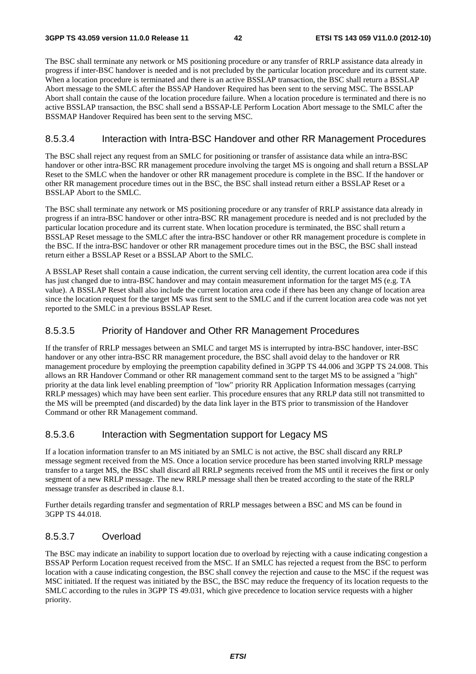The BSC shall terminate any network or MS positioning procedure or any transfer of RRLP assistance data already in progress if inter-BSC handover is needed and is not precluded by the particular location procedure and its current state. When a location procedure is terminated and there is an active BSSLAP transaction, the BSC shall return a BSSLAP Abort message to the SMLC after the BSSAP Handover Required has been sent to the serving MSC. The BSSLAP Abort shall contain the cause of the location procedure failure. When a location procedure is terminated and there is no active BSSLAP transaction, the BSC shall send a BSSAP-LE Perform Location Abort message to the SMLC after the BSSMAP Handover Required has been sent to the serving MSC.

#### 8.5.3.4 Interaction with Intra-BSC Handover and other RR Management Procedures

The BSC shall reject any request from an SMLC for positioning or transfer of assistance data while an intra-BSC handover or other intra-BSC RR management procedure involving the target MS is ongoing and shall return a BSSLAP Reset to the SMLC when the handover or other RR management procedure is complete in the BSC. If the handover or other RR management procedure times out in the BSC, the BSC shall instead return either a BSSLAP Reset or a BSSLAP Abort to the SMLC.

The BSC shall terminate any network or MS positioning procedure or any transfer of RRLP assistance data already in progress if an intra-BSC handover or other intra-BSC RR management procedure is needed and is not precluded by the particular location procedure and its current state. When location procedure is terminated, the BSC shall return a BSSLAP Reset message to the SMLC after the intra-BSC handover or other RR management procedure is complete in the BSC. If the intra-BSC handover or other RR management procedure times out in the BSC, the BSC shall instead return either a BSSLAP Reset or a BSSLAP Abort to the SMLC.

A BSSLAP Reset shall contain a cause indication, the current serving cell identity, the current location area code if this has just changed due to intra-BSC handover and may contain measurement information for the target MS (e.g. TA value). A BSSLAP Reset shall also include the current location area code if there has been any change of location area since the location request for the target MS was first sent to the SMLC and if the current location area code was not yet reported to the SMLC in a previous BSSLAP Reset.

#### 8.5.3.5 Priority of Handover and Other RR Management Procedures

If the transfer of RRLP messages between an SMLC and target MS is interrupted by intra-BSC handover, inter-BSC handover or any other intra-BSC RR management procedure, the BSC shall avoid delay to the handover or RR management procedure by employing the preemption capability defined in 3GPP TS 44.006 and 3GPP TS 24.008. This allows an RR Handover Command or other RR management command sent to the target MS to be assigned a "high" priority at the data link level enabling preemption of "low" priority RR Application Information messages (carrying RRLP messages) which may have been sent earlier. This procedure ensures that any RRLP data still not transmitted to the MS will be preempted (and discarded) by the data link layer in the BTS prior to transmission of the Handover Command or other RR Management command.

#### 8.5.3.6 Interaction with Segmentation support for Legacy MS

If a location information transfer to an MS initiated by an SMLC is not active, the BSC shall discard any RRLP message segment received from the MS. Once a location service procedure has been started involving RRLP message transfer to a target MS, the BSC shall discard all RRLP segments received from the MS until it receives the first or only segment of a new RRLP message. The new RRLP message shall then be treated according to the state of the RRLP message transfer as described in clause 8.1.

Further details regarding transfer and segmentation of RRLP messages between a BSC and MS can be found in 3GPP TS 44.018.

#### 8.5.3.7 Overload

The BSC may indicate an inability to support location due to overload by rejecting with a cause indicating congestion a BSSAP Perform Location request received from the MSC. If an SMLC has rejected a request from the BSC to perform location with a cause indicating congestion, the BSC shall convey the rejection and cause to the MSC if the request was MSC initiated. If the request was initiated by the BSC, the BSC may reduce the frequency of its location requests to the SMLC according to the rules in 3GPP TS 49.031, which give precedence to location service requests with a higher priority.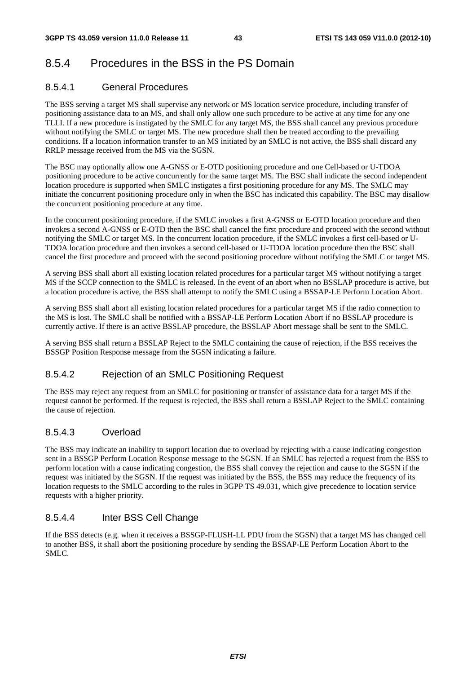## 8.5.4 Procedures in the BSS in the PS Domain

### 8.5.4.1 General Procedures

The BSS serving a target MS shall supervise any network or MS location service procedure, including transfer of positioning assistance data to an MS, and shall only allow one such procedure to be active at any time for any one TLLI. If a new procedure is instigated by the SMLC for any target MS, the BSS shall cancel any previous procedure without notifying the SMLC or target MS. The new procedure shall then be treated according to the prevailing conditions. If a location information transfer to an MS initiated by an SMLC is not active, the BSS shall discard any RRLP message received from the MS via the SGSN.

The BSC may optionally allow one A-GNSS or E-OTD positioning procedure and one Cell-based or U-TDOA positioning procedure to be active concurrently for the same target MS. The BSC shall indicate the second independent location procedure is supported when SMLC instigates a first positioning procedure for any MS. The SMLC may initiate the concurrent positioning procedure only in when the BSC has indicated this capability. The BSC may disallow the concurrent positioning procedure at any time.

In the concurrent positioning procedure, if the SMLC invokes a first A-GNSS or E-OTD location procedure and then invokes a second A-GNSS or E-OTD then the BSC shall cancel the first procedure and proceed with the second without notifying the SMLC or target MS. In the concurrent location procedure, if the SMLC invokes a first cell-based or U-TDOA location procedure and then invokes a second cell-based or U-TDOA location procedure then the BSC shall cancel the first procedure and proceed with the second positioning procedure without notifying the SMLC or target MS.

A serving BSS shall abort all existing location related procedures for a particular target MS without notifying a target MS if the SCCP connection to the SMLC is released. In the event of an abort when no BSSLAP procedure is active, but a location procedure is active, the BSS shall attempt to notify the SMLC using a BSSAP-LE Perform Location Abort.

A serving BSS shall abort all existing location related procedures for a particular target MS if the radio connection to the MS is lost. The SMLC shall be notified with a BSSAP-LE Perform Location Abort if no BSSLAP procedure is currently active. If there is an active BSSLAP procedure, the BSSLAP Abort message shall be sent to the SMLC.

A serving BSS shall return a BSSLAP Reject to the SMLC containing the cause of rejection, if the BSS receives the BSSGP Position Response message from the SGSN indicating a failure.

### 8.5.4.2 Rejection of an SMLC Positioning Request

The BSS may reject any request from an SMLC for positioning or transfer of assistance data for a target MS if the request cannot be performed. If the request is rejected, the BSS shall return a BSSLAP Reject to the SMLC containing the cause of rejection.

### 8.5.4.3 Overload

The BSS may indicate an inability to support location due to overload by rejecting with a cause indicating congestion sent in a BSSGP Perform Location Response message to the SGSN. If an SMLC has rejected a request from the BSS to perform location with a cause indicating congestion, the BSS shall convey the rejection and cause to the SGSN if the request was initiated by the SGSN. If the request was initiated by the BSS, the BSS may reduce the frequency of its location requests to the SMLC according to the rules in 3GPP TS 49.031, which give precedence to location service requests with a higher priority.

### 8.5.4.4 Inter BSS Cell Change

If the BSS detects (e.g. when it receives a BSSGP-FLUSH-LL PDU from the SGSN) that a target MS has changed cell to another BSS, it shall abort the positioning procedure by sending the BSSAP-LE Perform Location Abort to the SMLC.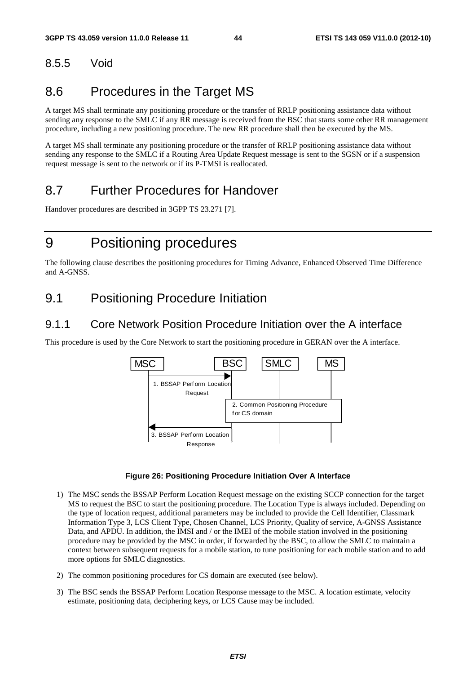## 8.5.5 Void

## 8.6 Procedures in the Target MS

A target MS shall terminate any positioning procedure or the transfer of RRLP positioning assistance data without sending any response to the SMLC if any RR message is received from the BSC that starts some other RR management procedure, including a new positioning procedure. The new RR procedure shall then be executed by the MS.

A target MS shall terminate any positioning procedure or the transfer of RRLP positioning assistance data without sending any response to the SMLC if a Routing Area Update Request message is sent to the SGSN or if a suspension request message is sent to the network or if its P-TMSI is reallocated.

## 8.7 Further Procedures for Handover

Handover procedures are described in 3GPP TS 23.271 [7].

## 9 Positioning procedures

The following clause describes the positioning procedures for Timing Advance, Enhanced Observed Time Difference and A-GNSS.

## 9.1 Positioning Procedure Initiation

### 9.1.1 Core Network Position Procedure Initiation over the A interface

This procedure is used by the Core Network to start the positioning procedure in GERAN over the A interface.



#### **Figure 26: Positioning Procedure Initiation Over A Interface**

- 1) The MSC sends the BSSAP Perform Location Request message on the existing SCCP connection for the target MS to request the BSC to start the positioning procedure. The Location Type is always included. Depending on the type of location request, additional parameters may be included to provide the Cell Identifier, Classmark Information Type 3, LCS Client Type, Chosen Channel, LCS Priority, Quality of service, A-GNSS Assistance Data, and APDU. In addition, the IMSI and / or the IMEI of the mobile station involved in the positioning procedure may be provided by the MSC in order, if forwarded by the BSC, to allow the SMLC to maintain a context between subsequent requests for a mobile station, to tune positioning for each mobile station and to add more options for SMLC diagnostics.
- 2) The common positioning procedures for CS domain are executed (see below).
- 3) The BSC sends the BSSAP Perform Location Response message to the MSC. A location estimate, velocity estimate, positioning data, deciphering keys, or LCS Cause may be included.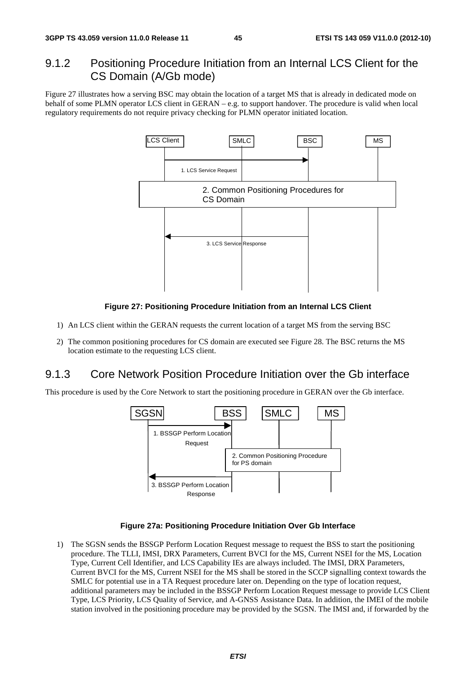### 9.1.2 Positioning Procedure Initiation from an Internal LCS Client for the CS Domain (A/Gb mode)

Figure 27 illustrates how a serving BSC may obtain the location of a target MS that is already in dedicated mode on behalf of some PLMN operator LCS client in GERAN – e.g. to support handover. The procedure is valid when local regulatory requirements do not require privacy checking for PLMN operator initiated location.



#### **Figure 27: Positioning Procedure Initiation from an Internal LCS Client**

- 1) An LCS client within the GERAN requests the current location of a target MS from the serving BSC
- 2) The common positioning procedures for CS domain are executed see Figure 28. The BSC returns the MS location estimate to the requesting LCS client.

### 9.1.3 Core Network Position Procedure Initiation over the Gb interface

This procedure is used by the Core Network to start the positioning procedure in GERAN over the Gb interface.



#### **Figure 27a: Positioning Procedure Initiation Over Gb Interface**

1) The SGSN sends the BSSGP Perform Location Request message to request the BSS to start the positioning procedure. The TLLI, IMSI, DRX Parameters, Current BVCI for the MS, Current NSEI for the MS, Location Type, Current Cell Identifier, and LCS Capability IEs are always included. The IMSI, DRX Parameters, Current BVCI for the MS, Current NSEI for the MS shall be stored in the SCCP signalling context towards the SMLC for potential use in a TA Request procedure later on. Depending on the type of location request, additional parameters may be included in the BSSGP Perform Location Request message to provide LCS Client Type, LCS Priority, LCS Quality of Service, and A-GNSS Assistance Data. In addition, the IMEI of the mobile station involved in the positioning procedure may be provided by the SGSN. The IMSI and, if forwarded by the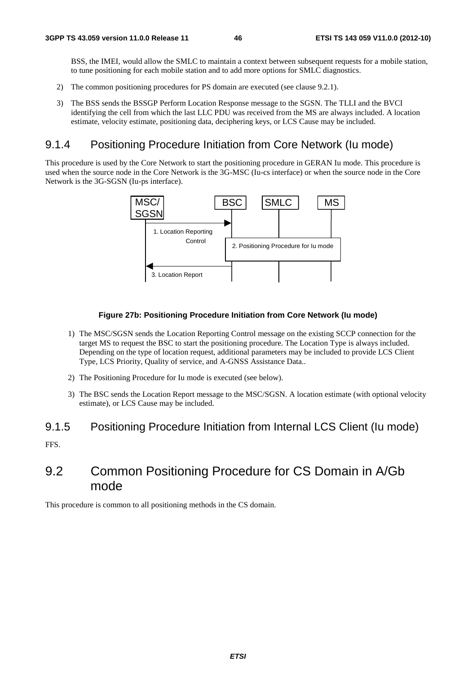BSS, the IMEI, would allow the SMLC to maintain a context between subsequent requests for a mobile station, to tune positioning for each mobile station and to add more options for SMLC diagnostics.

- 2) The common positioning procedures for PS domain are executed (see clause 9.2.1).
- 3) The BSS sends the BSSGP Perform Location Response message to the SGSN. The TLLI and the BVCI identifying the cell from which the last LLC PDU was received from the MS are always included. A location estimate, velocity estimate, positioning data, deciphering keys, or LCS Cause may be included.

### 9.1.4 Positioning Procedure Initiation from Core Network (Iu mode)

This procedure is used by the Core Network to start the positioning procedure in GERAN Iu mode. This procedure is used when the source node in the Core Network is the 3G-MSC (Iu-cs interface) or when the source node in the Core Network is the 3G-SGSN (Iu-ps interface).



#### **Figure 27b: Positioning Procedure Initiation from Core Network (Iu mode)**

- 1) The MSC/SGSN sends the Location Reporting Control message on the existing SCCP connection for the target MS to request the BSC to start the positioning procedure. The Location Type is always included. Depending on the type of location request, additional parameters may be included to provide LCS Client Type, LCS Priority, Quality of service, and A-GNSS Assistance Data..
- 2) The Positioning Procedure for Iu mode is executed (see below).
- 3) The BSC sends the Location Report message to the MSC/SGSN. A location estimate (with optional velocity estimate), or LCS Cause may be included.

#### 9.1.5 Positioning Procedure Initiation from Internal LCS Client (Iu mode)

FFS.

## 9.2 Common Positioning Procedure for CS Domain in A/Gb mode

This procedure is common to all positioning methods in the CS domain.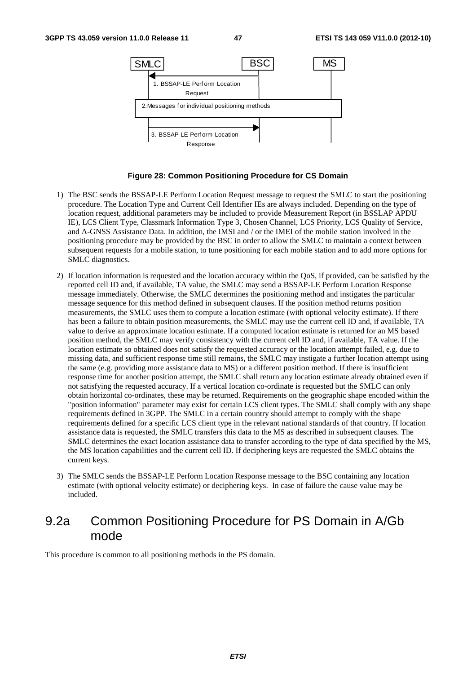

#### **Figure 28: Common Positioning Procedure for CS Domain**

- 1) The BSC sends the BSSAP-LE Perform Location Request message to request the SMLC to start the positioning procedure. The Location Type and Current Cell Identifier IEs are always included. Depending on the type of location request, additional parameters may be included to provide Measurement Report (in BSSLAP APDU IE), LCS Client Type, Classmark Information Type 3, Chosen Channel, LCS Priority, LCS Quality of Service, and A-GNSS Assistance Data. In addition, the IMSI and / or the IMEI of the mobile station involved in the positioning procedure may be provided by the BSC in order to allow the SMLC to maintain a context between subsequent requests for a mobile station, to tune positioning for each mobile station and to add more options for SMLC diagnostics.
- 2) If location information is requested and the location accuracy within the QoS, if provided, can be satisfied by the reported cell ID and, if available, TA value, the SMLC may send a BSSAP-LE Perform Location Response message immediately. Otherwise, the SMLC determines the positioning method and instigates the particular message sequence for this method defined in subsequent clauses. If the position method returns position measurements, the SMLC uses them to compute a location estimate (with optional velocity estimate). If there has been a failure to obtain position measurements, the SMLC may use the current cell ID and, if available, TA value to derive an approximate location estimate. If a computed location estimate is returned for an MS based position method, the SMLC may verify consistency with the current cell ID and, if available, TA value. If the location estimate so obtained does not satisfy the requested accuracy or the location attempt failed, e.g. due to missing data, and sufficient response time still remains, the SMLC may instigate a further location attempt using the same (e.g. providing more assistance data to MS) or a different position method. If there is insufficient response time for another position attempt, the SMLC shall return any location estimate already obtained even if not satisfying the requested accuracy. If a vertical location co-ordinate is requested but the SMLC can only obtain horizontal co-ordinates, these may be returned. Requirements on the geographic shape encoded within the "position information" parameter may exist for certain LCS client types. The SMLC shall comply with any shape requirements defined in 3GPP. The SMLC in a certain country should attempt to comply with the shape requirements defined for a specific LCS client type in the relevant national standards of that country. If location assistance data is requested, the SMLC transfers this data to the MS as described in subsequent clauses. The SMLC determines the exact location assistance data to transfer according to the type of data specified by the MS, the MS location capabilities and the current cell ID. If deciphering keys are requested the SMLC obtains the current keys.
- 3) The SMLC sends the BSSAP-LE Perform Location Response message to the BSC containing any location estimate (with optional velocity estimate) or deciphering keys. In case of failure the cause value may be included.

## 9.2a Common Positioning Procedure for PS Domain in A/Gb mode

This procedure is common to all positioning methods in the PS domain.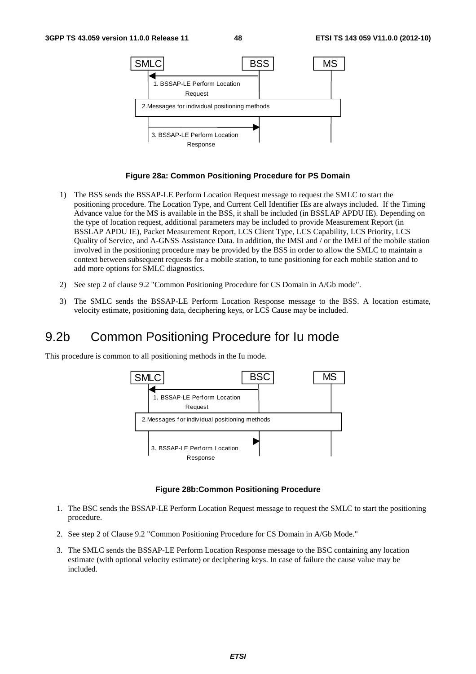

#### **Figure 28a: Common Positioning Procedure for PS Domain**

- 1) The BSS sends the BSSAP-LE Perform Location Request message to request the SMLC to start the positioning procedure. The Location Type, and Current Cell Identifier IEs are always included. If the Timing Advance value for the MS is available in the BSS, it shall be included (in BSSLAP APDU IE). Depending on the type of location request, additional parameters may be included to provide Measurement Report (in BSSLAP APDU IE), Packet Measurement Report, LCS Client Type, LCS Capability, LCS Priority, LCS Quality of Service, and A-GNSS Assistance Data. In addition, the IMSI and / or the IMEI of the mobile station involved in the positioning procedure may be provided by the BSS in order to allow the SMLC to maintain a context between subsequent requests for a mobile station, to tune positioning for each mobile station and to add more options for SMLC diagnostics.
- 2) See step 2 of clause 9.2 "Common Positioning Procedure for CS Domain in A/Gb mode".
- 3) The SMLC sends the BSSAP-LE Perform Location Response message to the BSS. A location estimate, velocity estimate, positioning data, deciphering keys, or LCS Cause may be included.

## 9.2b Common Positioning Procedure for Iu mode

This procedure is common to all positioning methods in the Iu mode.



#### **Figure 28b:Common Positioning Procedure**

- 1. The BSC sends the BSSAP-LE Perform Location Request message to request the SMLC to start the positioning procedure.
- 2. See step 2 of Clause 9.2 "Common Positioning Procedure for CS Domain in A/Gb Mode."
- 3. The SMLC sends the BSSAP-LE Perform Location Response message to the BSC containing any location estimate (with optional velocity estimate) or deciphering keys. In case of failure the cause value may be included.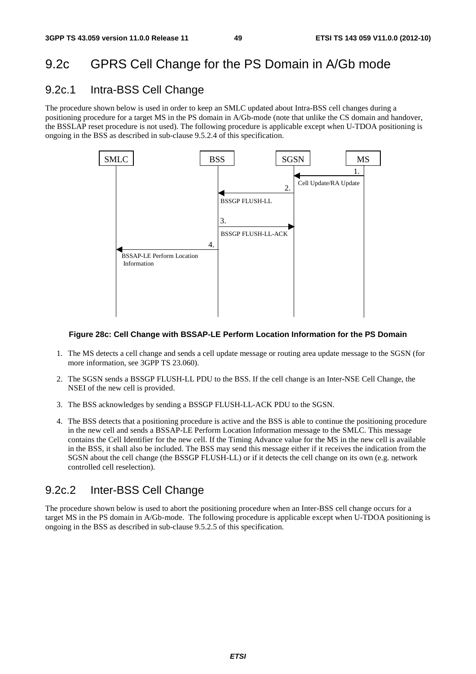## 9.2c GPRS Cell Change for the PS Domain in A/Gb mode

### 9.2c.1 Intra-BSS Cell Change

The procedure shown below is used in order to keep an SMLC updated about Intra-BSS cell changes during a positioning procedure for a target MS in the PS domain in A/Gb-mode (note that unlike the CS domain and handover, the BSSLAP reset procedure is not used). The following procedure is applicable except when U-TDOA positioning is ongoing in the BSS as described in sub-clause 9.5.2.4 of this specification.



#### **Figure 28c: Cell Change with BSSAP-LE Perform Location Information for the PS Domain**

- 1. The MS detects a cell change and sends a cell update message or routing area update message to the SGSN (for more information, see 3GPP TS 23.060).
- 2. The SGSN sends a BSSGP FLUSH-LL PDU to the BSS. If the cell change is an Inter-NSE Cell Change, the NSEI of the new cell is provided.
- 3. The BSS acknowledges by sending a BSSGP FLUSH-LL-ACK PDU to the SGSN.
- 4. The BSS detects that a positioning procedure is active and the BSS is able to continue the positioning procedure in the new cell and sends a BSSAP-LE Perform Location Information message to the SMLC. This message contains the Cell Identifier for the new cell. If the Timing Advance value for the MS in the new cell is available in the BSS, it shall also be included. The BSS may send this message either if it receives the indication from the SGSN about the cell change (the BSSGP FLUSH-LL) or if it detects the cell change on its own (e.g. network controlled cell reselection).

### 9.2c.2 Inter-BSS Cell Change

The procedure shown below is used to abort the positioning procedure when an Inter-BSS cell change occurs for a target MS in the PS domain in A/Gb-mode. The following procedure is applicable except when U-TDOA positioning is ongoing in the BSS as described in sub-clause 9.5.2.5 of this specification.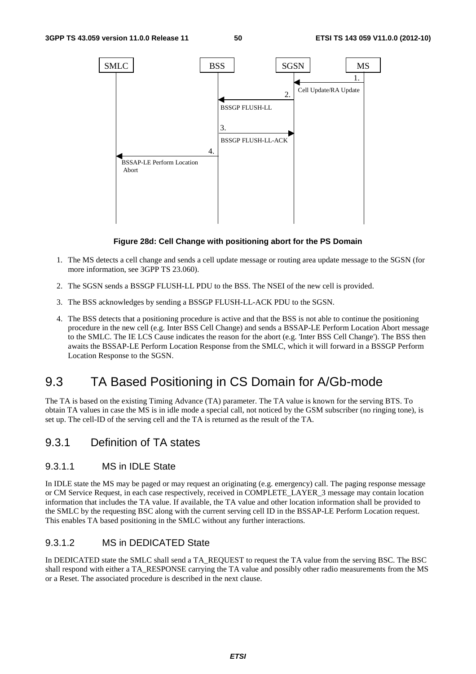

#### **Figure 28d: Cell Change with positioning abort for the PS Domain**

- 1. The MS detects a cell change and sends a cell update message or routing area update message to the SGSN (for more information, see 3GPP TS 23.060).
- 2. The SGSN sends a BSSGP FLUSH-LL PDU to the BSS. The NSEI of the new cell is provided.
- 3. The BSS acknowledges by sending a BSSGP FLUSH-LL-ACK PDU to the SGSN.
- 4. The BSS detects that a positioning procedure is active and that the BSS is not able to continue the positioning procedure in the new cell (e.g. Inter BSS Cell Change) and sends a BSSAP-LE Perform Location Abort message to the SMLC. The IE LCS Cause indicates the reason for the abort (e.g. 'Inter BSS Cell Change'). The BSS then awaits the BSSAP-LE Perform Location Response from the SMLC, which it will forward in a BSSGP Perform Location Response to the SGSN.

## 9.3 TA Based Positioning in CS Domain for A/Gb-mode

The TA is based on the existing Timing Advance (TA) parameter. The TA value is known for the serving BTS. To obtain TA values in case the MS is in idle mode a special call, not noticed by the GSM subscriber (no ringing tone), is set up. The cell-ID of the serving cell and the TA is returned as the result of the TA.

### 9.3.1 Definition of TA states

#### 9.3.1.1 MS in IDLE State

In IDLE state the MS may be paged or may request an originating (e.g. emergency) call. The paging response message or CM Service Request, in each case respectively, received in COMPLETE\_LAYER\_3 message may contain location information that includes the TA value. If available, the TA value and other location information shall be provided to the SMLC by the requesting BSC along with the current serving cell ID in the BSSAP-LE Perform Location request. This enables TA based positioning in the SMLC without any further interactions.

#### 9.3.1.2 MS in DEDICATED State

In DEDICATED state the SMLC shall send a TA\_REQUEST to request the TA value from the serving BSC. The BSC shall respond with either a TA\_RESPONSE carrying the TA value and possibly other radio measurements from the MS or a Reset. The associated procedure is described in the next clause.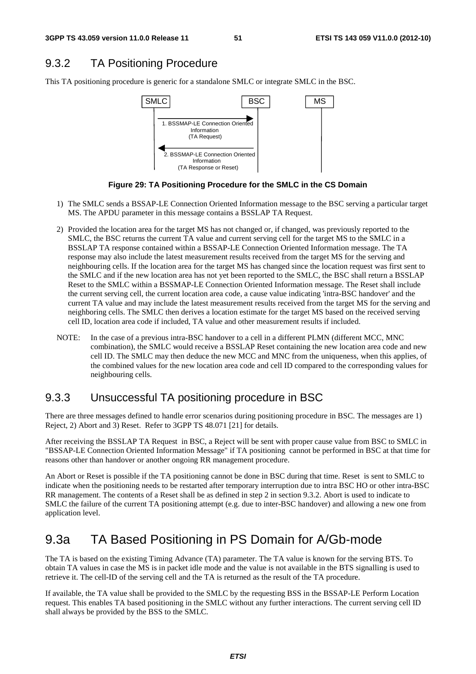## 9.3.2 TA Positioning Procedure

This TA positioning procedure is generic for a standalone SMLC or integrate SMLC in the BSC.



**Figure 29: TA Positioning Procedure for the SMLC in the CS Domain** 

- 1) The SMLC sends a BSSAP-LE Connection Oriented Information message to the BSC serving a particular target MS. The APDU parameter in this message contains a BSSLAP TA Request.
- 2) Provided the location area for the target MS has not changed or, if changed, was previously reported to the SMLC, the BSC returns the current TA value and current serving cell for the target MS to the SMLC in a BSSLAP TA response contained within a BSSAP-LE Connection Oriented Information message. The TA response may also include the latest measurement results received from the target MS for the serving and neighbouring cells. If the location area for the target MS has changed since the location request was first sent to the SMLC and if the new location area has not yet been reported to the SMLC, the BSC shall return a BSSLAP Reset to the SMLC within a BSSMAP-LE Connection Oriented Information message. The Reset shall include the current serving cell, the current location area code, a cause value indicating 'intra-BSC handover' and the current TA value and may include the latest measurement results received from the target MS for the serving and neighboring cells. The SMLC then derives a location estimate for the target MS based on the received serving cell ID, location area code if included, TA value and other measurement results if included.
- NOTE: In the case of a previous intra-BSC handover to a cell in a different PLMN (different MCC, MNC combination), the SMLC would receive a BSSLAP Reset containing the new location area code and new cell ID. The SMLC may then deduce the new MCC and MNC from the uniqueness, when this applies, of the combined values for the new location area code and cell ID compared to the corresponding values for neighbouring cells.

### 9.3.3 Unsuccessful TA positioning procedure in BSC

There are three messages defined to handle error scenarios during positioning procedure in BSC. The messages are 1) Reject, 2) Abort and 3) Reset. Refer to 3GPP TS 48.071 [21] for details.

After receiving the BSSLAP TA Request in BSC, a Reject will be sent with proper cause value from BSC to SMLC in "BSSAP-LE Connection Oriented Information Message" if TA positioning cannot be performed in BSC at that time for reasons other than handover or another ongoing RR management procedure.

An Abort or Reset is possible if the TA positioning cannot be done in BSC during that time. Reset is sent to SMLC to indicate when the positioning needs to be restarted after temporary interruption due to intra BSC HO or other intra-BSC RR management. The contents of a Reset shall be as defined in step 2 in section 9.3.2. Abort is used to indicate to SMLC the failure of the current TA positioning attempt (e.g. due to inter-BSC handover) and allowing a new one from application level.

## 9.3a TA Based Positioning in PS Domain for A/Gb-mode

The TA is based on the existing Timing Advance (TA) parameter. The TA value is known for the serving BTS. To obtain TA values in case the MS is in packet idle mode and the value is not available in the BTS signalling is used to retrieve it. The cell-ID of the serving cell and the TA is returned as the result of the TA procedure.

If available, the TA value shall be provided to the SMLC by the requesting BSS in the BSSAP-LE Perform Location request. This enables TA based positioning in the SMLC without any further interactions. The current serving cell ID shall always be provided by the BSS to the SMLC.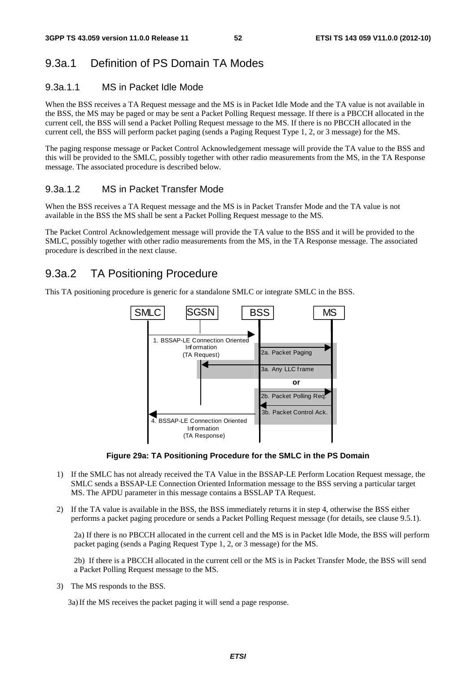### 9.3a.1 Definition of PS Domain TA Modes

#### 9.3a.1.1 MS in Packet Idle Mode

When the BSS receives a TA Request message and the MS is in Packet Idle Mode and the TA value is not available in the BSS, the MS may be paged or may be sent a Packet Polling Request message. If there is a PBCCH allocated in the current cell, the BSS will send a Packet Polling Request message to the MS. If there is no PBCCH allocated in the current cell, the BSS will perform packet paging (sends a Paging Request Type 1, 2, or 3 message) for the MS.

The paging response message or Packet Control Acknowledgement message will provide the TA value to the BSS and this will be provided to the SMLC, possibly together with other radio measurements from the MS, in the TA Response message. The associated procedure is described below.

### 9.3a.1.2 MS in Packet Transfer Mode

When the BSS receives a TA Request message and the MS is in Packet Transfer Mode and the TA value is not available in the BSS the MS shall be sent a Packet Polling Request message to the MS.

The Packet Control Acknowledgement message will provide the TA value to the BSS and it will be provided to the SMLC, possibly together with other radio measurements from the MS, in the TA Response message. The associated procedure is described in the next clause.

### 9.3a.2 TA Positioning Procedure

This TA positioning procedure is generic for a standalone SMLC or integrate SMLC in the BSS.



**Figure 29a: TA Positioning Procedure for the SMLC in the PS Domain** 

- 1) If the SMLC has not already received the TA Value in the BSSAP-LE Perform Location Request message, the SMLC sends a BSSAP-LE Connection Oriented Information message to the BSS serving a particular target MS. The APDU parameter in this message contains a BSSLAP TA Request.
- 2) If the TA value is available in the BSS, the BSS immediately returns it in step 4, otherwise the BSS either performs a packet paging procedure or sends a Packet Polling Request message (for details, see clause 9.5.1).

2a) If there is no PBCCH allocated in the current cell and the MS is in Packet Idle Mode, the BSS will perform packet paging (sends a Paging Request Type 1, 2, or 3 message) for the MS.

2b) If there is a PBCCH allocated in the current cell or the MS is in Packet Transfer Mode, the BSS will send a Packet Polling Request message to the MS.

3) The MS responds to the BSS.

3a) If the MS receives the packet paging it will send a page response.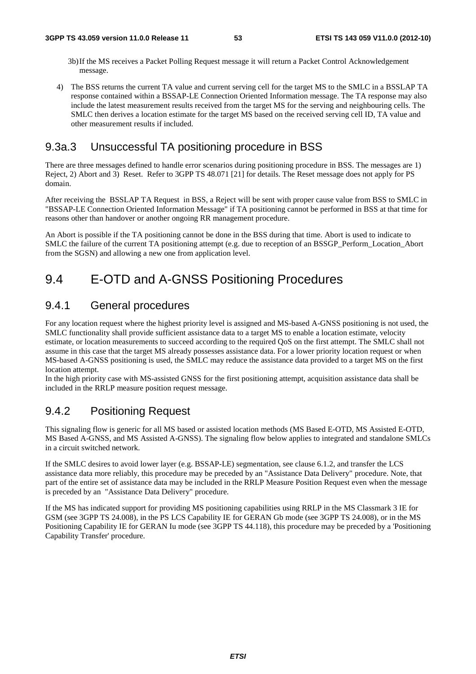- 3b) If the MS receives a Packet Polling Request message it will return a Packet Control Acknowledgement message.
- 4) The BSS returns the current TA value and current serving cell for the target MS to the SMLC in a BSSLAP TA response contained within a BSSAP-LE Connection Oriented Information message. The TA response may also include the latest measurement results received from the target MS for the serving and neighbouring cells. The SMLC then derives a location estimate for the target MS based on the received serving cell ID, TA value and other measurement results if included.

### 9.3a.3 Unsuccessful TA positioning procedure in BSS

There are three messages defined to handle error scenarios during positioning procedure in BSS. The messages are 1) Reject, 2) Abort and 3) Reset. Refer to 3GPP TS 48.071 [21] for details. The Reset message does not apply for PS domain.

After receiving the BSSLAP TA Request in BSS, a Reject will be sent with proper cause value from BSS to SMLC in "BSSAP-LE Connection Oriented Information Message" if TA positioning cannot be performed in BSS at that time for reasons other than handover or another ongoing RR management procedure.

An Abort is possible if the TA positioning cannot be done in the BSS during that time. Abort is used to indicate to SMLC the failure of the current TA positioning attempt (e.g. due to reception of an BSSGP\_Perform\_Location\_Abort from the SGSN) and allowing a new one from application level.

## 9.4 E-OTD and A-GNSS Positioning Procedures

### 9.4.1 General procedures

For any location request where the highest priority level is assigned and MS-based A-GNSS positioning is not used, the SMLC functionality shall provide sufficient assistance data to a target MS to enable a location estimate, velocity estimate, or location measurements to succeed according to the required QoS on the first attempt. The SMLC shall not assume in this case that the target MS already possesses assistance data. For a lower priority location request or when MS-based A-GNSS positioning is used, the SMLC may reduce the assistance data provided to a target MS on the first location attempt.

In the high priority case with MS-assisted GNSS for the first positioning attempt, acquisition assistance data shall be included in the RRLP measure position request message.

## 9.4.2 Positioning Request

This signaling flow is generic for all MS based or assisted location methods (MS Based E-OTD, MS Assisted E-OTD, MS Based A-GNSS, and MS Assisted A-GNSS). The signaling flow below applies to integrated and standalone SMLCs in a circuit switched network.

If the SMLC desires to avoid lower layer (e.g. BSSAP-LE) segmentation, see clause 6.1.2, and transfer the LCS assistance data more reliably, this procedure may be preceded by an "Assistance Data Delivery" procedure. Note, that part of the entire set of assistance data may be included in the RRLP Measure Position Request even when the message is preceded by an "Assistance Data Delivery" procedure.

If the MS has indicated support for providing MS positioning capabilities using RRLP in the MS Classmark 3 IE for GSM (see 3GPP TS 24.008), in the PS LCS Capability IE for GERAN Gb mode (see 3GPP TS 24.008), or in the MS Positioning Capability IE for GERAN Iu mode (see 3GPP TS 44.118), this procedure may be preceded by a 'Positioning Capability Transfer' procedure.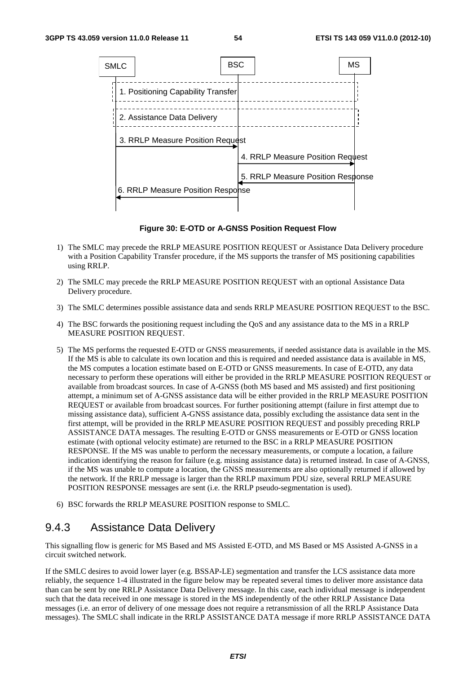

**Figure 30: E-OTD or A-GNSS Position Request Flow** 

- 1) The SMLC may precede the RRLP MEASURE POSITION REQUEST or Assistance Data Delivery procedure with a Position Capability Transfer procedure, if the MS supports the transfer of MS positioning capabilities using RRLP.
- 2) The SMLC may precede the RRLP MEASURE POSITION REQUEST with an optional Assistance Data Delivery procedure.
- 3) The SMLC determines possible assistance data and sends RRLP MEASURE POSITION REQUEST to the BSC.
- 4) The BSC forwards the positioning request including the QoS and any assistance data to the MS in a RRLP MEASURE POSITION REQUEST.
- 5) The MS performs the requested E-OTD or GNSS measurements, if needed assistance data is available in the MS. If the MS is able to calculate its own location and this is required and needed assistance data is available in MS, the MS computes a location estimate based on E-OTD or GNSS measurements. In case of E-OTD, any data necessary to perform these operations will either be provided in the RRLP MEASURE POSITION REQUEST or available from broadcast sources. In case of A-GNSS (both MS based and MS assisted) and first positioning attempt, a minimum set of A-GNSS assistance data will be either provided in the RRLP MEASURE POSITION REQUEST or available from broadcast sources. For further positioning attempt (failure in first attempt due to missing assistance data), sufficient A-GNSS assistance data, possibly excluding the assistance data sent in the first attempt, will be provided in the RRLP MEASURE POSITION REQUEST and possibly preceding RRLP ASSISTANCE DATA messages. The resulting E-OTD or GNSS measurements or E-OTD or GNSS location estimate (with optional velocity estimate) are returned to the BSC in a RRLP MEASURE POSITION RESPONSE. If the MS was unable to perform the necessary measurements, or compute a location, a failure indication identifying the reason for failure (e.g. missing assistance data) is returned instead. In case of A-GNSS, if the MS was unable to compute a location, the GNSS measurements are also optionally returned if allowed by the network. If the RRLP message is larger than the RRLP maximum PDU size, several RRLP MEASURE POSITION RESPONSE messages are sent (i.e. the RRLP pseudo-segmentation is used).
- 6) BSC forwards the RRLP MEASURE POSITION response to SMLC.

## 9.4.3 Assistance Data Delivery

This signalling flow is generic for MS Based and MS Assisted E-OTD, and MS Based or MS Assisted A-GNSS in a circuit switched network.

If the SMLC desires to avoid lower layer (e.g. BSSAP-LE) segmentation and transfer the LCS assistance data more reliably, the sequence 1-4 illustrated in the figure below may be repeated several times to deliver more assistance data than can be sent by one RRLP Assistance Data Delivery message. In this case, each individual message is independent such that the data received in one message is stored in the MS independently of the other RRLP Assistance Data messages (i.e. an error of delivery of one message does not require a retransmission of all the RRLP Assistance Data messages). The SMLC shall indicate in the RRLP ASSISTANCE DATA message if more RRLP ASSISTANCE DATA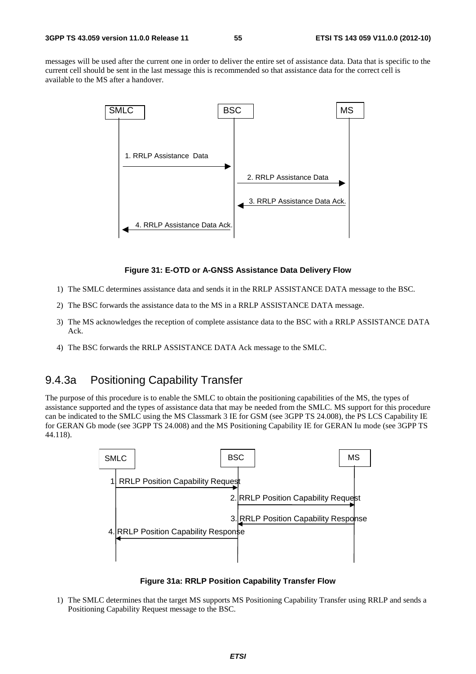messages will be used after the current one in order to deliver the entire set of assistance data. Data that is specific to the current cell should be sent in the last message this is recommended so that assistance data for the correct cell is available to the MS after a handover.



#### **Figure 31: E-OTD or A-GNSS Assistance Data Delivery Flow**

- 1) The SMLC determines assistance data and sends it in the RRLP ASSISTANCE DATA message to the BSC.
- 2) The BSC forwards the assistance data to the MS in a RRLP ASSISTANCE DATA message.
- 3) The MS acknowledges the reception of complete assistance data to the BSC with a RRLP ASSISTANCE DATA Ack.
- 4) The BSC forwards the RRLP ASSISTANCE DATA Ack message to the SMLC.

### 9.4.3a Positioning Capability Transfer

The purpose of this procedure is to enable the SMLC to obtain the positioning capabilities of the MS, the types of assistance supported and the types of assistance data that may be needed from the SMLC. MS support for this procedure can be indicated to the SMLC using the MS Classmark 3 IE for GSM (see 3GPP TS 24.008), the PS LCS Capability IE for GERAN Gb mode (see 3GPP TS 24.008) and the MS Positioning Capability IE for GERAN Iu mode (see 3GPP TS 44.118).



**Figure 31a: RRLP Position Capability Transfer Flow** 

1) The SMLC determines that the target MS supports MS Positioning Capability Transfer using RRLP and sends a Positioning Capability Request message to the BSC.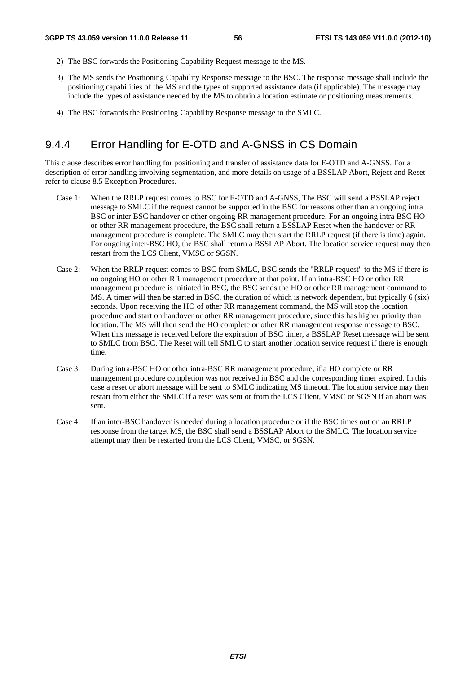- 2) The BSC forwards the Positioning Capability Request message to the MS.
- 3) The MS sends the Positioning Capability Response message to the BSC. The response message shall include the positioning capabilities of the MS and the types of supported assistance data (if applicable). The message may include the types of assistance needed by the MS to obtain a location estimate or positioning measurements.
- 4) The BSC forwards the Positioning Capability Response message to the SMLC.

## 9.4.4 Error Handling for E-OTD and A-GNSS in CS Domain

This clause describes error handling for positioning and transfer of assistance data for E-OTD and A-GNSS. For a description of error handling involving segmentation, and more details on usage of a BSSLAP Abort, Reject and Reset refer to clause 8.5 Exception Procedures.

- Case 1: When the RRLP request comes to BSC for E-OTD and A-GNSS, The BSC will send a BSSLAP reject message to SMLC if the request cannot be supported in the BSC for reasons other than an ongoing intra BSC or inter BSC handover or other ongoing RR management procedure. For an ongoing intra BSC HO or other RR management procedure, the BSC shall return a BSSLAP Reset when the handover or RR management procedure is complete. The SMLC may then start the RRLP request (if there is time) again. For ongoing inter-BSC HO, the BSC shall return a BSSLAP Abort. The location service request may then restart from the LCS Client, VMSC or SGSN.
- Case 2: When the RRLP request comes to BSC from SMLC, BSC sends the "RRLP request" to the MS if there is no ongoing HO or other RR management procedure at that point. If an intra-BSC HO or other RR management procedure is initiated in BSC, the BSC sends the HO or other RR management command to MS. A timer will then be started in BSC, the duration of which is network dependent, but typically 6 (six) seconds. Upon receiving the HO of other RR management command, the MS will stop the location procedure and start on handover or other RR management procedure, since this has higher priority than location. The MS will then send the HO complete or other RR management response message to BSC. When this message is received before the expiration of BSC timer, a BSSLAP Reset message will be sent to SMLC from BSC. The Reset will tell SMLC to start another location service request if there is enough time.
- Case 3: During intra-BSC HO or other intra-BSC RR management procedure, if a HO complete or RR management procedure completion was not received in BSC and the corresponding timer expired. In this case a reset or abort message will be sent to SMLC indicating MS timeout. The location service may then restart from either the SMLC if a reset was sent or from the LCS Client, VMSC or SGSN if an abort was sent.
- Case 4: If an inter-BSC handover is needed during a location procedure or if the BSC times out on an RRLP response from the target MS, the BSC shall send a BSSLAP Abort to the SMLC. The location service attempt may then be restarted from the LCS Client, VMSC, or SGSN.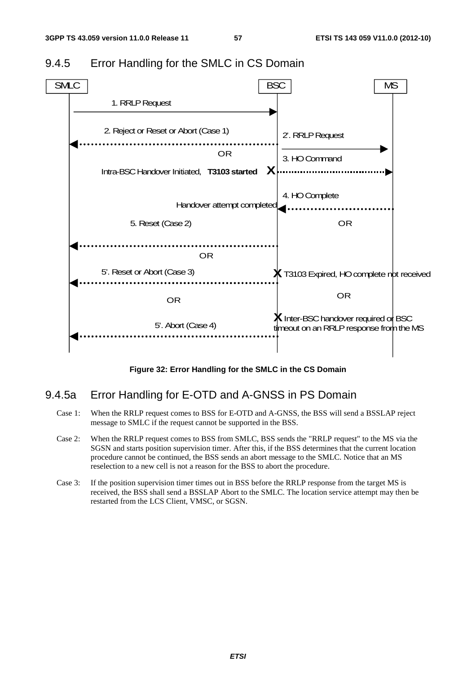

### 9.4.5 Error Handling for the SMLC in CS Domain

**Figure 32: Error Handling for the SMLC in the CS Domain** 

### 9.4.5a Error Handling for E-OTD and A-GNSS in PS Domain

- Case 1: When the RRLP request comes to BSS for E-OTD and A-GNSS, the BSS will send a BSSLAP reject message to SMLC if the request cannot be supported in the BSS.
- Case 2: When the RRLP request comes to BSS from SMLC, BSS sends the "RRLP request" to the MS via the SGSN and starts position supervision timer. After this, if the BSS determines that the current location procedure cannot be continued, the BSS sends an abort message to the SMLC. Notice that an MS reselection to a new cell is not a reason for the BSS to abort the procedure.
- Case 3: If the position supervision timer times out in BSS before the RRLP response from the target MS is received, the BSS shall send a BSSLAP Abort to the SMLC. The location service attempt may then be restarted from the LCS Client, VMSC, or SGSN.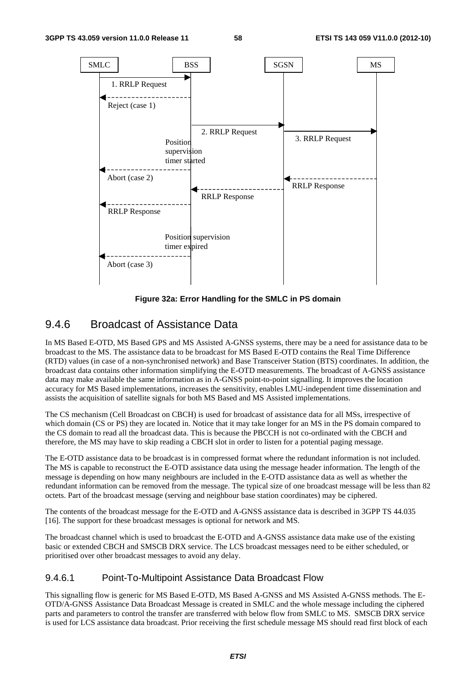

**Figure 32a: Error Handling for the SMLC in PS domain** 

### 9.4.6 Broadcast of Assistance Data

In MS Based E-OTD, MS Based GPS and MS Assisted A-GNSS systems, there may be a need for assistance data to be broadcast to the MS. The assistance data to be broadcast for MS Based E-OTD contains the Real Time Difference (RTD) values (in case of a non-synchronised network) and Base Transceiver Station (BTS) coordinates. In addition, the broadcast data contains other information simplifying the E-OTD measurements. The broadcast of A-GNSS assistance data may make available the same information as in A-GNSS point-to-point signalling. It improves the location accuracy for MS Based implementations, increases the sensitivity, enables LMU-independent time dissemination and assists the acquisition of satellite signals for both MS Based and MS Assisted implementations.

The CS mechanism (Cell Broadcast on CBCH) is used for broadcast of assistance data for all MSs, irrespective of which domain (CS or PS) they are located in. Notice that it may take longer for an MS in the PS domain compared to the CS domain to read all the broadcast data. This is because the PBCCH is not co-ordinated with the CBCH and therefore, the MS may have to skip reading a CBCH slot in order to listen for a potential paging message.

The E-OTD assistance data to be broadcast is in compressed format where the redundant information is not included. The MS is capable to reconstruct the E-OTD assistance data using the message header information. The length of the message is depending on how many neighbours are included in the E-OTD assistance data as well as whether the redundant information can be removed from the message. The typical size of one broadcast message will be less than 82 octets. Part of the broadcast message (serving and neighbour base station coordinates) may be ciphered.

The contents of the broadcast message for the E-OTD and A-GNSS assistance data is described in 3GPP TS 44.035 [16]. The support for these broadcast messages is optional for network and MS.

The broadcast channel which is used to broadcast the E-OTD and A-GNSS assistance data make use of the existing basic or extended CBCH and SMSCB DRX service. The LCS broadcast messages need to be either scheduled, or prioritised over other broadcast messages to avoid any delay.

#### 9.4.6.1 Point-To-Multipoint Assistance Data Broadcast Flow

This signalling flow is generic for MS Based E-OTD, MS Based A-GNSS and MS Assisted A-GNSS methods. The E-OTD/A-GNSS Assistance Data Broadcast Message is created in SMLC and the whole message including the ciphered parts and parameters to control the transfer are transferred with below flow from SMLC to MS. SMSCB DRX service is used for LCS assistance data broadcast. Prior receiving the first schedule message MS should read first block of each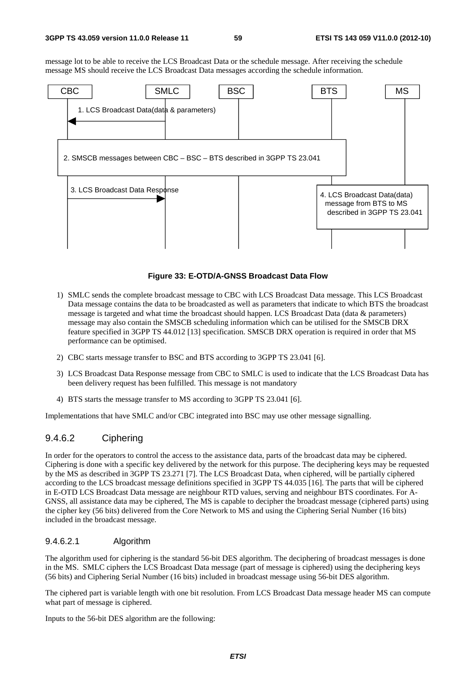message lot to be able to receive the LCS Broadcast Data or the schedule message. After receiving the schedule message MS should receive the LCS Broadcast Data messages according the schedule information.



#### **Figure 33: E-OTD/A-GNSS Broadcast Data Flow**

- 1) SMLC sends the complete broadcast message to CBC with LCS Broadcast Data message. This LCS Broadcast Data message contains the data to be broadcasted as well as parameters that indicate to which BTS the broadcast message is targeted and what time the broadcast should happen. LCS Broadcast Data (data & parameters) message may also contain the SMSCB scheduling information which can be utilised for the SMSCB DRX feature specified in 3GPP TS 44.012 [13] specification. SMSCB DRX operation is required in order that MS performance can be optimised.
- 2) CBC starts message transfer to BSC and BTS according to 3GPP TS 23.041 [6].
- 3) LCS Broadcast Data Response message from CBC to SMLC is used to indicate that the LCS Broadcast Data has been delivery request has been fulfilled. This message is not mandatory
- 4) BTS starts the message transfer to MS according to 3GPP TS 23.041 [6].

Implementations that have SMLC and/or CBC integrated into BSC may use other message signalling.

#### 9.4.6.2 Ciphering

In order for the operators to control the access to the assistance data, parts of the broadcast data may be ciphered. Ciphering is done with a specific key delivered by the network for this purpose. The deciphering keys may be requested by the MS as described in 3GPP TS 23.271 [7]. The LCS Broadcast Data, when ciphered, will be partially ciphered according to the LCS broadcast message definitions specified in 3GPP TS 44.035 [16]. The parts that will be ciphered in E-OTD LCS Broadcast Data message are neighbour RTD values, serving and neighbour BTS coordinates. For A-GNSS, all assistance data may be ciphered, The MS is capable to decipher the broadcast message (ciphered parts) using the cipher key (56 bits) delivered from the Core Network to MS and using the Ciphering Serial Number (16 bits) included in the broadcast message.

#### 9.4.6.2.1 Algorithm

The algorithm used for ciphering is the standard 56-bit DES algorithm. The deciphering of broadcast messages is done in the MS. SMLC ciphers the LCS Broadcast Data message (part of message is ciphered) using the deciphering keys (56 bits) and Ciphering Serial Number (16 bits) included in broadcast message using 56-bit DES algorithm.

The ciphered part is variable length with one bit resolution. From LCS Broadcast Data message header MS can compute what part of message is ciphered.

Inputs to the 56-bit DES algorithm are the following: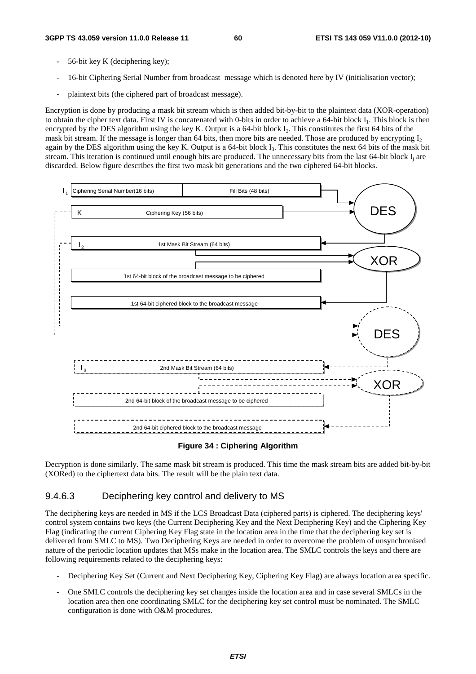- 56-bit key K (deciphering key);
- 16-bit Ciphering Serial Number from broadcast message which is denoted here by IV (initialisation vector);
- plaintext bits (the ciphered part of broadcast message).

Encryption is done by producing a mask bit stream which is then added bit-by-bit to the plaintext data (XOR-operation) to obtain the cipher text data. First IV is concatenated with 0-bits in order to achieve a 64-bit block I<sub>1</sub>. This block is then encrypted by the DES algorithm using the key K. Output is a 64-bit block  $I_2$ . This constitutes the first 64 bits of the mask bit stream. If the message is longer than 64 bits, then more bits are needed. Those are produced by encrypting  $I_2$ again by the DES algorithm using the key K. Output is a 64-bit block  $I_3$ . This constitutes the next 64 bits of the mask bit stream. This iteration is continued until enough bits are produced. The unnecessary bits from the last  $64$ -bit block  $I_i$  are discarded. Below figure describes the first two mask bit generations and the two ciphered 64-bit blocks.



#### **Figure 34 : Ciphering Algorithm**

Decryption is done similarly. The same mask bit stream is produced. This time the mask stream bits are added bit-by-bit (XORed) to the ciphertext data bits. The result will be the plain text data.

#### 9.4.6.3 Deciphering key control and delivery to MS

The deciphering keys are needed in MS if the LCS Broadcast Data (ciphered parts) is ciphered. The deciphering keys' control system contains two keys (the Current Deciphering Key and the Next Deciphering Key) and the Ciphering Key Flag (indicating the current Ciphering Key Flag state in the location area in the time that the deciphering key set is delivered from SMLC to MS). Two Deciphering Keys are needed in order to overcome the problem of unsynchronised nature of the periodic location updates that MSs make in the location area. The SMLC controls the keys and there are following requirements related to the deciphering keys:

- Deciphering Key Set (Current and Next Deciphering Key, Ciphering Key Flag) are always location area specific.
- One SMLC controls the deciphering key set changes inside the location area and in case several SMLCs in the location area then one coordinating SMLC for the deciphering key set control must be nominated. The SMLC configuration is done with O&M procedures.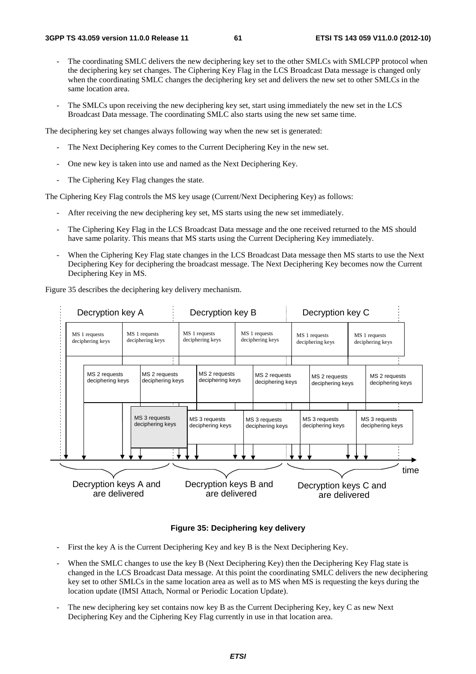- The coordinating SMLC delivers the new deciphering key set to the other SMLCs with SMLCPP protocol when the deciphering key set changes. The Ciphering Key Flag in the LCS Broadcast Data message is changed only when the coordinating SMLC changes the deciphering key set and delivers the new set to other SMLCs in the same location area.
- The SMLCs upon receiving the new deciphering key set, start using immediately the new set in the LCS Broadcast Data message. The coordinating SMLC also starts using the new set same time.

The deciphering key set changes always following way when the new set is generated:

- The Next Deciphering Key comes to the Current Deciphering Key in the new set.
- One new key is taken into use and named as the Next Deciphering Key.
- The Ciphering Key Flag changes the state.

The Ciphering Key Flag controls the MS key usage (Current/Next Deciphering Key) as follows:

- After receiving the new deciphering key set, MS starts using the new set immediately.
- The Ciphering Key Flag in the LCS Broadcast Data message and the one received returned to the MS should have same polarity. This means that MS starts using the Current Deciphering Key immediately.
- When the Ciphering Key Flag state changes in the LCS Broadcast Data message then MS starts to use the Next Deciphering Key for deciphering the broadcast message. The Next Deciphering Key becomes now the Current Deciphering Key in MS.

Figure 35 describes the deciphering key delivery mechanism.



#### **Figure 35: Deciphering key delivery**

- First the key A is the Current Deciphering Key and key B is the Next Deciphering Key.
- When the SMLC changes to use the key B (Next Deciphering Key) then the Deciphering Key Flag state is changed in the LCS Broadcast Data message. At this point the coordinating SMLC delivers the new deciphering key set to other SMLCs in the same location area as well as to MS when MS is requesting the keys during the location update (IMSI Attach, Normal or Periodic Location Update).
- The new deciphering key set contains now key B as the Current Deciphering Key, key C as new Next Deciphering Key and the Ciphering Key Flag currently in use in that location area.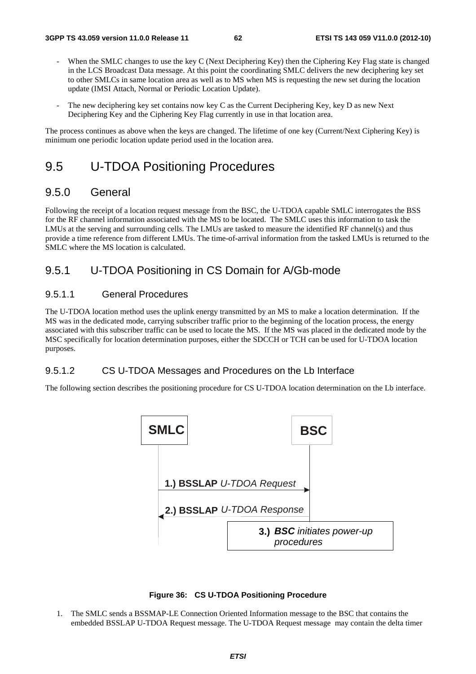- When the SMLC changes to use the key C (Next Deciphering Key) then the Ciphering Key Flag state is changed in the LCS Broadcast Data message. At this point the coordinating SMLC delivers the new deciphering key set to other SMLCs in same location area as well as to MS when MS is requesting the new set during the location update (IMSI Attach, Normal or Periodic Location Update).
- The new deciphering key set contains now key C as the Current Deciphering Key, key D as new Next Deciphering Key and the Ciphering Key Flag currently in use in that location area.

The process continues as above when the keys are changed. The lifetime of one key (Current/Next Ciphering Key) is minimum one periodic location update period used in the location area.

## 9.5 U-TDOA Positioning Procedures

### 9.5.0 General

Following the receipt of a location request message from the BSC, the U-TDOA capable SMLC interrogates the BSS for the RF channel information associated with the MS to be located. The SMLC uses this information to task the LMUs at the serving and surrounding cells. The LMUs are tasked to measure the identified RF channel(s) and thus provide a time reference from different LMUs. The time-of-arrival information from the tasked LMUs is returned to the SMLC where the MS location is calculated.

## 9.5.1 U-TDOA Positioning in CS Domain for A/Gb-mode

#### 9.5.1.1 General Procedures

The U-TDOA location method uses the uplink energy transmitted by an MS to make a location determination. If the MS was in the dedicated mode, carrying subscriber traffic prior to the beginning of the location process, the energy associated with this subscriber traffic can be used to locate the MS. If the MS was placed in the dedicated mode by the MSC specifically for location determination purposes, either the SDCCH or TCH can be used for U-TDOA location purposes.

#### 9.5.1.2 CS U-TDOA Messages and Procedures on the Lb Interface

The following section describes the positioning procedure for CS U-TDOA location determination on the Lb interface.





1. The SMLC sends a BSSMAP-LE Connection Oriented Information message to the BSC that contains the embedded BSSLAP U-TDOA Request message. The U-TDOA Request message may contain the delta timer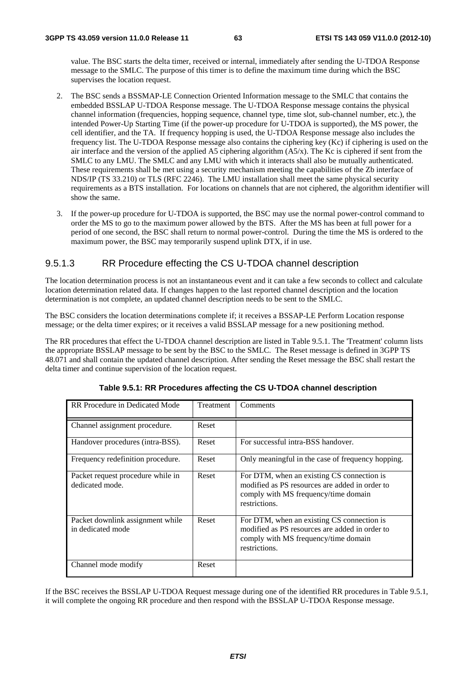value. The BSC starts the delta timer, received or internal, immediately after sending the U-TDOA Response message to the SMLC. The purpose of this timer is to define the maximum time during which the BSC supervises the location request.

- 2. The BSC sends a BSSMAP-LE Connection Oriented Information message to the SMLC that contains the embedded BSSLAP U-TDOA Response message. The U-TDOA Response message contains the physical channel information (frequencies, hopping sequence, channel type, time slot, sub-channel number, etc.), the intended Power-Up Starting Time (if the power-up procedure for U-TDOA is supported), the MS power, the cell identifier, and the TA. If frequency hopping is used, the U-TDOA Response message also includes the frequency list. The U-TDOA Response message also contains the ciphering key (Kc) if ciphering is used on the air interface and the version of the applied A5 ciphering algorithm (A5/x). The Kc is ciphered if sent from the SMLC to any LMU. The SMLC and any LMU with which it interacts shall also be mutually authenticated. These requirements shall be met using a security mechanism meeting the capabilities of the Zb interface of NDS/IP (TS 33.210) or TLS (RFC 2246). The LMU installation shall meet the same physical security requirements as a BTS installation. For locations on channels that are not ciphered, the algorithm identifier will show the same.
- 3. If the power-up procedure for U-TDOA is supported, the BSC may use the normal power-control command to order the MS to go to the maximum power allowed by the BTS. After the MS has been at full power for a period of one second, the BSC shall return to normal power-control. During the time the MS is ordered to the maximum power, the BSC may temporarily suspend uplink DTX, if in use.

#### 9.5.1.3 RR Procedure effecting the CS U-TDOA channel description

The location determination process is not an instantaneous event and it can take a few seconds to collect and calculate location determination related data. If changes happen to the last reported channel description and the location determination is not complete, an updated channel description needs to be sent to the SMLC.

The BSC considers the location determinations complete if; it receives a BSSAP-LE Perform Location response message; or the delta timer expires; or it receives a valid BSSLAP message for a new positioning method.

The RR procedures that effect the U-TDOA channel description are listed in Table 9.5.1. The 'Treatment' column lists the appropriate BSSLAP message to be sent by the BSC to the SMLC. The Reset message is defined in 3GPP TS 48.071 and shall contain the updated channel description. After sending the Reset message the BSC shall restart the delta timer and continue supervision of the location request.

| RR Procedure in Dedicated Mode                        | Treatment | Comments                                                                                                                                              |
|-------------------------------------------------------|-----------|-------------------------------------------------------------------------------------------------------------------------------------------------------|
| Channel assignment procedure.                         | Reset     |                                                                                                                                                       |
| Handover procedures (intra-BSS).                      | Reset     | For successful intra-BSS handover.                                                                                                                    |
| Frequency redefinition procedure.                     | Reset     | Only meaningful in the case of frequency hopping.                                                                                                     |
| Packet request procedure while in<br>dedicated mode.  | Reset     | For DTM, when an existing CS connection is<br>modified as PS resources are added in order to<br>comply with MS frequency/time domain<br>restrictions. |
| Packet downlink assignment while<br>in dedicated mode | Reset     | For DTM, when an existing CS connection is<br>modified as PS resources are added in order to<br>comply with MS frequency/time domain<br>restrictions. |
| Channel mode modify                                   | Reset     |                                                                                                                                                       |

**Table 9.5.1: RR Procedures affecting the CS U-TDOA channel description** 

If the BSC receives the BSSLAP U-TDOA Request message during one of the identified RR procedures in Table 9.5.1, it will complete the ongoing RR procedure and then respond with the BSSLAP U-TDOA Response message.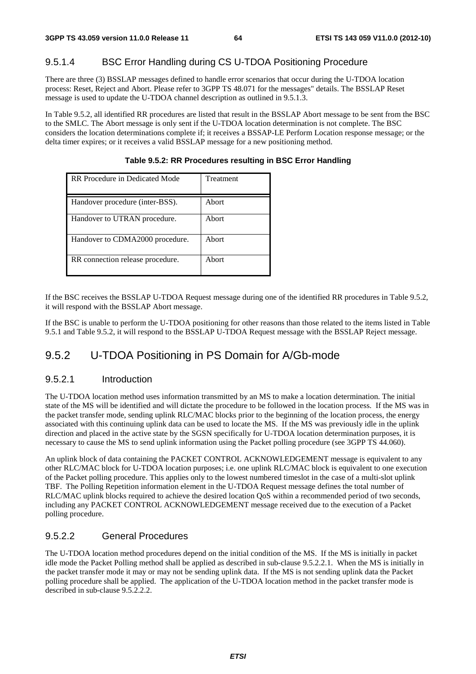### 9.5.1.4 BSC Error Handling during CS U-TDOA Positioning Procedure

There are three (3) BSSLAP messages defined to handle error scenarios that occur during the U-TDOA location process: Reset, Reject and Abort. Please refer to 3GPP TS 48.071 for the messages" details. The BSSLAP Reset message is used to update the U-TDOA channel description as outlined in 9.5.1.3.

In Table 9.5.2, all identified RR procedures are listed that result in the BSSLAP Abort message to be sent from the BSC to the SMLC. The Abort message is only sent if the U-TDOA location determination is not complete. The BSC considers the location determinations complete if; it receives a BSSAP-LE Perform Location response message; or the delta timer expires; or it receives a valid BSSLAP message for a new positioning method.

| RR Procedure in Dedicated Mode   | Treatment |
|----------------------------------|-----------|
|                                  |           |
| Handover procedure (inter-BSS).  | Abort     |
| Handover to UTRAN procedure.     | Abort     |
| Handover to CDMA2000 procedure.  | Abort     |
| RR connection release procedure. | Abort     |

**Table 9.5.2: RR Procedures resulting in BSC Error Handling** 

If the BSC receives the BSSLAP U-TDOA Request message during one of the identified RR procedures in Table 9.5.2, it will respond with the BSSLAP Abort message.

If the BSC is unable to perform the U-TDOA positioning for other reasons than those related to the items listed in Table 9.5.1 and Table 9.5.2, it will respond to the BSSLAP U-TDOA Request message with the BSSLAP Reject message.

## 9.5.2 U-TDOA Positioning in PS Domain for A/Gb-mode

#### 9.5.2.1 Introduction

The U-TDOA location method uses information transmitted by an MS to make a location determination. The initial state of the MS will be identified and will dictate the procedure to be followed in the location process. If the MS was in the packet transfer mode, sending uplink RLC/MAC blocks prior to the beginning of the location process, the energy associated with this continuing uplink data can be used to locate the MS. If the MS was previously idle in the uplink direction and placed in the active state by the SGSN specifically for U-TDOA location determination purposes, it is necessary to cause the MS to send uplink information using the Packet polling procedure (see 3GPP TS 44.060).

An uplink block of data containing the PACKET CONTROL ACKNOWLEDGEMENT message is equivalent to any other RLC/MAC block for U-TDOA location purposes; i.e. one uplink RLC/MAC block is equivalent to one execution of the Packet polling procedure. This applies only to the lowest numbered timeslot in the case of a multi-slot uplink TBF. The Polling Repetition information element in the U-TDOA Request message defines the total number of RLC/MAC uplink blocks required to achieve the desired location QoS within a recommended period of two seconds, including any PACKET CONTROL ACKNOWLEDGEMENT message received due to the execution of a Packet polling procedure.

#### 9.5.2.2 General Procedures

The U-TDOA location method procedures depend on the initial condition of the MS. If the MS is initially in packet idle mode the Packet Polling method shall be applied as described in sub-clause 9.5.2.2.1. When the MS is initially in the packet transfer mode it may or may not be sending uplink data. If the MS is not sending uplink data the Packet polling procedure shall be applied. The application of the U-TDOA location method in the packet transfer mode is described in sub-clause 9.5.2.2.2.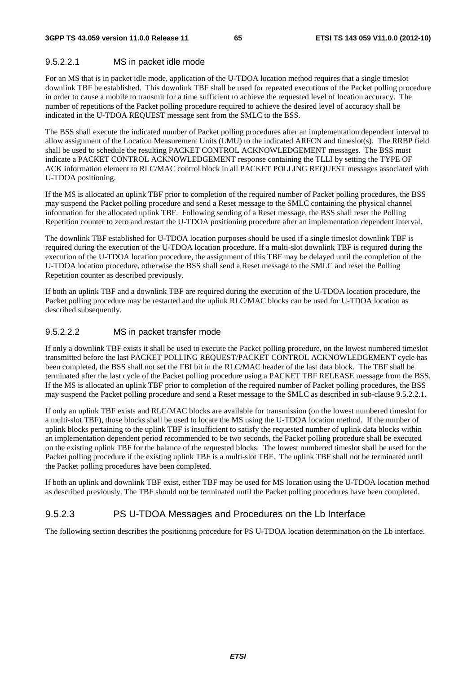#### 9.5.2.2.1 MS in packet idle mode

For an MS that is in packet idle mode, application of the U-TDOA location method requires that a single timeslot downlink TBF be established. This downlink TBF shall be used for repeated executions of the Packet polling procedure in order to cause a mobile to transmit for a time sufficient to achieve the requested level of location accuracy. The number of repetitions of the Packet polling procedure required to achieve the desired level of accuracy shall be indicated in the U-TDOA REQUEST message sent from the SMLC to the BSS.

The BSS shall execute the indicated number of Packet polling procedures after an implementation dependent interval to allow assignment of the Location Measurement Units (LMU) to the indicated ARFCN and timeslot(s). The RRBP field shall be used to schedule the resulting PACKET CONTROL ACKNOWLEDGEMENT messages. The BSS must indicate a PACKET CONTROL ACKNOWLEDGEMENT response containing the TLLI by setting the TYPE OF ACK information element to RLC/MAC control block in all PACKET POLLING REQUEST messages associated with U-TDOA positioning.

If the MS is allocated an uplink TBF prior to completion of the required number of Packet polling procedures, the BSS may suspend the Packet polling procedure and send a Reset message to the SMLC containing the physical channel information for the allocated uplink TBF. Following sending of a Reset message, the BSS shall reset the Polling Repetition counter to zero and restart the U-TDOA positioning procedure after an implementation dependent interval.

The downlink TBF established for U-TDOA location purposes should be used if a single timeslot downlink TBF is required during the execution of the U-TDOA location procedure. If a multi-slot downlink TBF is required during the execution of the U-TDOA location procedure, the assignment of this TBF may be delayed until the completion of the U-TDOA location procedure, otherwise the BSS shall send a Reset message to the SMLC and reset the Polling Repetition counter as described previously.

If both an uplink TBF and a downlink TBF are required during the execution of the U-TDOA location procedure, the Packet polling procedure may be restarted and the uplink RLC/MAC blocks can be used for U-TDOA location as described subsequently.

#### 9.5.2.2.2 MS in packet transfer mode

If only a downlink TBF exists it shall be used to execute the Packet polling procedure, on the lowest numbered timeslot transmitted before the last PACKET POLLING REQUEST/PACKET CONTROL ACKNOWLEDGEMENT cycle has been completed, the BSS shall not set the FBI bit in the RLC/MAC header of the last data block. The TBF shall be terminated after the last cycle of the Packet polling procedure using a PACKET TBF RELEASE message from the BSS. If the MS is allocated an uplink TBF prior to completion of the required number of Packet polling procedures, the BSS may suspend the Packet polling procedure and send a Reset message to the SMLC as described in sub-clause 9.5.2.2.1.

If only an uplink TBF exists and RLC/MAC blocks are available for transmission (on the lowest numbered timeslot for a multi-slot TBF), those blocks shall be used to locate the MS using the U-TDOA location method. If the number of uplink blocks pertaining to the uplink TBF is insufficient to satisfy the requested number of uplink data blocks within an implementation dependent period recommended to be two seconds, the Packet polling procedure shall be executed on the existing uplink TBF for the balance of the requested blocks. The lowest numbered timeslot shall be used for the Packet polling procedure if the existing uplink TBF is a multi-slot TBF. The uplink TBF shall not be terminated until the Packet polling procedures have been completed.

If both an uplink and downlink TBF exist, either TBF may be used for MS location using the U-TDOA location method as described previously. The TBF should not be terminated until the Packet polling procedures have been completed.

#### 9.5.2.3 PS U-TDOA Messages and Procedures on the Lb Interface

The following section describes the positioning procedure for PS U-TDOA location determination on the Lb interface.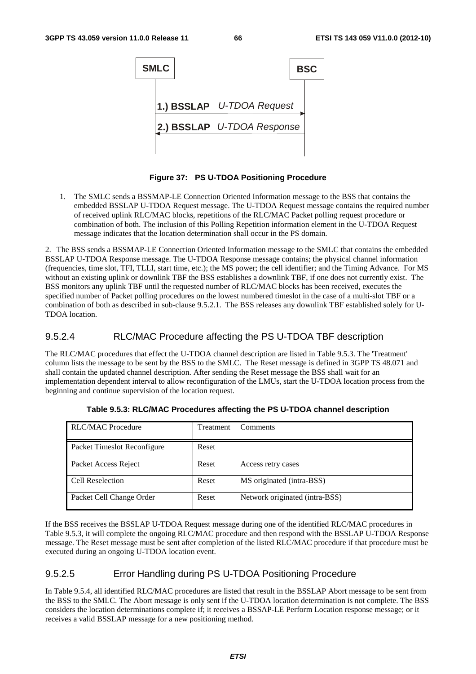

**Figure 37: PS U-TDOA Positioning Procedure** 

1. The SMLC sends a BSSMAP-LE Connection Oriented Information message to the BSS that contains the embedded BSSLAP U-TDOA Request message. The U-TDOA Request message contains the required number of received uplink RLC/MAC blocks, repetitions of the RLC/MAC Packet polling request procedure or combination of both. The inclusion of this Polling Repetition information element in the U-TDOA Request message indicates that the location determination shall occur in the PS domain.

2. The BSS sends a BSSMAP-LE Connection Oriented Information message to the SMLC that contains the embedded BSSLAP U-TDOA Response message. The U-TDOA Response message contains; the physical channel information (frequencies, time slot, TFI, TLLI, start time, etc.); the MS power; the cell identifier; and the Timing Advance. For MS without an existing uplink or downlink TBF the BSS establishes a downlink TBF, if one does not currently exist. The BSS monitors any uplink TBF until the requested number of RLC/MAC blocks has been received, executes the specified number of Packet polling procedures on the lowest numbered timeslot in the case of a multi-slot TBF or a combination of both as described in sub-clause 9.5.2.1. The BSS releases any downlink TBF established solely for U-TDOA location.

#### 9.5.2.4 RLC/MAC Procedure affecting the PS U-TDOA TBF description

The RLC/MAC procedures that effect the U-TDOA channel description are listed in Table 9.5.3. The 'Treatment' column lists the message to be sent by the BSS to the SMLC. The Reset message is defined in 3GPP TS 48.071 and shall contain the updated channel description. After sending the Reset message the BSS shall wait for an implementation dependent interval to allow reconfiguration of the LMUs, start the U-TDOA location process from the beginning and continue supervision of the location request.

| <b>RLC/MAC Procedure</b>    | Treatment | Comments                       |
|-----------------------------|-----------|--------------------------------|
| Packet Timeslot Reconfigure | Reset     |                                |
| Packet Access Reject        | Reset     | Access retry cases             |
| Cell Reselection            | Reset     | MS originated (intra-BSS)      |
| Packet Cell Change Order    | Reset     | Network originated (intra-BSS) |

**Table 9.5.3: RLC/MAC Procedures affecting the PS U-TDOA channel description** 

If the BSS receives the BSSLAP U-TDOA Request message during one of the identified RLC/MAC procedures in Table 9.5.3, it will complete the ongoing RLC/MAC procedure and then respond with the BSSLAP U-TDOA Response message. The Reset message must be sent after completion of the listed RLC/MAC procedure if that procedure must be executed during an ongoing U-TDOA location event.

#### 9.5.2.5 Error Handling during PS U-TDOA Positioning Procedure

In Table 9.5.4, all identified RLC/MAC procedures are listed that result in the BSSLAP Abort message to be sent from the BSS to the SMLC. The Abort message is only sent if the U-TDOA location determination is not complete. The BSS considers the location determinations complete if; it receives a BSSAP-LE Perform Location response message; or it receives a valid BSSLAP message for a new positioning method.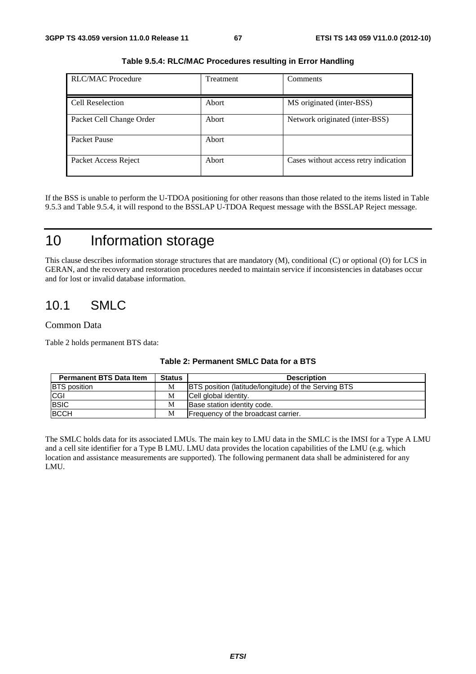| <b>RLC/MAC Procedure</b> | <b>Treatment</b> | Comments                              |
|--------------------------|------------------|---------------------------------------|
| Cell Reselection         | Abort            | MS originated (inter-BSS)             |
| Packet Cell Change Order | Abort            | Network originated (inter-BSS)        |
| Packet Pause             | Abort            |                                       |
| Packet Access Reject     | Abort            | Cases without access retry indication |

**Table 9.5.4: RLC/MAC Procedures resulting in Error Handling** 

If the BSS is unable to perform the U-TDOA positioning for other reasons than those related to the items listed in Table 9.5.3 and Table 9.5.4, it will respond to the BSSLAP U-TDOA Request message with the BSSLAP Reject message.

## 10 Information storage

This clause describes information storage structures that are mandatory (M), conditional (C) or optional (O) for LCS in GERAN, and the recovery and restoration procedures needed to maintain service if inconsistencies in databases occur and for lost or invalid database information.

## 10.1 SMLC

#### Common Data

Table 2 holds permanent BTS data:

| <b>Permanent BTS Data Item</b> | <b>Status</b> | <b>Description</b>                                          |
|--------------------------------|---------------|-------------------------------------------------------------|
| <b>BTS</b> position            | М             | <b>BTS</b> position (latitude/longitude) of the Serving BTS |
| <b>CGI</b>                     | М             | Cell global identity.                                       |
| <b>BSIC</b>                    | М             | Base station identity code.                                 |
| <b>BCCH</b>                    | M             | <b>Frequency of the broadcast carrier.</b>                  |

#### **Table 2: Permanent SMLC Data for a BTS**

The SMLC holds data for its associated LMUs. The main key to LMU data in the SMLC is the IMSI for a Type A LMU and a cell site identifier for a Type B LMU. LMU data provides the location capabilities of the LMU (e.g. which location and assistance measurements are supported). The following permanent data shall be administered for any LMU.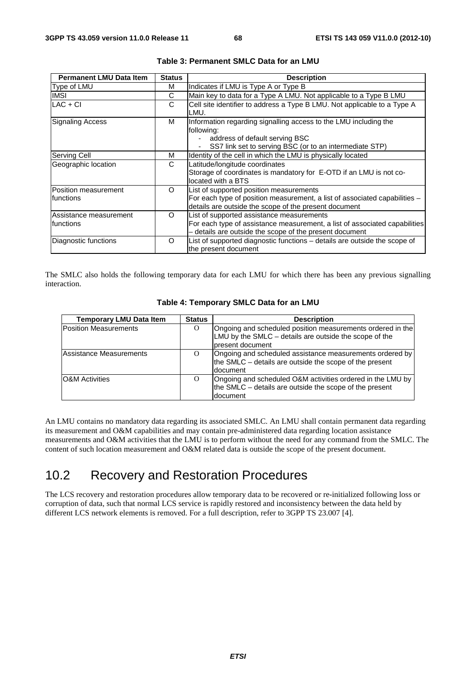| <b>Permanent LMU Data Item</b>       | <b>Status</b> | <b>Description</b>                                                                                                                                                                 |
|--------------------------------------|---------------|------------------------------------------------------------------------------------------------------------------------------------------------------------------------------------|
| Type of LMU                          | м             | Indicates if LMU is Type A or Type B                                                                                                                                               |
| <b>IMSI</b>                          | С             | Main key to data for a Type A LMU. Not applicable to a Type B LMU                                                                                                                  |
| $LAC + CI$                           | C             | Cell site identifier to address a Type B LMU. Not applicable to a Type A<br>LMU.                                                                                                   |
| Signaling Access                     | м             | Information regarding signalling access to the LMU including the<br>following:<br>address of default serving BSC<br>SS7 link set to serving BSC (or to an intermediate STP)        |
| Serving Cell                         | м             | Identity of the cell in which the LMU is physically located                                                                                                                        |
| Geographic location                  | C             | Latitude/longitude coordinates<br>Storage of coordinates is mandatory for E-OTD if an LMU is not co-<br>located with a BTS                                                         |
| Position measurement<br>Ifunctions   | $\Omega$      | List of supported position measurements<br>For each type of position measurement, a list of associated capabilities -<br>details are outside the scope of the present document     |
| Assistance measurement<br>Ifunctions | $\Omega$      | List of supported assistance measurements<br>For each type of assistance measurement, a list of associated capabilities<br>- details are outside the scope of the present document |
| Diagnostic functions                 | Ω             | List of supported diagnostic functions - details are outside the scope of<br>the present document                                                                                  |

#### **Table 3: Permanent SMLC Data for an LMU**

The SMLC also holds the following temporary data for each LMU for which there has been any previous signalling interaction.

| <b>Temporary LMU Data Item</b> | <b>Status</b> | <b>Description</b>                                                                                                                        |
|--------------------------------|---------------|-------------------------------------------------------------------------------------------------------------------------------------------|
| <b>Position Measurements</b>   | O             | Ongoing and scheduled position measurements ordered in the<br>LMU by the SMLC – details are outside the scope of the<br>Ipresent document |
| Assistance Measurements        | $\Omega$      | Ongoing and scheduled assistance measurements ordered by<br>the SMLC – details are outside the scope of the present<br>document           |
| <b>O&amp;M</b> Activities      | $\Omega$      | Ongoing and scheduled O&M activities ordered in the LMU by<br>the SMLC – details are outside the scope of the present<br>document         |

#### **Table 4: Temporary SMLC Data for an LMU**

An LMU contains no mandatory data regarding its associated SMLC. An LMU shall contain permanent data regarding its measurement and O&M capabilities and may contain pre-administered data regarding location assistance measurements and O&M activities that the LMU is to perform without the need for any command from the SMLC. The content of such location measurement and O&M related data is outside the scope of the present document.

## 10.2 Recovery and Restoration Procedures

The LCS recovery and restoration procedures allow temporary data to be recovered or re-initialized following loss or corruption of data, such that normal LCS service is rapidly restored and inconsistency between the data held by different LCS network elements is removed. For a full description, refer to 3GPP TS 23.007 [4].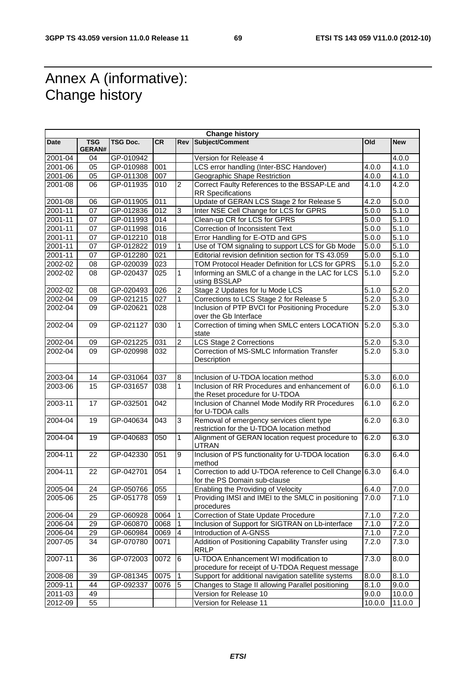## Annex A (informative): Change history

r

|             |                             |                 |           |                         | <b>Change history</b>                                                                    |                    |                    |
|-------------|-----------------------------|-----------------|-----------|-------------------------|------------------------------------------------------------------------------------------|--------------------|--------------------|
| Date        | <b>TSG</b><br><b>GERAN#</b> | <b>TSG Doc.</b> | <b>CR</b> | Rev                     | Subject/Comment                                                                          | <b>Old</b>         | <b>New</b>         |
| 2001-04     | 04                          | GP-010942       |           |                         | Version for Release 4                                                                    |                    | 4.0.0              |
| $2001 - 06$ | 05                          | GP-010988       | 001       |                         | LCS error handling (Inter-BSC Handover)                                                  | 4.0.0              | 4.1.0              |
| 2001-06     | 05                          | GP-011308       | 007       |                         | Geographic Shape Restriction                                                             | 4.0.0              | 4.1.0              |
| 2001-08     | 06                          | GP-011935       | 010       | $\overline{c}$          | Correct Faulty References to the BSSAP-LE and<br><b>RR Specifications</b>                | 4.1.0              | 4.2.0              |
| 2001-08     | 06                          | GP-011905       | 011       |                         | Update of GERAN LCS Stage 2 for Release 5                                                | 4.2.0              | 5.0.0              |
| 2001-11     | 07                          | GP-012836       | 012       | 3                       | Inter NSE Cell Change for LCS for GPRS                                                   | 5.0.0              | 5.1.0              |
| $2001 - 11$ | 07                          | GP-011993       | 014       |                         | Clean-up CR for LCS for GPRS                                                             | 5.0.0              | 5.1.0              |
| 2001-11     | 07                          | GP-011998       | 016       |                         | Correction of Inconsistent Text                                                          | 5.0.0              | 5.1.0              |
| 2001-11     | 07                          | GP-012210       | 018       |                         | Error Handling for E-OTD and GPS                                                         | 5.0.0              | 5.1.0              |
| 2001-11     | 07                          | GP-012822       | 019       | 1                       | Use of TOM signaling to support LCS for Gb Mode                                          | 5.0.0              | 5.1.0              |
| 2001-11     | 07                          | GP-012280       | 021       |                         | Editorial revision definition section for TS 43.059                                      | 5.0.0              | 5.1.0              |
| 2002-02     | 08                          | GP-020039       | 023       |                         | TOM Protocol Header Definition for LCS for GPRS                                          | 5.1.0              | 5.2.0              |
| 2002-02     | 08                          | GP-020437       | 025       | $\mathbf{1}$            | Informing an SMLC of a change in the LAC for LCS<br>using BSSLAP                         | 5.1.0              | 5.2.0              |
| 2002-02     | 08                          | GP-020493       | 026       | $\overline{2}$          | Stage 2 Updates for Iu Mode LCS                                                          | 5.1.0              | 5.2.0              |
| 2002-04     | 09                          | GP-021215       | 027       | $\mathbf{1}$            | Corrections to LCS Stage 2 for Release 5                                                 | 5.2.0              | 5.3.0              |
| 2002-04     | 09                          | GP-020621       | 028       |                         | Inclusion of PTP BVCI for Positioning Procedure<br>over the Gb Interface                 | 5.2.0              | 5.3.0              |
| 2002-04     | 09                          | GP-021127       | 030       | $\mathbf{1}$            | Correction of timing when SMLC enters LOCATION<br>state                                  | 5.2.0              | 5.3.0              |
| 2002-04     | 09                          | GP-021225       | 031       | $\overline{c}$          | <b>LCS Stage 2 Corrections</b>                                                           | 5.2.0              | 5.3.0              |
| 2002-04     | 09                          | GP-020998       | 032       |                         | Correction of MS-SMLC Information Transfer<br>Description                                | 5.2.0              | 5.3.0              |
|             |                             |                 |           |                         |                                                                                          |                    |                    |
| 2003-04     | 14                          | GP-031064       | 037       | 8                       | Inclusion of U-TDOA location method                                                      | 5.3.0              | 6.0.0              |
| 2003-06     | 15                          | GP-031657       | 038       | $\mathbf 1$             | Inclusion of RR Procedures and enhancement of<br>the Reset procedure for U-TDOA          | 6.0.0              | 6.1.0              |
| 2003-11     | 17                          | GP-032501       | 042       |                         | Inclusion of Channel Mode Modify RR Procedures<br>for U-TDOA calls                       | 6.1.0              | 6.2.0              |
| 2004-04     | 19                          | GP-040634       | 043       | 3                       | Removal of emergency services client type<br>restriction for the U-TDOA location method  | 6.2.0              | 6.3.0              |
| 2004-04     | 19                          | GP-040683       | 050       | $\mathbf{1}$            | Alignment of GERAN location request procedure to<br><b>UTRAN</b>                         | 6.2.0              | 6.3.0              |
| 2004-11     | 22                          | GP-042330       | 051       | 9                       | Inclusion of PS functionality for U-TDOA location<br>method                              | 6.3.0              | 6.4.0              |
| 2004-11     | 22                          | GP-042701       | 054       | $\mathbf{1}$            | Correction to add U-TDOA reference to Cell Change 6.3.0<br>for the PS Domain sub-clause  |                    | 6.4.0              |
| 2005-04     | 24                          | GP-050766 055   |           |                         | Enabling the Providing of Velocity                                                       | 6.4.0              | $\overline{7}.0.0$ |
| 2005-06     | 25                          | GP-051778       | 059       | $\mathbf{1}$            | Providing IMSI and IMEI to the SMLC in positioning<br>procedures                         | 7.0.0              | 7.1.0              |
| 2006-04     | 29                          | GP-060928       | 0064      | $\mathbf{1}$            | Correction of State Update Procedure                                                     | $\overline{7}.1.0$ | 7.2.0              |
| 2006-04     | 29                          | GP-060870       | 0068      | $\mathbf{1}$            | Inclusion of Support for SIGTRAN on Lb-interface                                         | 7.1.0              | 7.2.0              |
| 2006-04     | 29                          | GP-060984       | 0069      | $\overline{\mathbf{4}}$ | Introduction of A-GNSS                                                                   | 7.1.0              | 7.2.0              |
| 2007-05     | 34                          | GP-070780       | 0071      |                         | Addition of Positioning Capability Transfer using<br><b>RRLP</b>                         | 7.2.0              | 7.3.0              |
| 2007-11     | 36                          | GP-072003       | 0072      | 6                       | U-TDOA Enhancement WI modification to<br>procedure for receipt of U-TDOA Request message | 7.3.0              | 8.0.0              |
| 2008-08     | 39                          | GP-081345       | 0075      | $\overline{1}$          | Support for additional navigation satellite systems                                      | 8.0.0              | 8.1.0              |
| 2009-11     | 44                          | GP-092337       | 0076      | $\overline{5}$          | Changes to Stage II allowing Parallel positioning                                        | 8.1.0              | 9.0.0              |
| 2011-03     | 49                          |                 |           |                         | Version for Release 10                                                                   | 9.0.0              | 10.0.0             |
| 2012-09     | 55                          |                 |           |                         | Version for Release 11                                                                   | 10.0.0             | 11.0.0             |